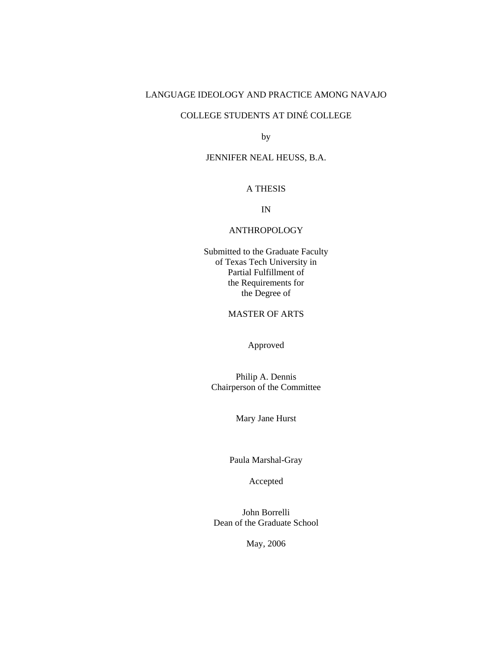## LANGUAGE IDEOLOGY AND PRACTICE AMONG NAVAJO

# COLLEGE STUDENTS AT DINÉ COLLEGE

by

#### JENNIFER NEAL HEUSS, B.A.

#### A THESIS

IN

#### ANTHROPOLOGY

Submitted to the Graduate Faculty of Texas Tech University in Partial Fulfillment of the Requirements for the Degree of

## MASTER OF ARTS

Approved

Philip A. Dennis Chairperson of the Committee

Mary Jane Hurst

Paula Marshal-Gray

Accepted

John Borrelli Dean of the Graduate School

May, 2006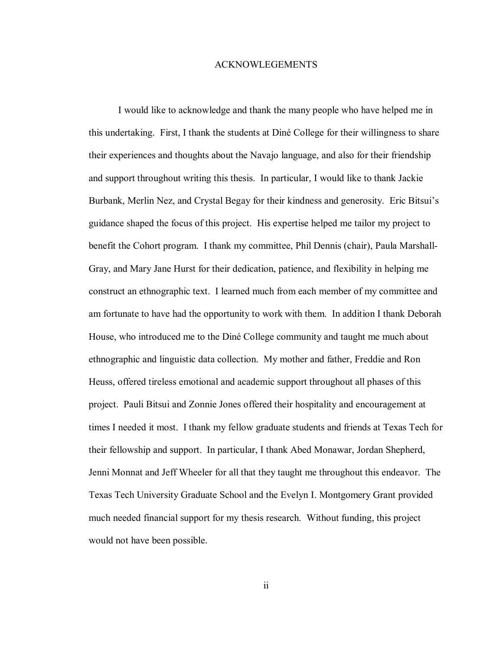#### ACKNOWLEGEMENTS

 I would like to acknowledge and thank the many people who have helped me in this undertaking. First, I thank the students at DinÈ College for their willingness to share their experiences and thoughts about the Navajo language, and also for their friendship and support throughout writing this thesis. In particular, I would like to thank Jackie Burbank, Merlin Nez, and Crystal Begay for their kindness and generosity. Eric Bitsui's guidance shaped the focus of this project. His expertise helped me tailor my project to benefit the Cohort program. I thank my committee, Phil Dennis (chair), Paula Marshall-Gray, and Mary Jane Hurst for their dedication, patience, and flexibility in helping me construct an ethnographic text. I learned much from each member of my committee and am fortunate to have had the opportunity to work with them. In addition I thank Deborah House, who introduced me to the Diné College community and taught me much about ethnographic and linguistic data collection. My mother and father, Freddie and Ron Heuss, offered tireless emotional and academic support throughout all phases of this project. Pauli Bitsui and Zonnie Jones offered their hospitality and encouragement at times I needed it most. I thank my fellow graduate students and friends at Texas Tech for their fellowship and support. In particular, I thank Abed Monawar, Jordan Shepherd, Jenni Monnat and Jeff Wheeler for all that they taught me throughout this endeavor. The Texas Tech University Graduate School and the Evelyn I. Montgomery Grant provided much needed financial support for my thesis research. Without funding, this project would not have been possible.

ii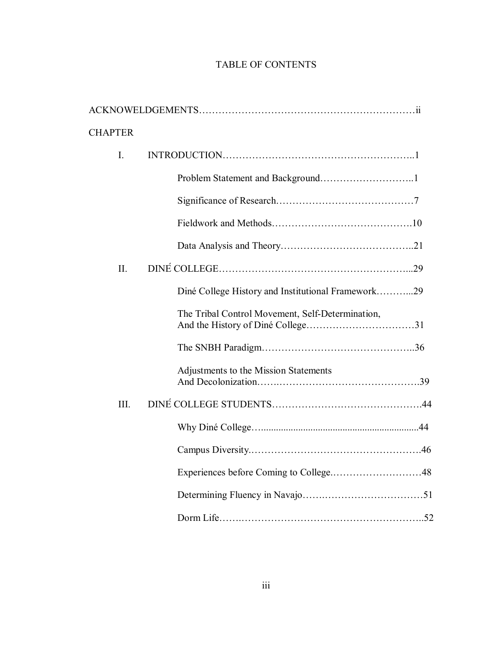# TABLE OF CONTENTS

| <b>CHAPTER</b> |                                                    |
|----------------|----------------------------------------------------|
| I.             |                                                    |
|                |                                                    |
|                |                                                    |
|                |                                                    |
|                |                                                    |
| II.            |                                                    |
|                | Diné College History and Institutional Framework29 |
|                | The Tribal Control Movement, Self-Determination,   |
|                |                                                    |
|                | Adjustments to the Mission Statements              |
| III.           |                                                    |
|                |                                                    |
|                |                                                    |
|                |                                                    |
|                |                                                    |
|                |                                                    |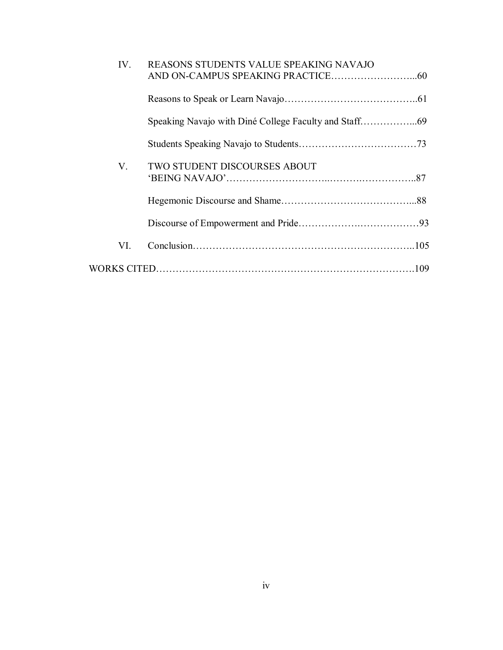| IV. | REASONS STUDENTS VALUE SPEAKING NAVAJO |  |
|-----|----------------------------------------|--|
|     |                                        |  |
|     |                                        |  |
|     |                                        |  |
| V.  | <b>TWO STUDENT DISCOURSES ABOUT</b>    |  |
|     |                                        |  |
|     |                                        |  |
| VI. |                                        |  |
|     |                                        |  |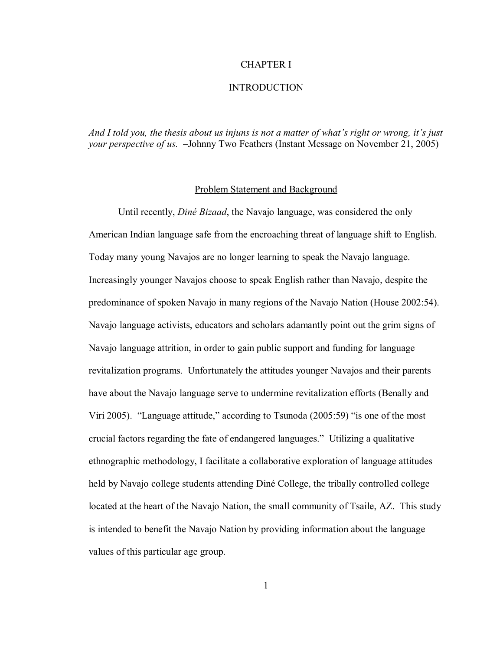## CHAPTER I

#### INTRODUCTION

*And I told you, the thesis about us injuns is not a matter of what's right or wrong, it's just your perspective of us.*  $-Johnny Two Features (Instant Message on November 21, 2005)$ 

### Problem Statement and Background

Until recently, *DinÈ Bizaad*, the Navajo language, was considered the only American Indian language safe from the encroaching threat of language shift to English. Today many young Navajos are no longer learning to speak the Navajo language. Increasingly younger Navajos choose to speak English rather than Navajo, despite the predominance of spoken Navajo in many regions of the Navajo Nation (House 2002:54). Navajo language activists, educators and scholars adamantly point out the grim signs of Navajo language attrition, in order to gain public support and funding for language revitalization programs. Unfortunately the attitudes younger Navajos and their parents have about the Navajo language serve to undermine revitalization efforts (Benally and Viri 2005). "Language attitude," according to Tsunoda  $(2005:59)$  "is one of the most crucial factors regarding the fate of endangered languages." Utilizing a qualitative ethnographic methodology, I facilitate a collaborative exploration of language attitudes held by Navajo college students attending Diné College, the tribally controlled college located at the heart of the Navajo Nation, the small community of Tsaile, AZ. This study is intended to benefit the Navajo Nation by providing information about the language values of this particular age group.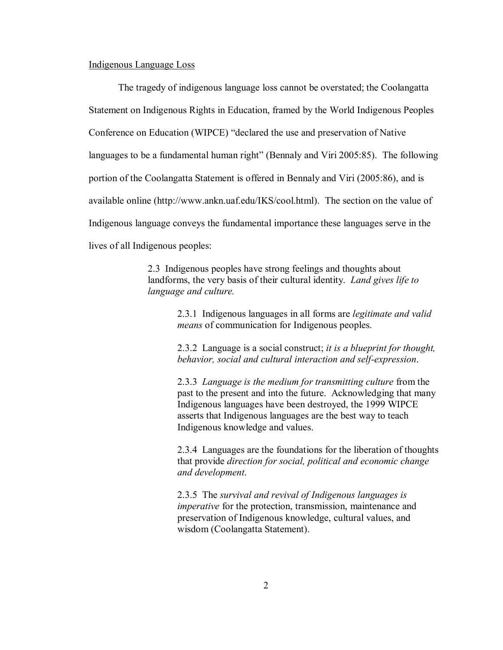#### Indigenous Language Loss

The tragedy of indigenous language loss cannot be overstated; the Coolangatta Statement on Indigenous Rights in Education, framed by the World Indigenous Peoples Conference on Education (WIPCE) "declared the use and preservation of Native languages to be a fundamental human right" (Bennaly and Viri 2005:85). The following portion of the Coolangatta Statement is offered in Bennaly and Viri (2005:86), and is available online (http://www.ankn.uaf.edu/IKS/cool.html). The section on the value of Indigenous language conveys the fundamental importance these languages serve in the lives of all Indigenous peoples:

> 2.3 Indigenous peoples have strong feelings and thoughts about landforms, the very basis of their cultural identity. *Land gives life to language and culture.*

> > 2.3.1 Indigenous languages in all forms are *legitimate and valid means* of communication for Indigenous peoples.

> > 2.3.2 Language is a social construct; *it is a blueprint for thought, behavior, social and cultural interaction and self-expression*.

> > 2.3.3 *Language is the medium for transmitting culture* from the past to the present and into the future. Acknowledging that many Indigenous languages have been destroyed, the 1999 WIPCE asserts that Indigenous languages are the best way to teach Indigenous knowledge and values.

> > 2.3.4 Languages are the foundations for the liberation of thoughts that provide *direction for social, political and economic change and development*.

2.3.5 The *survival and revival of Indigenous languages is imperative* for the protection, transmission, maintenance and preservation of Indigenous knowledge, cultural values, and wisdom (Coolangatta Statement).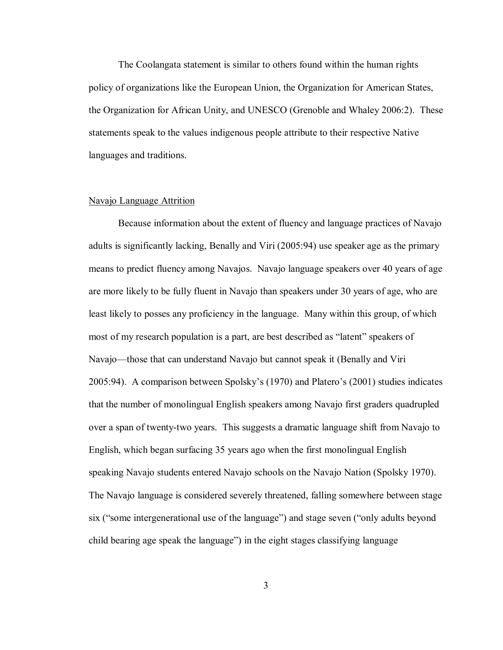The Coolangata statement is similar to others found within the human rights policy of organizations like the European Union, the Organization for American States, the Organization for African Unity, and UNESCO (Grenoble and Whaley 2006:2). These statements speak to the values indigenous people attribute to their respective Native languages and traditions.

#### Navajo Language Attrition

Because information about the extent of fluency and language practices of Navajo adults is significantly lacking, Benally and Viri (2005:94) use speaker age as the primary means to predict fluency among Navajos. Navajo language speakers over 40 years of age are more likely to be fully fluent in Navajo than speakers under 30 years of age, who are least likely to posses any proficiency in the language. Many within this group, of which most of my research population is a part, are best described as "latent" speakers of Navajo—those that can understand Navajo but cannot speak it (Benally and Viri  $2005:94$ ). A comparison between Spolsky's (1970) and Platero's (2001) studies indicates that the number of monolingual English speakers among Navajo first graders quadrupled over a span of twenty-two years. This suggests a dramatic language shift from Navajo to English, which began surfacing 35 years ago when the first monolingual English speaking Navajo students entered Navajo schools on the Navajo Nation (Spolsky 1970). The Navajo language is considered severely threatened, falling somewhere between stage six ("some intergenerational use of the language") and stage seven ("only adults beyond child bearing age speak the language") in the eight stages classifying language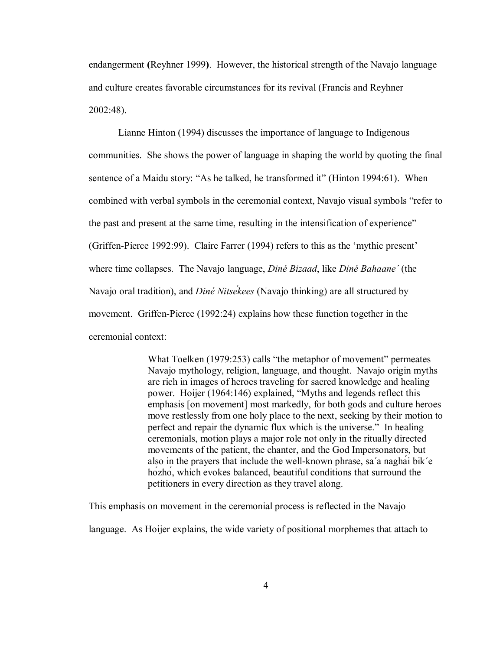endangerment **(**Reyhner 1999**)**. However, the historical strength of the Navajo language and culture creates favorable circumstances for its revival (Francis and Reyhner 2002:48).

Lianne Hinton (1994) discusses the importance of language to Indigenous communities. She shows the power of language in shaping the world by quoting the final sentence of a Maidu story: "As he talked, he transformed it" (Hinton 1994:61). When combined with verbal symbols in the ceremonial context, Navajo visual symbols "refer to the past and present at the same time, resulting in the intensification of experience" (Griffen-Pierce 1992:99). Claire Farrer (1994) refers to this as the ëmythic presentí where time collapses. The Navajo language, *DinÈ Bizaad*, like *DinÈ Bahaane΄* (the Navajo oral tradition), and *DinÈ Nitsékees* (Navajo thinking) are all structured by movement. Griffen-Pierce (1992:24) explains how these function together in the ceremonial context:

> What Toelken  $(1979:253)$  calls "the metaphor of movement" permeates Navajo mythology, religion, language, and thought. Navajo origin myths are rich in images of heroes traveling for sacred knowledge and healing power. Hoijer (1964:146) explained, "Myths and legends reflect this emphasis [on movement] most markedly, for both gods and culture heroes move restlessly from one holy place to the next, seeking by their motion to perfect and repair the dynamic flux which is the universe." In healing ceremonials, motion plays a major role not only in the ritually directed movements of the patient, the chanter, and the God Impersonators, but also in the prayers that include the well-known phrase, sa΄a naghái bik΄e hózhó, which evokes balanced, beautiful conditions that surround the petitioners in every direction as they travel along.

This emphasis on movement in the ceremonial process is reflected in the Navajo

language. As Hoijer explains, the wide variety of positional morphemes that attach to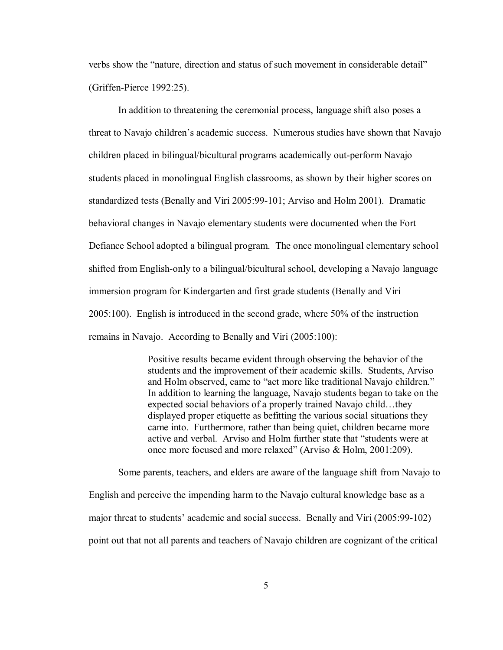verbs show the "nature, direction and status of such movement in considerable detail" (Griffen-Pierce 1992:25).

In addition to threatening the ceremonial process, language shift also poses a threat to Navajo children's academic success. Numerous studies have shown that Navajo children placed in bilingual/bicultural programs academically out-perform Navajo students placed in monolingual English classrooms, as shown by their higher scores on standardized tests (Benally and Viri 2005:99-101; Arviso and Holm 2001). Dramatic behavioral changes in Navajo elementary students were documented when the Fort Defiance School adopted a bilingual program. The once monolingual elementary school shifted from English-only to a bilingual/bicultural school, developing a Navajo language immersion program for Kindergarten and first grade students (Benally and Viri 2005:100). English is introduced in the second grade, where 50% of the instruction remains in Navajo. According to Benally and Viri (2005:100):

> Positive results became evident through observing the behavior of the students and the improvement of their academic skills. Students, Arviso and Holm observed, came to "act more like traditional Navajo children." In addition to learning the language, Navajo students began to take on the expected social behaviors of a properly trained Navajo child...they displayed proper etiquette as befitting the various social situations they came into. Furthermore, rather than being quiet, children became more active and verbal. Arviso and Holm further state that "students were at once more focused and more relaxed" (Arviso & Holm, 2001:209).

Some parents, teachers, and elders are aware of the language shift from Navajo to English and perceive the impending harm to the Navajo cultural knowledge base as a major threat to students' academic and social success. Benally and Viri (2005:99-102) point out that not all parents and teachers of Navajo children are cognizant of the critical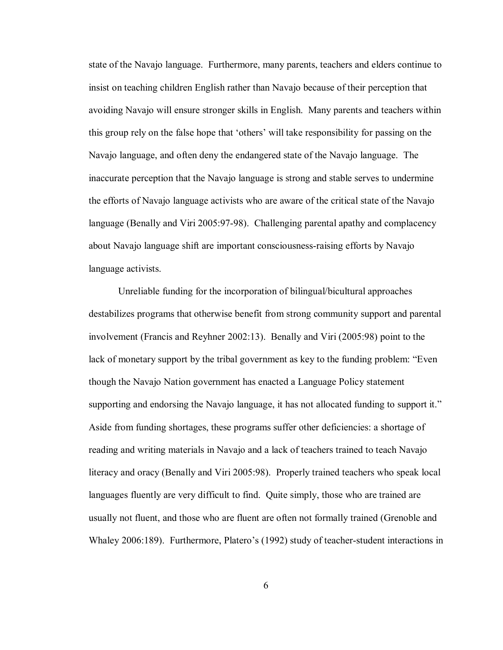state of the Navajo language. Furthermore, many parents, teachers and elders continue to insist on teaching children English rather than Navajo because of their perception that avoiding Navajo will ensure stronger skills in English. Many parents and teachers within this group rely on the false hope that 'others' will take responsibility for passing on the Navajo language, and often deny the endangered state of the Navajo language. The inaccurate perception that the Navajo language is strong and stable serves to undermine the efforts of Navajo language activists who are aware of the critical state of the Navajo language (Benally and Viri 2005:97-98). Challenging parental apathy and complacency about Navajo language shift are important consciousness-raising efforts by Navajo language activists.

 Unreliable funding for the incorporation of bilingual/bicultural approaches destabilizes programs that otherwise benefit from strong community support and parental involvement (Francis and Reyhner 2002:13). Benally and Viri (2005:98) point to the lack of monetary support by the tribal government as key to the funding problem: "Even though the Navajo Nation government has enacted a Language Policy statement supporting and endorsing the Navajo language, it has not allocated funding to support it." Aside from funding shortages, these programs suffer other deficiencies: a shortage of reading and writing materials in Navajo and a lack of teachers trained to teach Navajo literacy and oracy (Benally and Viri 2005:98). Properly trained teachers who speak local languages fluently are very difficult to find. Quite simply, those who are trained are usually not fluent, and those who are fluent are often not formally trained (Grenoble and Whaley 2006:189). Furthermore, Platero's (1992) study of teacher-student interactions in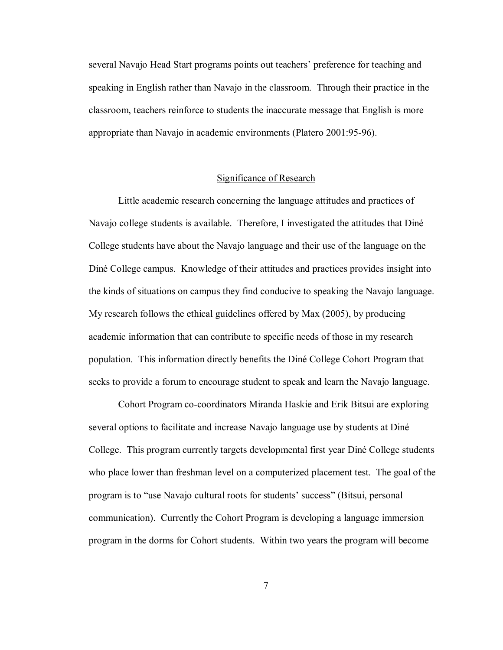several Navajo Head Start programs points out teachers' preference for teaching and speaking in English rather than Navajo in the classroom. Through their practice in the classroom, teachers reinforce to students the inaccurate message that English is more appropriate than Navajo in academic environments (Platero 2001:95-96).

#### Significance of Research

Little academic research concerning the language attitudes and practices of Navajo college students is available. Therefore, I investigated the attitudes that Diné College students have about the Navajo language and their use of the language on the DinÈ College campus. Knowledge of their attitudes and practices provides insight into the kinds of situations on campus they find conducive to speaking the Navajo language. My research follows the ethical guidelines offered by Max (2005), by producing academic information that can contribute to specific needs of those in my research population. This information directly benefits the DinÈ College Cohort Program that seeks to provide a forum to encourage student to speak and learn the Navajo language.

Cohort Program co-coordinators Miranda Haskie and Erik Bitsui are exploring several options to facilitate and increase Navajo language use by students at DinÈ College. This program currently targets developmental first year DinÈ College students who place lower than freshman level on a computerized placement test. The goal of the program is to "use Navajo cultural roots for students' success" (Bitsui, personal communication). Currently the Cohort Program is developing a language immersion program in the dorms for Cohort students. Within two years the program will become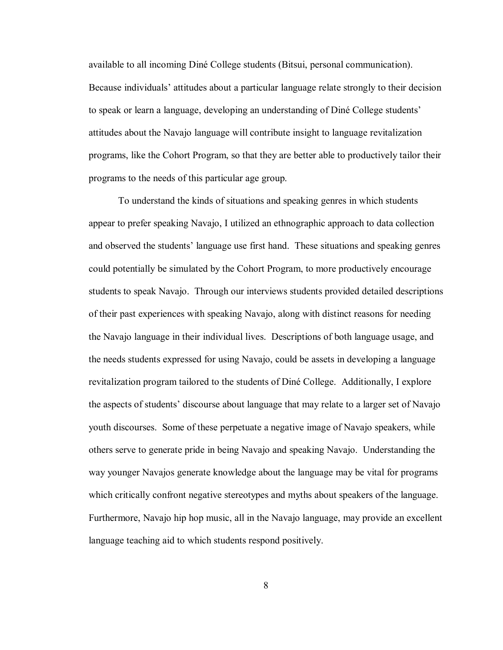available to all incoming DinÈ College students (Bitsui, personal communication). Because individuals' attitudes about a particular language relate strongly to their decision to speak or learn a language, developing an understanding of Diné College students' attitudes about the Navajo language will contribute insight to language revitalization programs, like the Cohort Program, so that they are better able to productively tailor their programs to the needs of this particular age group.

To understand the kinds of situations and speaking genres in which students appear to prefer speaking Navajo, I utilized an ethnographic approach to data collection and observed the students' language use first hand. These situations and speaking genres could potentially be simulated by the Cohort Program, to more productively encourage students to speak Navajo. Through our interviews students provided detailed descriptions of their past experiences with speaking Navajo, along with distinct reasons for needing the Navajo language in their individual lives. Descriptions of both language usage, and the needs students expressed for using Navajo, could be assets in developing a language revitalization program tailored to the students of DinÈ College. Additionally, I explore the aspects of students' discourse about language that may relate to a larger set of Navajo youth discourses. Some of these perpetuate a negative image of Navajo speakers, while others serve to generate pride in being Navajo and speaking Navajo. Understanding the way younger Navajos generate knowledge about the language may be vital for programs which critically confront negative stereotypes and myths about speakers of the language. Furthermore, Navajo hip hop music, all in the Navajo language, may provide an excellent language teaching aid to which students respond positively.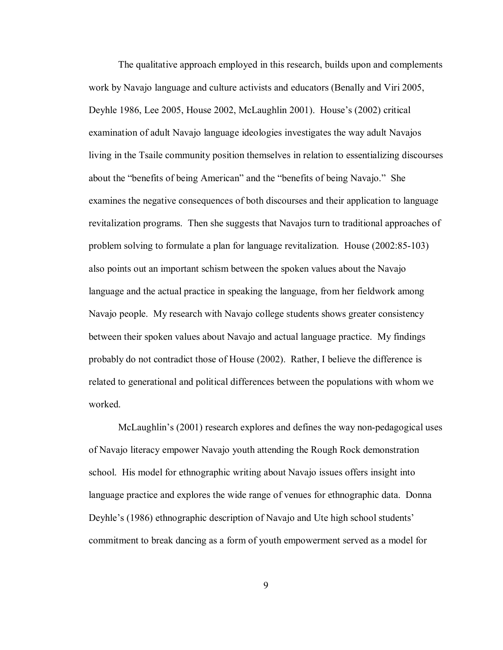The qualitative approach employed in this research, builds upon and complements work by Navajo language and culture activists and educators (Benally and Viri 2005, Deyhle 1986, Lee 2005, House 2002, McLaughlin 2001). House's (2002) critical examination of adult Navajo language ideologies investigates the way adult Navajos living in the Tsaile community position themselves in relation to essentializing discourses about the "benefits of being American" and the "benefits of being Navajo." She examines the negative consequences of both discourses and their application to language revitalization programs. Then she suggests that Navajos turn to traditional approaches of problem solving to formulate a plan for language revitalization. House (2002:85-103) also points out an important schism between the spoken values about the Navajo language and the actual practice in speaking the language, from her fieldwork among Navajo people. My research with Navajo college students shows greater consistency between their spoken values about Navajo and actual language practice. My findings probably do not contradict those of House (2002). Rather, I believe the difference is related to generational and political differences between the populations with whom we worked.

McLaughlin's (2001) research explores and defines the way non-pedagogical uses of Navajo literacy empower Navajo youth attending the Rough Rock demonstration school. His model for ethnographic writing about Navajo issues offers insight into language practice and explores the wide range of venues for ethnographic data. Donna Deyhle's (1986) ethnographic description of Navajo and Ute high school students' commitment to break dancing as a form of youth empowerment served as a model for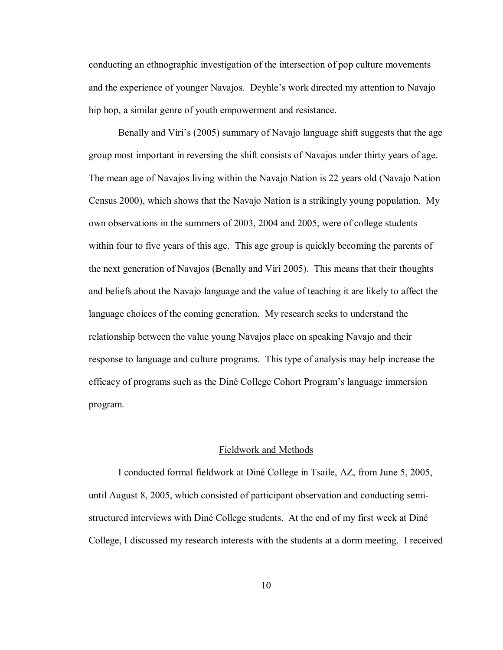conducting an ethnographic investigation of the intersection of pop culture movements and the experience of younger Navajos. Deyhle's work directed my attention to Navajo hip hop, a similar genre of youth empowerment and resistance.

Benally and Viri's (2005) summary of Navajo language shift suggests that the age group most important in reversing the shift consists of Navajos under thirty years of age. The mean age of Navajos living within the Navajo Nation is 22 years old (Navajo Nation Census 2000), which shows that the Navajo Nation is a strikingly young population. My own observations in the summers of 2003, 2004 and 2005, were of college students within four to five years of this age. This age group is quickly becoming the parents of the next generation of Navajos (Benally and Viri 2005). This means that their thoughts and beliefs about the Navajo language and the value of teaching it are likely to affect the language choices of the coming generation. My research seeks to understand the relationship between the value young Navajos place on speaking Navajo and their response to language and culture programs. This type of analysis may help increase the efficacy of programs such as the Diné College Cohort Program's language immersion program.

#### Fieldwork and Methods

I conducted formal fieldwork at DinÈ College in Tsaile, AZ, from June 5, 2005, until August 8, 2005, which consisted of participant observation and conducting semistructured interviews with Diné College students. At the end of my first week at Diné College, I discussed my research interests with the students at a dorm meeting. I received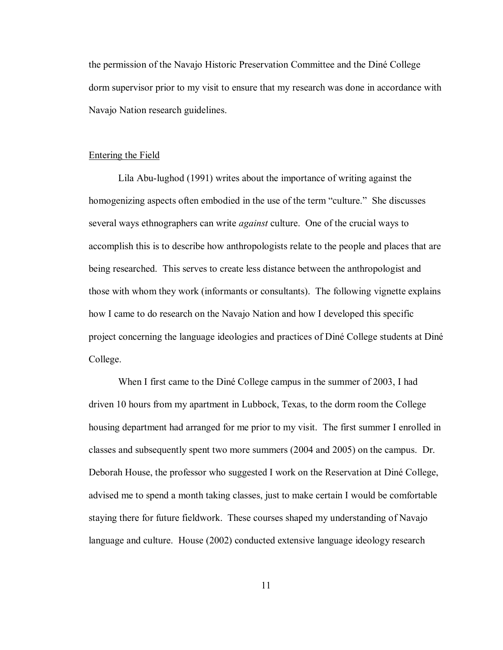the permission of the Navajo Historic Preservation Committee and the DinÈ College dorm supervisor prior to my visit to ensure that my research was done in accordance with Navajo Nation research guidelines.

#### Entering the Field

Lila Abu-lughod (1991) writes about the importance of writing against the homogenizing aspects often embodied in the use of the term "culture." She discusses several ways ethnographers can write *against* culture. One of the crucial ways to accomplish this is to describe how anthropologists relate to the people and places that are being researched. This serves to create less distance between the anthropologist and those with whom they work (informants or consultants). The following vignette explains how I came to do research on the Navajo Nation and how I developed this specific project concerning the language ideologies and practices of Diné College students at Diné College.

When I first came to the Diné College campus in the summer of 2003, I had driven 10 hours from my apartment in Lubbock, Texas, to the dorm room the College housing department had arranged for me prior to my visit. The first summer I enrolled in classes and subsequently spent two more summers (2004 and 2005) on the campus. Dr. Deborah House, the professor who suggested I work on the Reservation at Diné College, advised me to spend a month taking classes, just to make certain I would be comfortable staying there for future fieldwork. These courses shaped my understanding of Navajo language and culture. House (2002) conducted extensive language ideology research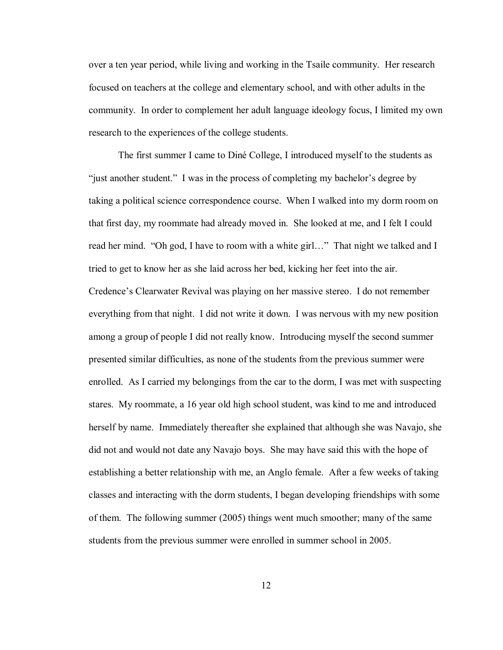over a ten year period, while living and working in the Tsaile community. Her research focused on teachers at the college and elementary school, and with other adults in the community. In order to complement her adult language ideology focus, I limited my own research to the experiences of the college students.

The first summer I came to Diné College, I introduced myself to the students as "just another student." I was in the process of completing my bachelor's degree by taking a political science correspondence course. When I walked into my dorm room on that first day, my roommate had already moved in. She looked at me, and I felt I could read her mind. "Oh god, I have to room with a white girl..." That night we talked and I tried to get to know her as she laid across her bed, kicking her feet into the air. Credence's Clearwater Revival was playing on her massive stereo. I do not remember everything from that night. I did not write it down. I was nervous with my new position among a group of people I did not really know. Introducing myself the second summer presented similar difficulties, as none of the students from the previous summer were enrolled. As I carried my belongings from the car to the dorm, I was met with suspecting stares. My roommate, a 16 year old high school student, was kind to me and introduced herself by name. Immediately thereafter she explained that although she was Navajo, she did not and would not date any Navajo boys. She may have said this with the hope of establishing a better relationship with me, an Anglo female. After a few weeks of taking classes and interacting with the dorm students, I began developing friendships with some of them. The following summer (2005) things went much smoother; many of the same students from the previous summer were enrolled in summer school in 2005.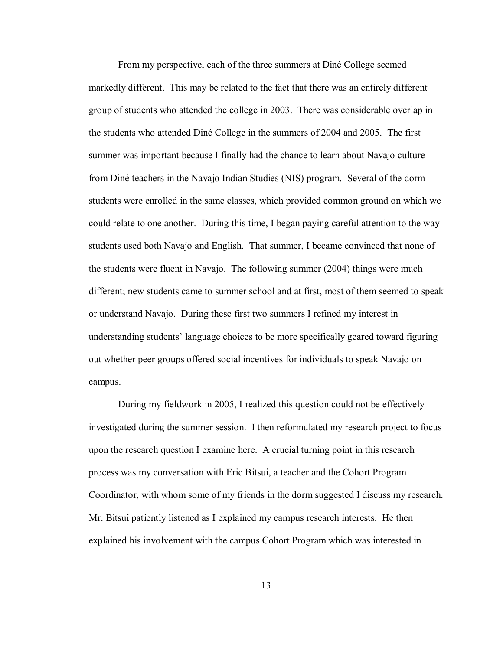From my perspective, each of the three summers at Diné College seemed markedly different. This may be related to the fact that there was an entirely different group of students who attended the college in 2003. There was considerable overlap in the students who attended DinÈ College in the summers of 2004 and 2005. The first summer was important because I finally had the chance to learn about Navajo culture from DinÈ teachers in the Navajo Indian Studies (NIS) program. Several of the dorm students were enrolled in the same classes, which provided common ground on which we could relate to one another. During this time, I began paying careful attention to the way students used both Navajo and English. That summer, I became convinced that none of the students were fluent in Navajo. The following summer (2004) things were much different; new students came to summer school and at first, most of them seemed to speak or understand Navajo. During these first two summers I refined my interest in understanding students' language choices to be more specifically geared toward figuring out whether peer groups offered social incentives for individuals to speak Navajo on campus.

During my fieldwork in 2005, I realized this question could not be effectively investigated during the summer session. I then reformulated my research project to focus upon the research question I examine here. A crucial turning point in this research process was my conversation with Eric Bitsui, a teacher and the Cohort Program Coordinator, with whom some of my friends in the dorm suggested I discuss my research. Mr. Bitsui patiently listened as I explained my campus research interests. He then explained his involvement with the campus Cohort Program which was interested in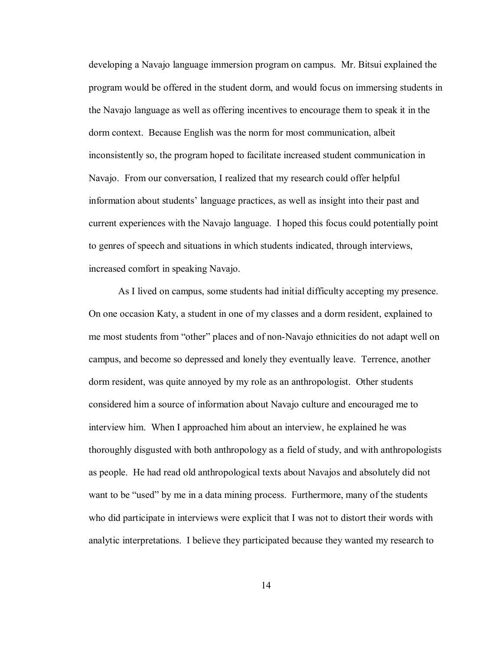developing a Navajo language immersion program on campus. Mr. Bitsui explained the program would be offered in the student dorm, and would focus on immersing students in the Navajo language as well as offering incentives to encourage them to speak it in the dorm context. Because English was the norm for most communication, albeit inconsistently so, the program hoped to facilitate increased student communication in Navajo. From our conversation, I realized that my research could offer helpful information about studentsí language practices, as well as insight into their past and current experiences with the Navajo language. I hoped this focus could potentially point to genres of speech and situations in which students indicated, through interviews, increased comfort in speaking Navajo.

As I lived on campus, some students had initial difficulty accepting my presence. On one occasion Katy, a student in one of my classes and a dorm resident, explained to me most students from "other" places and of non-Navajo ethnicities do not adapt well on campus, and become so depressed and lonely they eventually leave. Terrence, another dorm resident, was quite annoyed by my role as an anthropologist. Other students considered him a source of information about Navajo culture and encouraged me to interview him. When I approached him about an interview, he explained he was thoroughly disgusted with both anthropology as a field of study, and with anthropologists as people. He had read old anthropological texts about Navajos and absolutely did not want to be "used" by me in a data mining process. Furthermore, many of the students who did participate in interviews were explicit that I was not to distort their words with analytic interpretations. I believe they participated because they wanted my research to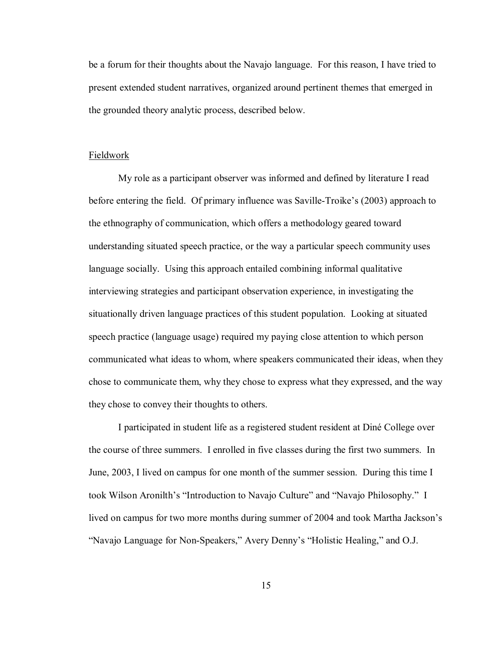be a forum for their thoughts about the Navajo language. For this reason, I have tried to present extended student narratives, organized around pertinent themes that emerged in the grounded theory analytic process, described below.

#### Fieldwork

My role as a participant observer was informed and defined by literature I read before entering the field. Of primary influence was Saville-Troike's (2003) approach to the ethnography of communication, which offers a methodology geared toward understanding situated speech practice, or the way a particular speech community uses language socially. Using this approach entailed combining informal qualitative interviewing strategies and participant observation experience, in investigating the situationally driven language practices of this student population. Looking at situated speech practice (language usage) required my paying close attention to which person communicated what ideas to whom, where speakers communicated their ideas, when they chose to communicate them, why they chose to express what they expressed, and the way they chose to convey their thoughts to others.

I participated in student life as a registered student resident at DinÈ College over the course of three summers. I enrolled in five classes during the first two summers. In June, 2003, I lived on campus for one month of the summer session. During this time I took Wilson Aronilth's "Introduction to Navajo Culture" and "Navajo Philosophy." I lived on campus for two more months during summer of 2004 and took Martha Jackson's "Navajo Language for Non-Speakers," Avery Denny's "Holistic Healing," and O.J.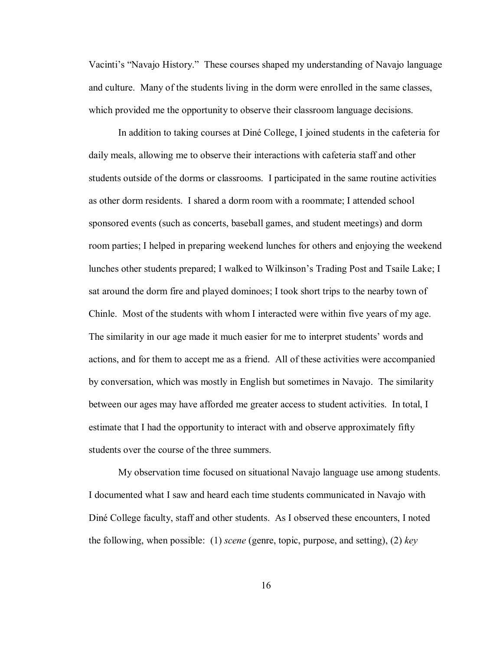Vacinti's "Navajo History." These courses shaped my understanding of Navajo language and culture. Many of the students living in the dorm were enrolled in the same classes, which provided me the opportunity to observe their classroom language decisions.

In addition to taking courses at DinÈ College, I joined students in the cafeteria for daily meals, allowing me to observe their interactions with cafeteria staff and other students outside of the dorms or classrooms. I participated in the same routine activities as other dorm residents. I shared a dorm room with a roommate; I attended school sponsored events (such as concerts, baseball games, and student meetings) and dorm room parties; I helped in preparing weekend lunches for others and enjoying the weekend lunches other students prepared; I walked to Wilkinson's Trading Post and Tsaile Lake; I sat around the dorm fire and played dominoes; I took short trips to the nearby town of Chinle. Most of the students with whom I interacted were within five years of my age. The similarity in our age made it much easier for me to interpret students' words and actions, and for them to accept me as a friend. All of these activities were accompanied by conversation, which was mostly in English but sometimes in Navajo. The similarity between our ages may have afforded me greater access to student activities. In total, I estimate that I had the opportunity to interact with and observe approximately fifty students over the course of the three summers.

My observation time focused on situational Navajo language use among students. I documented what I saw and heard each time students communicated in Navajo with DinÈ College faculty, staff and other students. As I observed these encounters, I noted the following, when possible: (1) *scene* (genre, topic, purpose, and setting), (2) *key*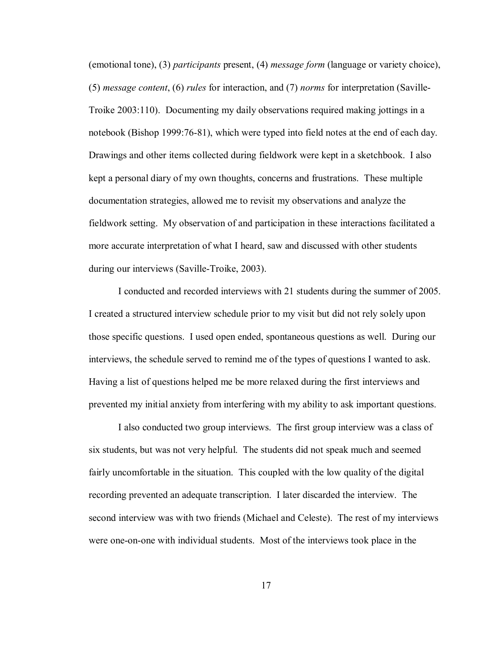(emotional tone), (3) *participants* present, (4) *message form* (language or variety choice), (5) *message content*, (6) *rules* for interaction, and (7) *norms* for interpretation (Saville-Troike 2003:110). Documenting my daily observations required making jottings in a notebook (Bishop 1999:76-81), which were typed into field notes at the end of each day. Drawings and other items collected during fieldwork were kept in a sketchbook. I also kept a personal diary of my own thoughts, concerns and frustrations. These multiple documentation strategies, allowed me to revisit my observations and analyze the fieldwork setting. My observation of and participation in these interactions facilitated a more accurate interpretation of what I heard, saw and discussed with other students during our interviews (Saville-Troike, 2003).

I conducted and recorded interviews with 21 students during the summer of 2005. I created a structured interview schedule prior to my visit but did not rely solely upon those specific questions. I used open ended, spontaneous questions as well. During our interviews, the schedule served to remind me of the types of questions I wanted to ask. Having a list of questions helped me be more relaxed during the first interviews and prevented my initial anxiety from interfering with my ability to ask important questions.

I also conducted two group interviews. The first group interview was a class of six students, but was not very helpful. The students did not speak much and seemed fairly uncomfortable in the situation. This coupled with the low quality of the digital recording prevented an adequate transcription. I later discarded the interview. The second interview was with two friends (Michael and Celeste). The rest of my interviews were one-on-one with individual students. Most of the interviews took place in the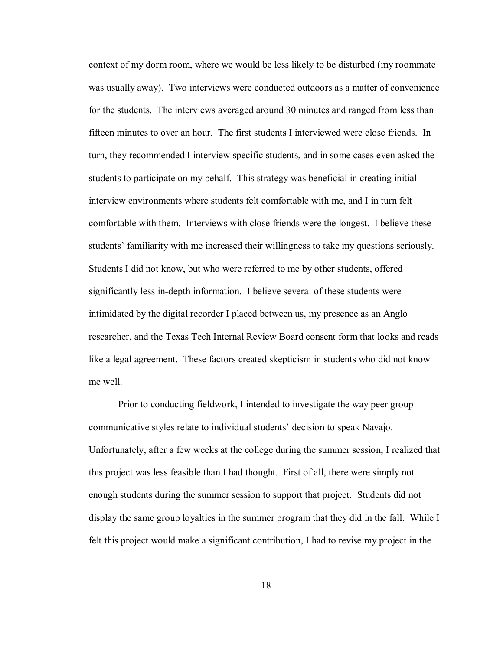context of my dorm room, where we would be less likely to be disturbed (my roommate was usually away). Two interviews were conducted outdoors as a matter of convenience for the students. The interviews averaged around 30 minutes and ranged from less than fifteen minutes to over an hour. The first students I interviewed were close friends. In turn, they recommended I interview specific students, and in some cases even asked the students to participate on my behalf. This strategy was beneficial in creating initial interview environments where students felt comfortable with me, and I in turn felt comfortable with them. Interviews with close friends were the longest. I believe these students' familiarity with me increased their willingness to take my questions seriously. Students I did not know, but who were referred to me by other students, offered significantly less in-depth information. I believe several of these students were intimidated by the digital recorder I placed between us, my presence as an Anglo researcher, and the Texas Tech Internal Review Board consent form that looks and reads like a legal agreement. These factors created skepticism in students who did not know me well.

Prior to conducting fieldwork, I intended to investigate the way peer group communicative styles relate to individual students' decision to speak Navajo. Unfortunately, after a few weeks at the college during the summer session, I realized that this project was less feasible than I had thought. First of all, there were simply not enough students during the summer session to support that project. Students did not display the same group loyalties in the summer program that they did in the fall. While I felt this project would make a significant contribution, I had to revise my project in the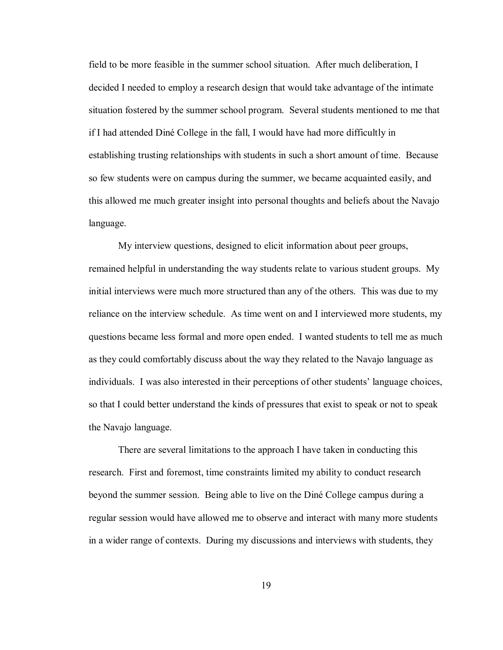field to be more feasible in the summer school situation. After much deliberation, I decided I needed to employ a research design that would take advantage of the intimate situation fostered by the summer school program. Several students mentioned to me that if I had attended DinÈ College in the fall, I would have had more difficultly in establishing trusting relationships with students in such a short amount of time. Because so few students were on campus during the summer, we became acquainted easily, and this allowed me much greater insight into personal thoughts and beliefs about the Navajo language.

My interview questions, designed to elicit information about peer groups, remained helpful in understanding the way students relate to various student groups. My initial interviews were much more structured than any of the others. This was due to my reliance on the interview schedule. As time went on and I interviewed more students, my questions became less formal and more open ended. I wanted students to tell me as much as they could comfortably discuss about the way they related to the Navajo language as individuals. I was also interested in their perceptions of other students' language choices, so that I could better understand the kinds of pressures that exist to speak or not to speak the Navajo language.

There are several limitations to the approach I have taken in conducting this research. First and foremost, time constraints limited my ability to conduct research beyond the summer session. Being able to live on the DinÈ College campus during a regular session would have allowed me to observe and interact with many more students in a wider range of contexts. During my discussions and interviews with students, they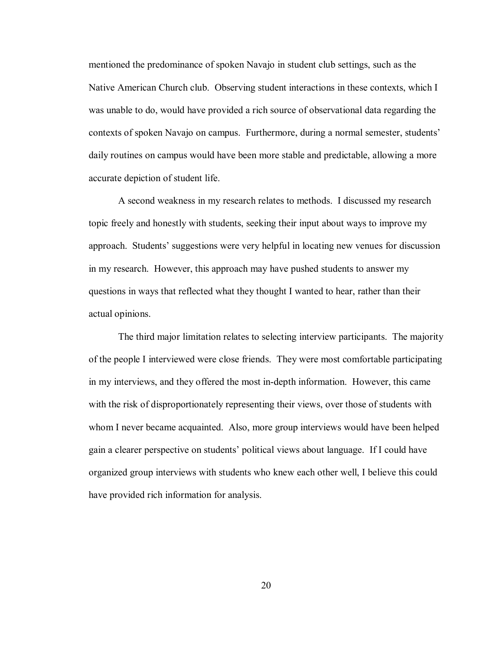mentioned the predominance of spoken Navajo in student club settings, such as the Native American Church club. Observing student interactions in these contexts, which I was unable to do, would have provided a rich source of observational data regarding the contexts of spoken Navajo on campus. Furthermore, during a normal semester, studentsí daily routines on campus would have been more stable and predictable, allowing a more accurate depiction of student life.

A second weakness in my research relates to methods. I discussed my research topic freely and honestly with students, seeking their input about ways to improve my approach. Studentsí suggestions were very helpful in locating new venues for discussion in my research. However, this approach may have pushed students to answer my questions in ways that reflected what they thought I wanted to hear, rather than their actual opinions.

The third major limitation relates to selecting interview participants. The majority of the people I interviewed were close friends. They were most comfortable participating in my interviews, and they offered the most in-depth information. However, this came with the risk of disproportionately representing their views, over those of students with whom I never became acquainted. Also, more group interviews would have been helped gain a clearer perspective on students' political views about language. If I could have organized group interviews with students who knew each other well, I believe this could have provided rich information for analysis.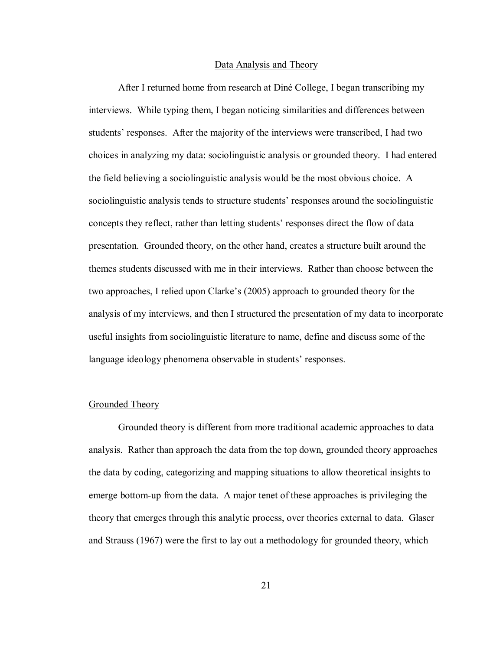#### Data Analysis and Theory

After I returned home from research at Diné College, I began transcribing my interviews. While typing them, I began noticing similarities and differences between students' responses. After the majority of the interviews were transcribed, I had two choices in analyzing my data: sociolinguistic analysis or grounded theory. I had entered the field believing a sociolinguistic analysis would be the most obvious choice. A sociolinguistic analysis tends to structure students' responses around the sociolinguistic concepts they reflect, rather than letting students' responses direct the flow of data presentation. Grounded theory, on the other hand, creates a structure built around the themes students discussed with me in their interviews. Rather than choose between the two approaches, I relied upon Clarke's (2005) approach to grounded theory for the analysis of my interviews, and then I structured the presentation of my data to incorporate useful insights from sociolinguistic literature to name, define and discuss some of the language ideology phenomena observable in students' responses.

#### Grounded Theory

Grounded theory is different from more traditional academic approaches to data analysis. Rather than approach the data from the top down, grounded theory approaches the data by coding, categorizing and mapping situations to allow theoretical insights to emerge bottom-up from the data. A major tenet of these approaches is privileging the theory that emerges through this analytic process, over theories external to data. Glaser and Strauss (1967) were the first to lay out a methodology for grounded theory, which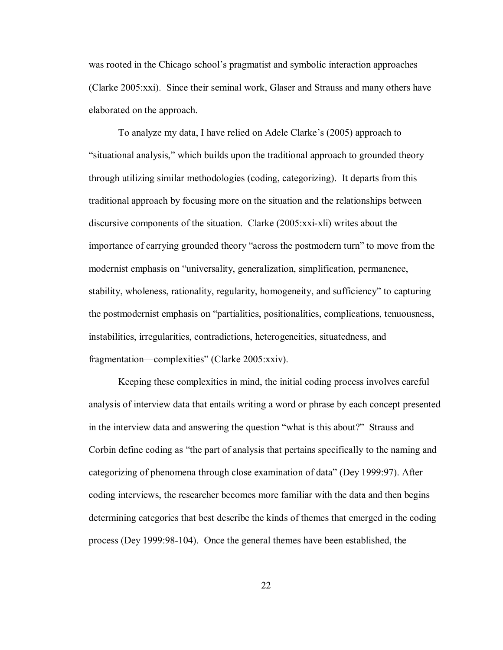was rooted in the Chicago school's pragmatist and symbolic interaction approaches (Clarke 2005:xxi). Since their seminal work, Glaser and Strauss and many others have elaborated on the approach.

To analyze my data, I have relied on Adele Clarke's (2005) approach to ìsituational analysis,î which builds upon the traditional approach to grounded theory through utilizing similar methodologies (coding, categorizing). It departs from this traditional approach by focusing more on the situation and the relationships between discursive components of the situation. Clarke (2005:xxi-xli) writes about the importance of carrying grounded theory "across the postmodern turn" to move from the modernist emphasis on "universality, generalization, simplification, permanence, stability, wholeness, rationality, regularity, homogeneity, and sufficiency" to capturing the postmodernist emphasis on "partialities, positionalities, complications, tenuousness, instabilities, irregularities, contradictions, heterogeneities, situatedness, and fragmentation—complexities" (Clarke 2005:xxiv).

Keeping these complexities in mind, the initial coding process involves careful analysis of interview data that entails writing a word or phrase by each concept presented in the interview data and answering the question "what is this about?" Strauss and Corbin define coding as "the part of analysis that pertains specifically to the naming and categorizing of phenomena through close examination of dataî (Dey 1999:97). After coding interviews, the researcher becomes more familiar with the data and then begins determining categories that best describe the kinds of themes that emerged in the coding process (Dey 1999:98-104). Once the general themes have been established, the

<u>22</u>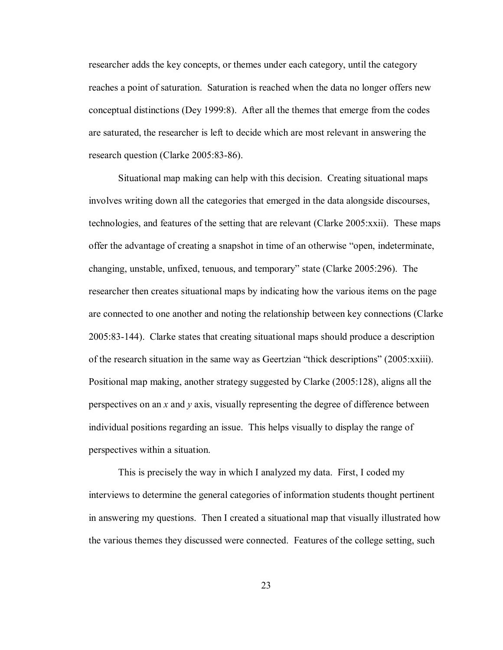researcher adds the key concepts, or themes under each category, until the category reaches a point of saturation. Saturation is reached when the data no longer offers new conceptual distinctions (Dey 1999:8). After all the themes that emerge from the codes are saturated, the researcher is left to decide which are most relevant in answering the research question (Clarke 2005:83-86).

Situational map making can help with this decision. Creating situational maps involves writing down all the categories that emerged in the data alongside discourses, technologies, and features of the setting that are relevant (Clarke 2005:xxii). These maps offer the advantage of creating a snapshot in time of an otherwise "open, indeterminate, changing, unstable, unfixed, tenuous, and temporary" state (Clarke 2005:296). The researcher then creates situational maps by indicating how the various items on the page are connected to one another and noting the relationship between key connections (Clarke 2005:83-144). Clarke states that creating situational maps should produce a description of the research situation in the same way as Geertzian "thick descriptions"  $(2005:xxiii)$ . Positional map making, another strategy suggested by Clarke (2005:128), aligns all the perspectives on an *x* and *y* axis, visually representing the degree of difference between individual positions regarding an issue. This helps visually to display the range of perspectives within a situation.

This is precisely the way in which I analyzed my data. First, I coded my interviews to determine the general categories of information students thought pertinent in answering my questions. Then I created a situational map that visually illustrated how the various themes they discussed were connected. Features of the college setting, such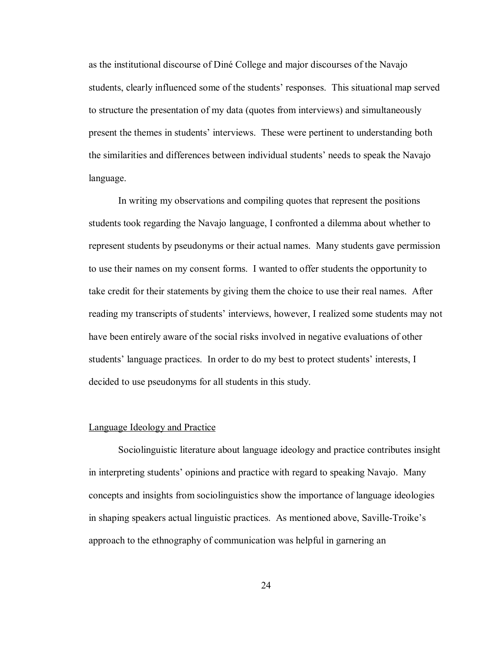as the institutional discourse of DinÈ College and major discourses of the Navajo students, clearly influenced some of the students' responses. This situational map served to structure the presentation of my data (quotes from interviews) and simultaneously present the themes in students' interviews. These were pertinent to understanding both the similarities and differences between individual students' needs to speak the Navajo language.

In writing my observations and compiling quotes that represent the positions students took regarding the Navajo language, I confronted a dilemma about whether to represent students by pseudonyms or their actual names. Many students gave permission to use their names on my consent forms. I wanted to offer students the opportunity to take credit for their statements by giving them the choice to use their real names. After reading my transcripts of students' interviews, however, I realized some students may not have been entirely aware of the social risks involved in negative evaluations of other students' language practices. In order to do my best to protect students' interests, I decided to use pseudonyms for all students in this study.

#### Language Ideology and Practice

 Sociolinguistic literature about language ideology and practice contributes insight in interpreting students' opinions and practice with regard to speaking Navajo. Many concepts and insights from sociolinguistics show the importance of language ideologies in shaping speakers actual linguistic practices. As mentioned above, Saville-Troike's approach to the ethnography of communication was helpful in garnering an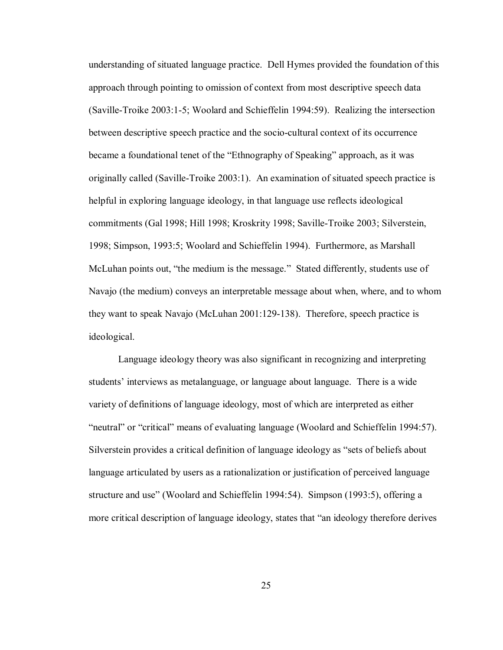understanding of situated language practice. Dell Hymes provided the foundation of this approach through pointing to omission of context from most descriptive speech data (Saville-Troike 2003:1-5; Woolard and Schieffelin 1994:59). Realizing the intersection between descriptive speech practice and the socio-cultural context of its occurrence became a foundational tenet of the "Ethnography of Speaking" approach, as it was originally called (Saville-Troike 2003:1). An examination of situated speech practice is helpful in exploring language ideology, in that language use reflects ideological commitments (Gal 1998; Hill 1998; Kroskrity 1998; Saville-Troike 2003; Silverstein, 1998; Simpson, 1993:5; Woolard and Schieffelin 1994). Furthermore, as Marshall McLuhan points out, "the medium is the message." Stated differently, students use of Navajo (the medium) conveys an interpretable message about when, where, and to whom they want to speak Navajo (McLuhan 2001:129-138). Therefore, speech practice is ideological.

Language ideology theory was also significant in recognizing and interpreting students' interviews as metalanguage, or language about language. There is a wide variety of definitions of language ideology, most of which are interpreted as either *i*neutral" or *i*critical" means of evaluating language (Woolard and Schieffelin 1994:57). Silverstein provides a critical definition of language ideology as "sets of beliefs about language articulated by users as a rationalization or justification of perceived language structure and use" (Woolard and Schieffelin 1994:54). Simpson (1993:5), offering a more critical description of language ideology, states that "an ideology therefore derives"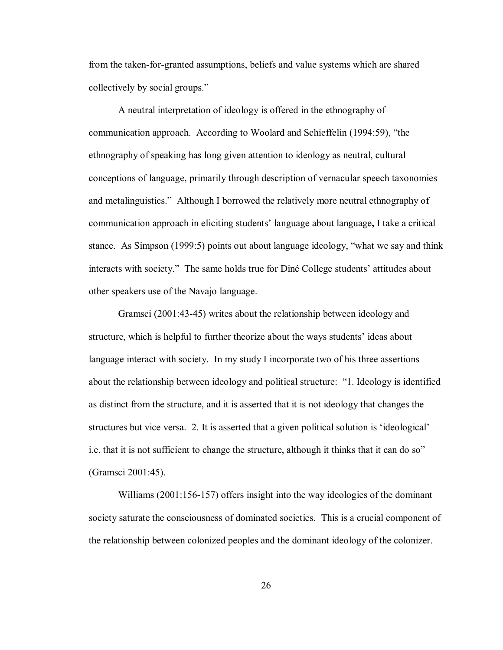from the taken-for-granted assumptions, beliefs and value systems which are shared collectively by social groups."

A neutral interpretation of ideology is offered in the ethnography of communication approach. According to Woolard and Schieffelin  $(1994.59)$ , "the ethnography of speaking has long given attention to ideology as neutral, cultural conceptions of language, primarily through description of vernacular speech taxonomies and metalinguistics." Although I borrowed the relatively more neutral ethnography of communication approach in eliciting students' language about language, I take a critical stance. As Simpson  $(1999:5)$  points out about language ideology, "what we say and think interacts with society." The same holds true for Diné College students' attitudes about other speakers use of the Navajo language.

Gramsci (2001:43-45) writes about the relationship between ideology and structure, which is helpful to further theorize about the ways students' ideas about language interact with society. In my study I incorporate two of his three assertions about the relationship between ideology and political structure: "1. Ideology is identified as distinct from the structure, and it is asserted that it is not ideology that changes the structures but vice versa. 2. It is asserted that a given political solution is 'ideological'  $$ i.e. that it is not sufficient to change the structure, although it thinks that it can do so" (Gramsci 2001:45).

Williams (2001:156-157) offers insight into the way ideologies of the dominant society saturate the consciousness of dominated societies. This is a crucial component of the relationship between colonized peoples and the dominant ideology of the colonizer.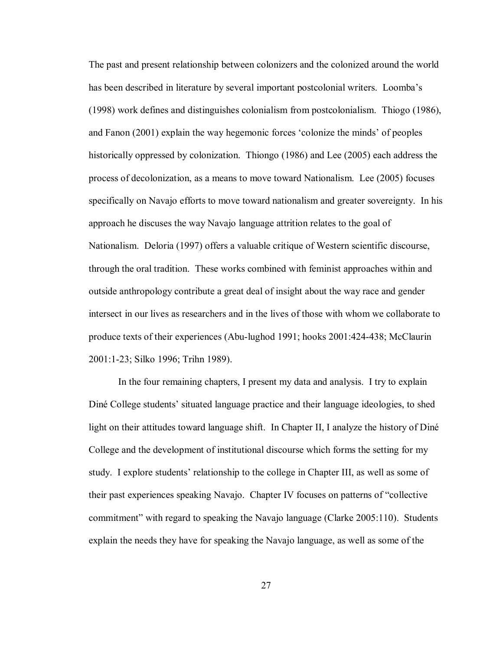The past and present relationship between colonizers and the colonized around the world has been described in literature by several important postcolonial writers. Loomba's (1998) work defines and distinguishes colonialism from postcolonialism. Thiogo (1986), and Fanon (2001) explain the way hegemonic forces 'colonize the minds' of peoples historically oppressed by colonization. Thiongo (1986) and Lee (2005) each address the process of decolonization, as a means to move toward Nationalism. Lee (2005) focuses specifically on Navajo efforts to move toward nationalism and greater sovereignty. In his approach he discuses the way Navajo language attrition relates to the goal of Nationalism. Deloria (1997) offers a valuable critique of Western scientific discourse, through the oral tradition. These works combined with feminist approaches within and outside anthropology contribute a great deal of insight about the way race and gender intersect in our lives as researchers and in the lives of those with whom we collaborate to produce texts of their experiences (Abu-lughod 1991; hooks 2001:424-438; McClaurin 2001:1-23; Silko 1996; Trihn 1989).

In the four remaining chapters, I present my data and analysis. I try to explain Diné College students' situated language practice and their language ideologies, to shed light on their attitudes toward language shift. In Chapter II, I analyze the history of Diné College and the development of institutional discourse which forms the setting for my study. I explore students' relationship to the college in Chapter III, as well as some of their past experiences speaking Navajo. Chapter IV focuses on patterns of "collective" commitmentî with regard to speaking the Navajo language (Clarke 2005:110). Students explain the needs they have for speaking the Navajo language, as well as some of the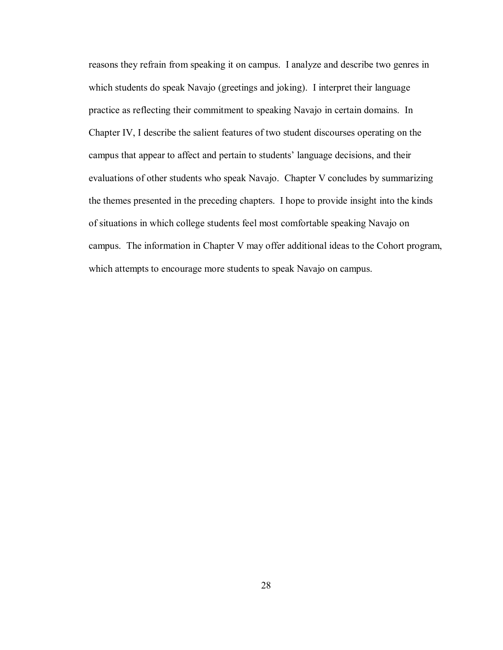reasons they refrain from speaking it on campus. I analyze and describe two genres in which students do speak Navajo (greetings and joking). I interpret their language practice as reflecting their commitment to speaking Navajo in certain domains. In Chapter IV, I describe the salient features of two student discourses operating on the campus that appear to affect and pertain to students' language decisions, and their evaluations of other students who speak Navajo. Chapter V concludes by summarizing the themes presented in the preceding chapters. I hope to provide insight into the kinds of situations in which college students feel most comfortable speaking Navajo on campus. The information in Chapter V may offer additional ideas to the Cohort program, which attempts to encourage more students to speak Navajo on campus.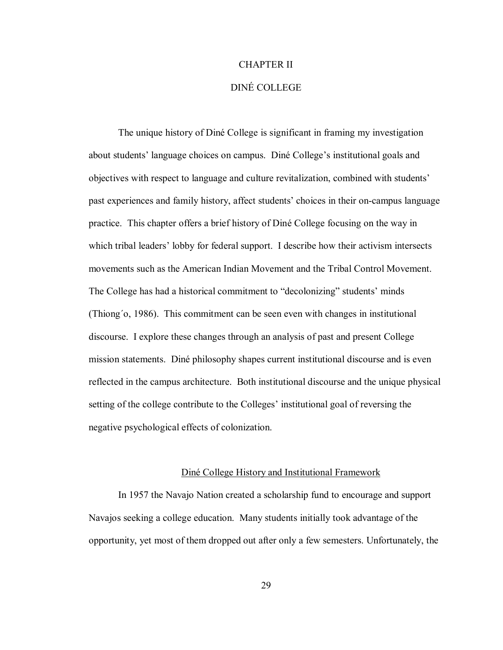## CHAPTER II

# DINÉ COLLEGE

The unique history of Diné College is significant in framing my investigation about students' language choices on campus. Diné College's institutional goals and objectives with respect to language and culture revitalization, combined with students' past experiences and family history, affect students' choices in their on-campus language practice. This chapter offers a brief history of Diné College focusing on the way in which tribal leaders' lobby for federal support. I describe how their activism intersects movements such as the American Indian Movement and the Tribal Control Movement. The College has had a historical commitment to "decolonizing" students' minds (Thiong΄o, 1986). This commitment can be seen even with changes in institutional discourse. I explore these changes through an analysis of past and present College mission statements. DinÈ philosophy shapes current institutional discourse and is even reflected in the campus architecture. Both institutional discourse and the unique physical setting of the college contribute to the Colleges' institutional goal of reversing the negative psychological effects of colonization.

#### Diné College History and Institutional Framework

In 1957 the Navajo Nation created a scholarship fund to encourage and support Navajos seeking a college education. Many students initially took advantage of the opportunity, yet most of them dropped out after only a few semesters. Unfortunately, the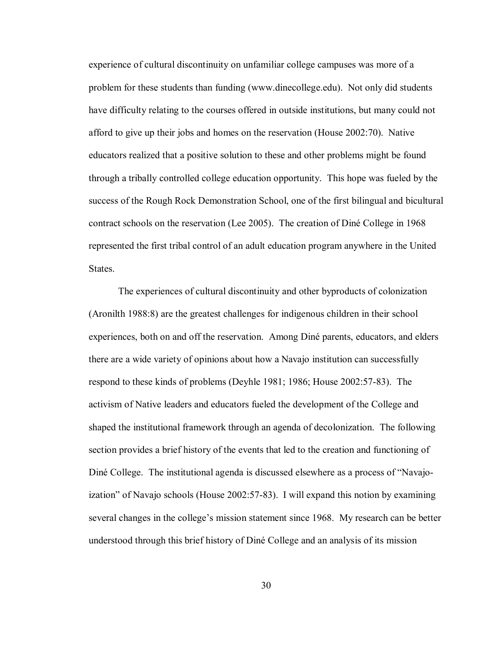experience of cultural discontinuity on unfamiliar college campuses was more of a problem for these students than funding (www.dinecollege.edu). Not only did students have difficulty relating to the courses offered in outside institutions, but many could not afford to give up their jobs and homes on the reservation (House 2002:70). Native educators realized that a positive solution to these and other problems might be found through a tribally controlled college education opportunity. This hope was fueled by the success of the Rough Rock Demonstration School, one of the first bilingual and bicultural contract schools on the reservation (Lee 2005). The creation of DinÈ College in 1968 represented the first tribal control of an adult education program anywhere in the United States.

The experiences of cultural discontinuity and other byproducts of colonization (Aronilth 1988:8) are the greatest challenges for indigenous children in their school experiences, both on and off the reservation. Among Diné parents, educators, and elders there are a wide variety of opinions about how a Navajo institution can successfully respond to these kinds of problems (Deyhle 1981; 1986; House 2002:57-83). The activism of Native leaders and educators fueled the development of the College and shaped the institutional framework through an agenda of decolonization. The following section provides a brief history of the events that led to the creation and functioning of Diné College. The institutional agenda is discussed elsewhere as a process of "Navajoization" of Navajo schools (House 2002:57-83). I will expand this notion by examining several changes in the college's mission statement since 1968. My research can be better understood through this brief history of DinÈ College and an analysis of its mission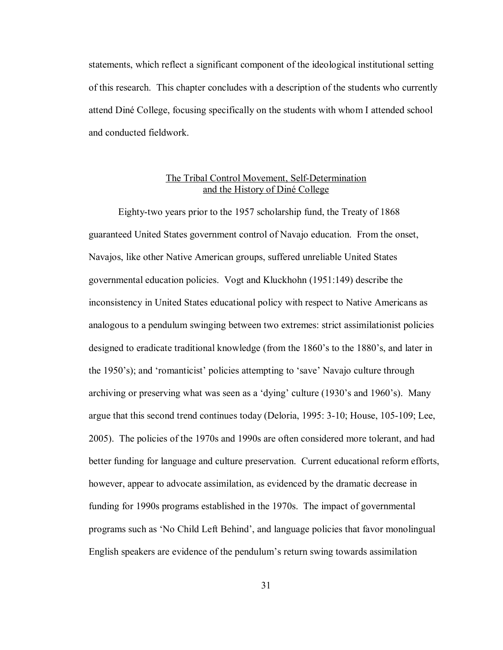statements, which reflect a significant component of the ideological institutional setting of this research. This chapter concludes with a description of the students who currently attend DinÈ College, focusing specifically on the students with whom I attended school and conducted fieldwork.

# The Tribal Control Movement, Self-Determination and the History of Diné College

Eighty-two years prior to the 1957 scholarship fund, the Treaty of 1868 guaranteed United States government control of Navajo education. From the onset, Navajos, like other Native American groups, suffered unreliable United States governmental education policies. Vogt and Kluckhohn (1951:149) describe the inconsistency in United States educational policy with respect to Native Americans as analogous to a pendulum swinging between two extremes: strict assimilationist policies designed to eradicate traditional knowledge (from the 1860's to the 1880's, and later in the 1950's); and 'romanticist' policies attempting to 'save' Navajo culture through archiving or preserving what was seen as a 'dying' culture  $(1930)$ 's and  $1960$ 's). Many argue that this second trend continues today (Deloria, 1995: 3-10; House, 105-109; Lee, 2005). The policies of the 1970s and 1990s are often considered more tolerant, and had better funding for language and culture preservation. Current educational reform efforts, however, appear to advocate assimilation, as evidenced by the dramatic decrease in funding for 1990s programs established in the 1970s. The impact of governmental programs such as 'No Child Left Behind', and language policies that favor monolingual English speakers are evidence of the pendulum's return swing towards assimilation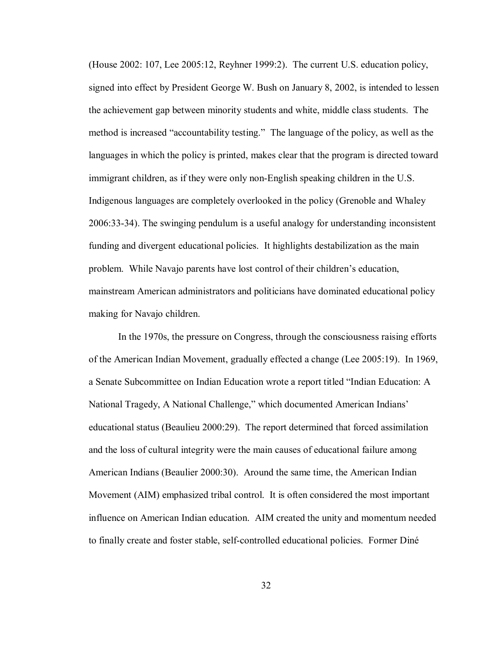(House 2002: 107, Lee 2005:12, Reyhner 1999:2). The current U.S. education policy, signed into effect by President George W. Bush on January 8, 2002, is intended to lessen the achievement gap between minority students and white, middle class students. The method is increased "accountability testing." The language of the policy, as well as the languages in which the policy is printed, makes clear that the program is directed toward immigrant children, as if they were only non-English speaking children in the U.S. Indigenous languages are completely overlooked in the policy (Grenoble and Whaley 2006:33-34). The swinging pendulum is a useful analogy for understanding inconsistent funding and divergent educational policies. It highlights destabilization as the main problem. While Navajo parents have lost control of their children's education, mainstream American administrators and politicians have dominated educational policy making for Navajo children.

In the 1970s, the pressure on Congress, through the consciousness raising efforts of the American Indian Movement, gradually effected a change (Lee 2005:19). In 1969, a Senate Subcommittee on Indian Education wrote a report titled "Indian Education: A National Tragedy, A National Challenge," which documented American Indians' educational status (Beaulieu 2000:29). The report determined that forced assimilation and the loss of cultural integrity were the main causes of educational failure among American Indians (Beaulier 2000:30). Around the same time, the American Indian Movement (AIM) emphasized tribal control. It is often considered the most important influence on American Indian education. AIM created the unity and momentum needed to finally create and foster stable, self-controlled educational policies. Former DinÈ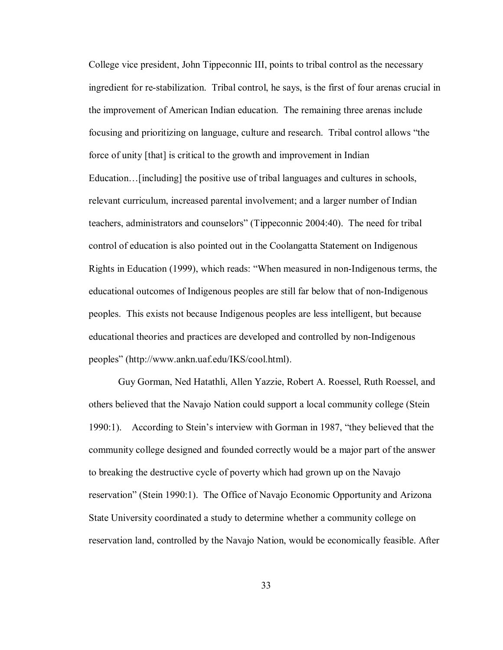College vice president, John Tippeconnic III, points to tribal control as the necessary ingredient for re-stabilization. Tribal control, he says, is the first of four arenas crucial in the improvement of American Indian education. The remaining three arenas include focusing and prioritizing on language, culture and research. Tribal control allows "the force of unity [that] is critical to the growth and improvement in Indian Education... [including] the positive use of tribal languages and cultures in schools, relevant curriculum, increased parental involvement; and a larger number of Indian teachers, administrators and counselors" (Tippeconnic 2004:40). The need for tribal control of education is also pointed out in the Coolangatta Statement on Indigenous Rights in Education (1999), which reads: "When measured in non-Indigenous terms, the educational outcomes of Indigenous peoples are still far below that of non-Indigenous peoples. This exists not because Indigenous peoples are less intelligent, but because educational theories and practices are developed and controlled by non-Indigenous peoplesî (http://www.ankn.uaf.edu/IKS/cool.html).

Guy Gorman, Ned Hatathli, Allen Yazzie, Robert A. Roessel, Ruth Roessel, and others believed that the Navajo Nation could support a local community college (Stein 1990:1). According to Stein's interview with Gorman in 1987, "they believed that the community college designed and founded correctly would be a major part of the answer to breaking the destructive cycle of poverty which had grown up on the Navajo reservationî (Stein 1990:1). The Office of Navajo Economic Opportunity and Arizona State University coordinated a study to determine whether a community college on reservation land, controlled by the Navajo Nation, would be economically feasible. After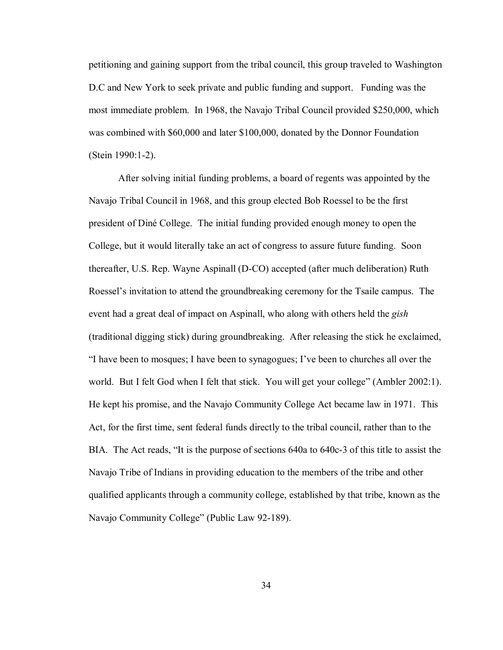petitioning and gaining support from the tribal council, this group traveled to Washington D.C and New York to seek private and public funding and support. Funding was the most immediate problem. In 1968, the Navajo Tribal Council provided \$250,000, which was combined with \$60,000 and later \$100,000, donated by the Donnor Foundation (Stein 1990:1-2).

After solving initial funding problems, a board of regents was appointed by the Navajo Tribal Council in 1968, and this group elected Bob Roessel to be the first president of DinÈ College. The initial funding provided enough money to open the College, but it would literally take an act of congress to assure future funding. Soon thereafter, U.S. Rep. Wayne Aspinall (D-CO) accepted (after much deliberation) Ruth Roessel's invitation to attend the groundbreaking ceremony for the Tsaile campus. The event had a great deal of impact on Aspinall, who along with others held the *gish* (traditional digging stick) during groundbreaking. After releasing the stick he exclaimed,  $\hat{I}$  have been to mosques; I have been to synagogues; I've been to churches all over the world. But I felt God when I felt that stick. You will get your college" (Ambler 2002:1). He kept his promise, and the Navajo Community College Act became law in 1971. This Act, for the first time, sent federal funds directly to the tribal council, rather than to the BIA. The Act reads, "It is the purpose of sections 640a to 640c-3 of this title to assist the Navajo Tribe of Indians in providing education to the members of the tribe and other qualified applicants through a community college, established by that tribe, known as the Navajo Community College" (Public Law 92-189).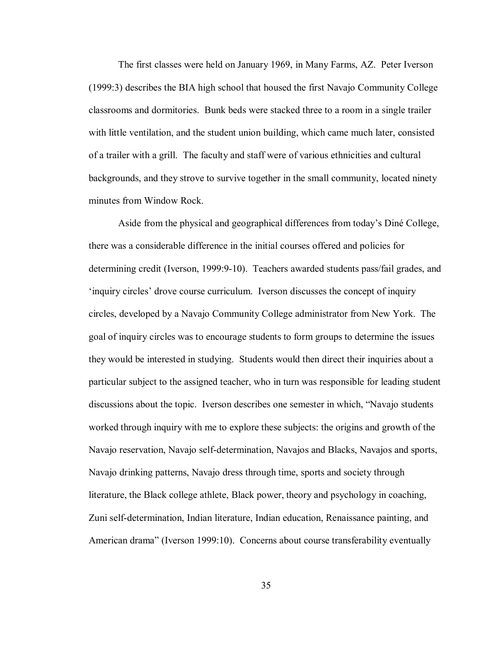The first classes were held on January 1969, in Many Farms, AZ. Peter Iverson (1999:3) describes the BIA high school that housed the first Navajo Community College classrooms and dormitories. Bunk beds were stacked three to a room in a single trailer with little ventilation, and the student union building, which came much later, consisted of a trailer with a grill. The faculty and staff were of various ethnicities and cultural backgrounds, and they strove to survive together in the small community, located ninety minutes from Window Rock.

Aside from the physical and geographical differences from today's Diné College, there was a considerable difference in the initial courses offered and policies for determining credit (Iverson, 1999:9-10). Teachers awarded students pass/fail grades, and inquiry circles' drove course curriculum. Iverson discusses the concept of inquiry circles, developed by a Navajo Community College administrator from New York. The goal of inquiry circles was to encourage students to form groups to determine the issues they would be interested in studying. Students would then direct their inquiries about a particular subject to the assigned teacher, who in turn was responsible for leading student discussions about the topic. Iverson describes one semester in which, "Navajo students" worked through inquiry with me to explore these subjects: the origins and growth of the Navajo reservation, Navajo self-determination, Navajos and Blacks, Navajos and sports, Navajo drinking patterns, Navajo dress through time, sports and society through literature, the Black college athlete, Black power, theory and psychology in coaching, Zuni self-determination, Indian literature, Indian education, Renaissance painting, and American drama" (Iverson 1999:10). Concerns about course transferability eventually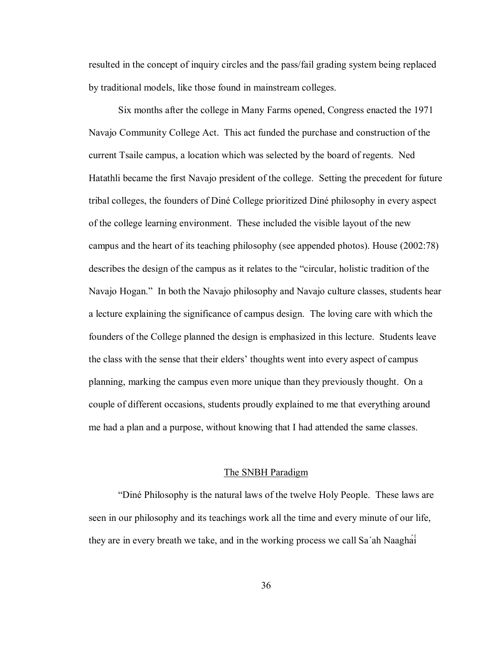resulted in the concept of inquiry circles and the pass/fail grading system being replaced by traditional models, like those found in mainstream colleges.

Six months after the college in Many Farms opened, Congress enacted the 1971 Navajo Community College Act. This act funded the purchase and construction of the current Tsaile campus, a location which was selected by the board of regents. Ned Hatathli became the first Navajo president of the college. Setting the precedent for future tribal colleges, the founders of DinÈ College prioritized DinÈ philosophy in every aspect of the college learning environment. These included the visible layout of the new campus and the heart of its teaching philosophy (see appended photos). House (2002:78) describes the design of the campus as it relates to the "circular, holistic tradition of the Navajo Hogan." In both the Navajo philosophy and Navajo culture classes, students hear a lecture explaining the significance of campus design. The loving care with which the founders of the College planned the design is emphasized in this lecture. Students leave the class with the sense that their elders' thoughts went into every aspect of campus planning, marking the campus even more unique than they previously thought. On a couple of different occasions, students proudly explained to me that everything around me had a plan and a purpose, without knowing that I had attended the same classes.

#### The SNBH Paradigm

ìDinÈ Philosophy is the natural laws of the twelve Holy People. These laws are seen in our philosophy and its teachings work all the time and every minute of our life, they are in every breath we take, and in the working process we call Sa΄ah Naagháí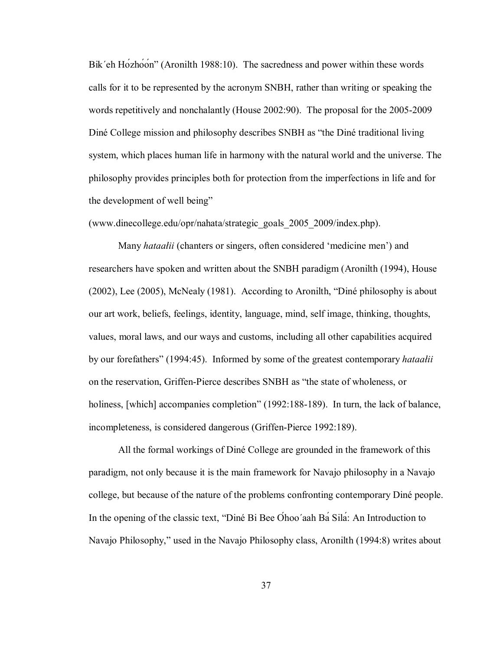Bik'eh Hozhoon<sup>3</sup> (Aronilth 1988:10). The sacredness and power within these words calls for it to be represented by the acronym SNBH, rather than writing or speaking the words repetitively and nonchalantly (House 2002:90). The proposal for the 2005-2009 Diné College mission and philosophy describes SNBH as "the Diné traditional living system, which places human life in harmony with the natural world and the universe. The philosophy provides principles both for protection from the imperfections in life and for the development of well being"

(www.dinecollege.edu/opr/nahata/strategic\_goals\_2005\_2009/index.php).

Many *hataalii* (chanters or singers, often considered 'medicine men') and researchers have spoken and written about the SNBH paradigm (Aronilth (1994), House  $(2002)$ , Lee  $(2005)$ , McNealy  $(1981)$ . According to Aronilth, "Diné philosophy is about our art work, beliefs, feelings, identity, language, mind, self image, thinking, thoughts, values, moral laws, and our ways and customs, including all other capabilities acquired by our forefathersî (1994:45). Informed by some of the greatest contemporary *hataałii* on the reservation, Griffen-Pierce describes SNBH as "the state of wholeness, or holiness, [which] accompanies completion" (1992:188-189). In turn, the lack of balance, incompleteness, is considered dangerous (Griffen-Pierce 1992:189).

All the formal workings of Diné College are grounded in the framework of this paradigm, not only because it is the main framework for Navajo philosophy in a Navajo college, but because of the nature of the problems confronting contemporary DinÈ people. In the opening of the classic text, "Diné Bi Bee Ohoo'aah Ba Sila: An Introduction to Navajo Philosophy," used in the Navajo Philosophy class, Aronilth (1994:8) writes about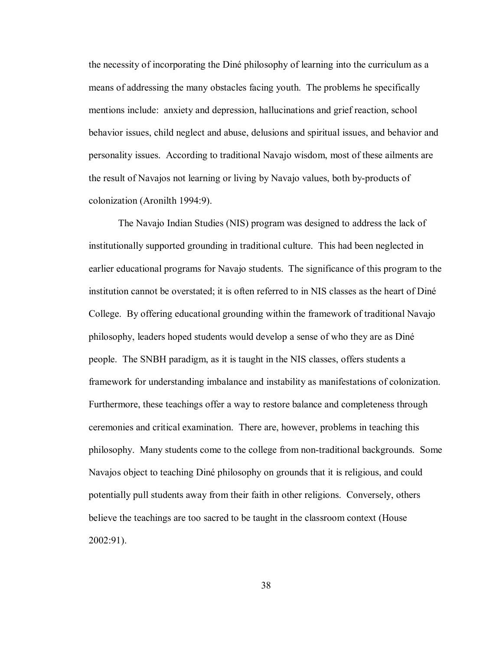the necessity of incorporating the DinÈ philosophy of learning into the curriculum as a means of addressing the many obstacles facing youth. The problems he specifically mentions include: anxiety and depression, hallucinations and grief reaction, school behavior issues, child neglect and abuse, delusions and spiritual issues, and behavior and personality issues. According to traditional Navajo wisdom, most of these ailments are the result of Navajos not learning or living by Navajo values, both by-products of colonization (Aronilth 1994:9).

The Navajo Indian Studies (NIS) program was designed to address the lack of institutionally supported grounding in traditional culture. This had been neglected in earlier educational programs for Navajo students. The significance of this program to the institution cannot be overstated; it is often referred to in NIS classes as the heart of Diné College. By offering educational grounding within the framework of traditional Navajo philosophy, leaders hoped students would develop a sense of who they are as DinÈ people. The SNBH paradigm, as it is taught in the NIS classes, offers students a framework for understanding imbalance and instability as manifestations of colonization. Furthermore, these teachings offer a way to restore balance and completeness through ceremonies and critical examination. There are, however, problems in teaching this philosophy. Many students come to the college from non-traditional backgrounds. Some Navajos object to teaching Diné philosophy on grounds that it is religious, and could potentially pull students away from their faith in other religions. Conversely, others believe the teachings are too sacred to be taught in the classroom context (House 2002:91).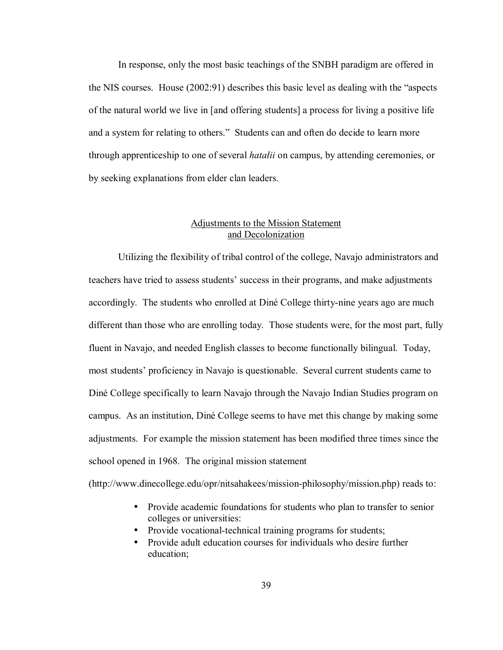In response, only the most basic teachings of the SNBH paradigm are offered in the NIS courses. House  $(2002.91)$  describes this basic level as dealing with the "aspects" of the natural world we live in [and offering students] a process for living a positive life and a system for relating to others." Students can and often do decide to learn more through apprenticeship to one of several *hatałii* on campus, by attending ceremonies, or by seeking explanations from elder clan leaders.

# Adjustments to the Mission Statement and Decolonization

Utilizing the flexibility of tribal control of the college, Navajo administrators and teachers have tried to assess students' success in their programs, and make adjustments accordingly. The students who enrolled at Diné College thirty-nine years ago are much different than those who are enrolling today. Those students were, for the most part, fully fluent in Navajo, and needed English classes to become functionally bilingual. Today, most studentsí proficiency in Navajo is questionable. Several current students came to DinÈ College specifically to learn Navajo through the Navajo Indian Studies program on campus. As an institution, DinÈ College seems to have met this change by making some adjustments. For example the mission statement has been modified three times since the school opened in 1968. The original mission statement

(http://www.dinecollege.edu/opr/nitsahakees/mission-philosophy/mission.php) reads to:

- Provide academic foundations for students who plan to transfer to senior colleges or universities:
- Provide vocational-technical training programs for students;
- Provide adult education courses for individuals who desire further education;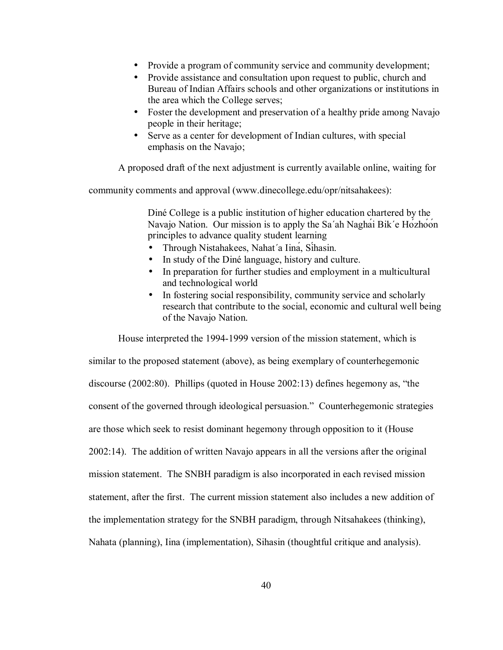- Provide a program of community service and community development;
- Provide assistance and consultation upon request to public, church and Bureau of Indian Affairs schools and other organizations or institutions in the area which the College serves;
- Foster the development and preservation of a healthy pride among Navajo people in their heritage;
- Serve as a center for development of Indian cultures, with special emphasis on the Navajo;

A proposed draft of the next adjustment is currently available online, waiting for

community comments and approval (www.dinecollege.edu/opr/nitsahakees):

Diné College is a public institution of higher education chartered by the Navajo Nation. Our mission is to apply the Sa΄ah Naghái Bik΄e Hózhóón principles to advance quality student learning

- Through Nistahakees, Nahat΄a Iiná, Síhasin.
- In study of the Diné language, history and culture.
- In preparation for further studies and employment in a multicultural and technological world
- In fostering social responsibility, community service and scholarly research that contribute to the social, economic and cultural well being of the Navajo Nation.

House interpreted the 1994-1999 version of the mission statement, which is similar to the proposed statement (above), as being exemplary of counterhegemonic discourse  $(2002:80)$ . Phillips (quoted in House  $2002:13$ ) defines hegemony as, "the consent of the governed through ideological persuasion." Counterhegemonic strategies are those which seek to resist dominant hegemony through opposition to it (House 2002:14). The addition of written Navajo appears in all the versions after the original mission statement. The SNBH paradigm is also incorporated in each revised mission statement, after the first. The current mission statement also includes a new addition of the implementation strategy for the SNBH paradigm, through Nitsahakees (thinking), Nahata (planning), Iina (implementation), Sihasin (thoughtful critique and analysis).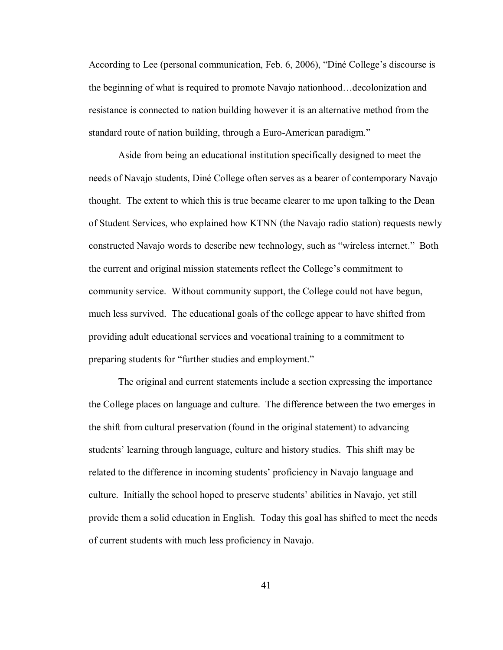According to Lee (personal communication, Feb. 6, 2006), "Diné College's discourse is the beginning of what is required to promote Navajo nationhood...decolonization and resistance is connected to nation building however it is an alternative method from the standard route of nation building, through a Euro-American paradigm."

Aside from being an educational institution specifically designed to meet the needs of Navajo students, DinÈ College often serves as a bearer of contemporary Navajo thought. The extent to which this is true became clearer to me upon talking to the Dean of Student Services, who explained how KTNN (the Navajo radio station) requests newly constructed Navajo words to describe new technology, such as "wireless internet." Both the current and original mission statements reflect the College's commitment to community service. Without community support, the College could not have begun, much less survived. The educational goals of the college appear to have shifted from providing adult educational services and vocational training to a commitment to preparing students for "further studies and employment."

The original and current statements include a section expressing the importance the College places on language and culture. The difference between the two emerges in the shift from cultural preservation (found in the original statement) to advancing students' learning through language, culture and history studies. This shift may be related to the difference in incoming students' proficiency in Navajo language and culture. Initially the school hoped to preserve studentsí abilities in Navajo, yet still provide them a solid education in English. Today this goal has shifted to meet the needs of current students with much less proficiency in Navajo.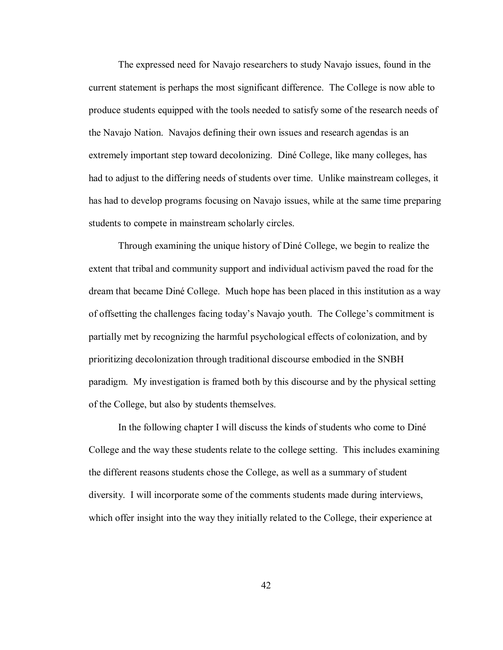The expressed need for Navajo researchers to study Navajo issues, found in the current statement is perhaps the most significant difference. The College is now able to produce students equipped with the tools needed to satisfy some of the research needs of the Navajo Nation. Navajos defining their own issues and research agendas is an extremely important step toward decolonizing. Diné College, like many colleges, has had to adjust to the differing needs of students over time. Unlike mainstream colleges, it has had to develop programs focusing on Navajo issues, while at the same time preparing students to compete in mainstream scholarly circles.

Through examining the unique history of Diné College, we begin to realize the extent that tribal and community support and individual activism paved the road for the dream that became Diné College. Much hope has been placed in this institution as a way of offsetting the challenges facing today's Navajo youth. The College's commitment is partially met by recognizing the harmful psychological effects of colonization, and by prioritizing decolonization through traditional discourse embodied in the SNBH paradigm. My investigation is framed both by this discourse and by the physical setting of the College, but also by students themselves.

In the following chapter I will discuss the kinds of students who come to DinÈ College and the way these students relate to the college setting. This includes examining the different reasons students chose the College, as well as a summary of student diversity. I will incorporate some of the comments students made during interviews, which offer insight into the way they initially related to the College, their experience at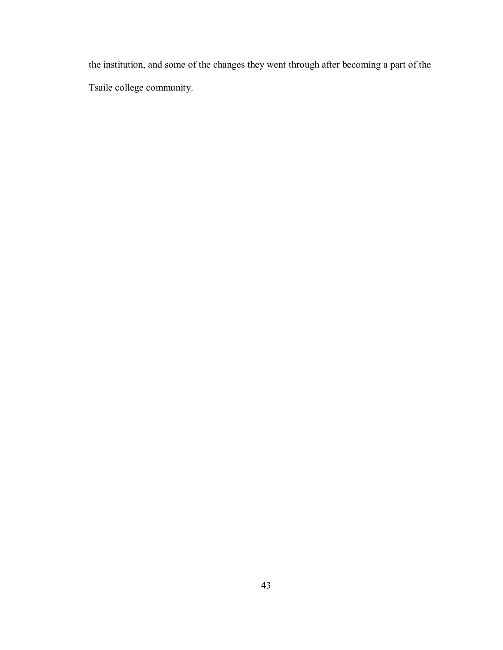the institution, and some of the changes they went through after becoming a part of the Tsaile college community.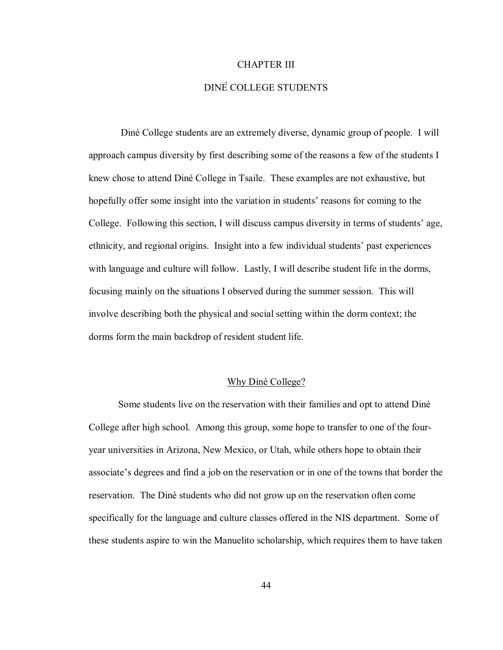# CHAPTER III

# DINÉ COLLEGE STUDENTS

 DinÈ College students are an extremely diverse, dynamic group of people. I will approach campus diversity by first describing some of the reasons a few of the students I knew chose to attend DinÈ College in Tsaile. These examples are not exhaustive, but hopefully offer some insight into the variation in students' reasons for coming to the College. Following this section, I will discuss campus diversity in terms of students' age, ethnicity, and regional origins. Insight into a few individual students' past experiences with language and culture will follow. Lastly, I will describe student life in the dorms, focusing mainly on the situations I observed during the summer session. This will involve describing both the physical and social setting within the dorm context; the dorms form the main backdrop of resident student life.

#### Why Diné College?

Some students live on the reservation with their families and opt to attend DinÈ College after high school. Among this group, some hope to transfer to one of the fouryear universities in Arizona, New Mexico, or Utah, while others hope to obtain their associate's degrees and find a job on the reservation or in one of the towns that border the reservation. The DinÈ students who did not grow up on the reservation often come specifically for the language and culture classes offered in the NIS department. Some of these students aspire to win the Manuelito scholarship, which requires them to have taken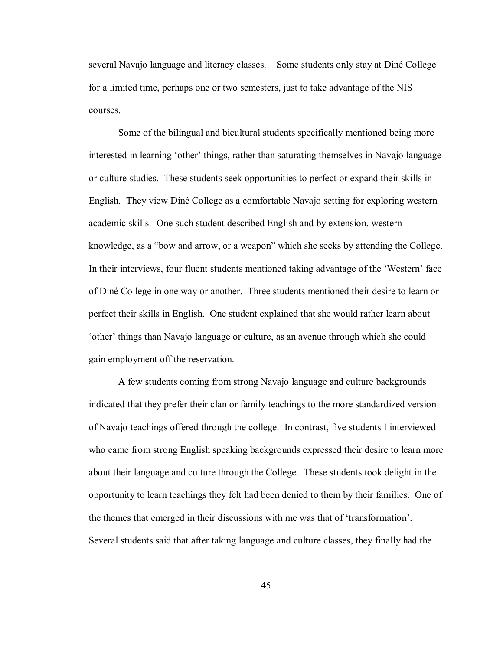several Navajo language and literacy classes. Some students only stay at Diné College for a limited time, perhaps one or two semesters, just to take advantage of the NIS courses.

Some of the bilingual and bicultural students specifically mentioned being more interested in learning 'other' things, rather than saturating themselves in Navajo language or culture studies. These students seek opportunities to perfect or expand their skills in English. They view Diné College as a comfortable Navajo setting for exploring western academic skills. One such student described English and by extension, western knowledge, as a "bow and arrow, or a weapon" which she seeks by attending the College. In their interviews, four fluent students mentioned taking advantage of the 'Western' face of DinÈ College in one way or another. Three students mentioned their desire to learn or perfect their skills in English. One student explained that she would rather learn about tother' things than Navajo language or culture, as an avenue through which she could gain employment off the reservation.

A few students coming from strong Navajo language and culture backgrounds indicated that they prefer their clan or family teachings to the more standardized version of Navajo teachings offered through the college. In contrast, five students I interviewed who came from strong English speaking backgrounds expressed their desire to learn more about their language and culture through the College. These students took delight in the opportunity to learn teachings they felt had been denied to them by their families. One of the themes that emerged in their discussions with me was that of 'transformation'. Several students said that after taking language and culture classes, they finally had the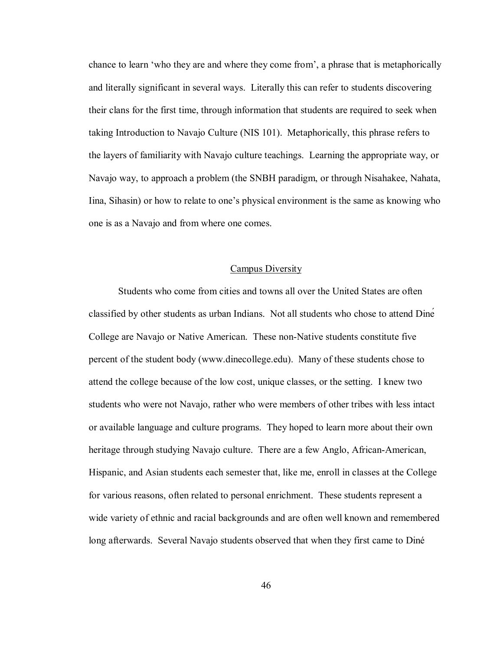chance to learn 'who they are and where they come from', a phrase that is metaphorically and literally significant in several ways. Literally this can refer to students discovering their clans for the first time, through information that students are required to seek when taking Introduction to Navajo Culture (NIS 101). Metaphorically, this phrase refers to the layers of familiarity with Navajo culture teachings. Learning the appropriate way, or Navajo way, to approach a problem (the SNBH paradigm, or through Nisahakee, Nahata, Iina, Sihasin) or how to relate to one's physical environment is the same as knowing who one is as a Navajo and from where one comes.

#### Campus Diversity

Students who come from cities and towns all over the United States are often classified by other students as urban Indians. Not all students who chose to attend Diné College are Navajo or Native American. These non-Native students constitute five percent of the student body (www.dinecollege.edu). Many of these students chose to attend the college because of the low cost, unique classes, or the setting. I knew two students who were not Navajo, rather who were members of other tribes with less intact or available language and culture programs. They hoped to learn more about their own heritage through studying Navajo culture. There are a few Anglo, African-American, Hispanic, and Asian students each semester that, like me, enroll in classes at the College for various reasons, often related to personal enrichment. These students represent a wide variety of ethnic and racial backgrounds and are often well known and remembered long afterwards. Several Navajo students observed that when they first came to Diné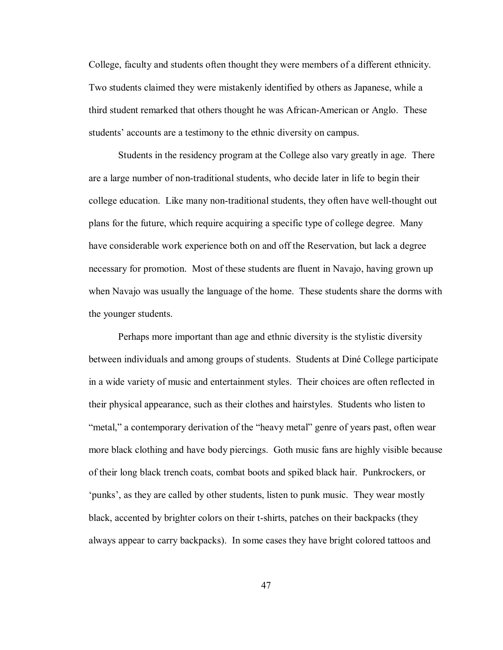College, faculty and students often thought they were members of a different ethnicity. Two students claimed they were mistakenly identified by others as Japanese, while a third student remarked that others thought he was African-American or Anglo. These students' accounts are a testimony to the ethnic diversity on campus.

Students in the residency program at the College also vary greatly in age. There are a large number of non-traditional students, who decide later in life to begin their college education. Like many non-traditional students, they often have well-thought out plans for the future, which require acquiring a specific type of college degree. Many have considerable work experience both on and off the Reservation, but lack a degree necessary for promotion. Most of these students are fluent in Navajo, having grown up when Navajo was usually the language of the home. These students share the dorms with the younger students.

Perhaps more important than age and ethnic diversity is the stylistic diversity between individuals and among groups of students. Students at DinÈ College participate in a wide variety of music and entertainment styles. Their choices are often reflected in their physical appearance, such as their clothes and hairstyles. Students who listen to *imetal,*" a contemporary derivation of the *"heavy metal"* genre of years past, often wear more black clothing and have body piercings. Goth music fans are highly visible because of their long black trench coats, combat boots and spiked black hair. Punkrockers, or ëpunksí, as they are called by other students, listen to punk music. They wear mostly black, accented by brighter colors on their t-shirts, patches on their backpacks (they always appear to carry backpacks). In some cases they have bright colored tattoos and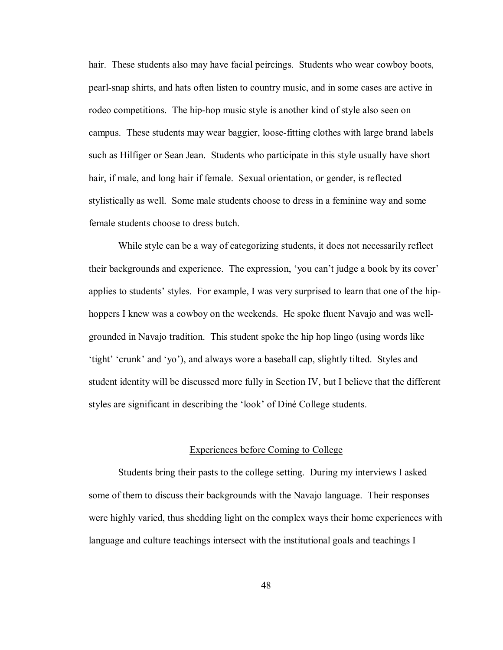hair. These students also may have facial peircings. Students who wear cowboy boots, pearl-snap shirts, and hats often listen to country music, and in some cases are active in rodeo competitions. The hip-hop music style is another kind of style also seen on campus. These students may wear baggier, loose-fitting clothes with large brand labels such as Hilfiger or Sean Jean. Students who participate in this style usually have short hair, if male, and long hair if female. Sexual orientation, or gender, is reflected stylistically as well. Some male students choose to dress in a feminine way and some female students choose to dress butch.

While style can be a way of categorizing students, it does not necessarily reflect their backgrounds and experience. The expression, 'you can't judge a book by its cover' applies to students' styles. For example, I was very surprised to learn that one of the hiphoppers I knew was a cowboy on the weekends. He spoke fluent Navajo and was wellgrounded in Navajo tradition. This student spoke the hip hop lingo (using words like 'tight' 'crunk' and 'yo'), and always wore a baseball cap, slightly tilted. Styles and student identity will be discussed more fully in Section IV, but I believe that the different styles are significant in describing the 'look' of Diné College students.

# Experiences before Coming to College

 Students bring their pasts to the college setting. During my interviews I asked some of them to discuss their backgrounds with the Navajo language. Their responses were highly varied, thus shedding light on the complex ways their home experiences with language and culture teachings intersect with the institutional goals and teachings I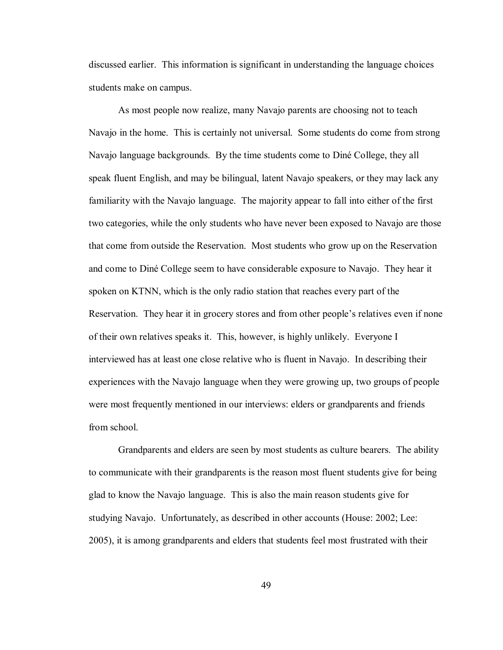discussed earlier. This information is significant in understanding the language choices students make on campus.

 As most people now realize, many Navajo parents are choosing not to teach Navajo in the home. This is certainly not universal. Some students do come from strong Navajo language backgrounds. By the time students come to DinÈ College, they all speak fluent English, and may be bilingual, latent Navajo speakers, or they may lack any familiarity with the Navajo language. The majority appear to fall into either of the first two categories, while the only students who have never been exposed to Navajo are those that come from outside the Reservation. Most students who grow up on the Reservation and come to DinÈ College seem to have considerable exposure to Navajo. They hear it spoken on KTNN, which is the only radio station that reaches every part of the Reservation. They hear it in grocery stores and from other people's relatives even if none of their own relatives speaks it. This, however, is highly unlikely. Everyone I interviewed has at least one close relative who is fluent in Navajo. In describing their experiences with the Navajo language when they were growing up, two groups of people were most frequently mentioned in our interviews: elders or grandparents and friends from school.

 Grandparents and elders are seen by most students as culture bearers. The ability to communicate with their grandparents is the reason most fluent students give for being glad to know the Navajo language. This is also the main reason students give for studying Navajo. Unfortunately, as described in other accounts (House: 2002; Lee: 2005), it is among grandparents and elders that students feel most frustrated with their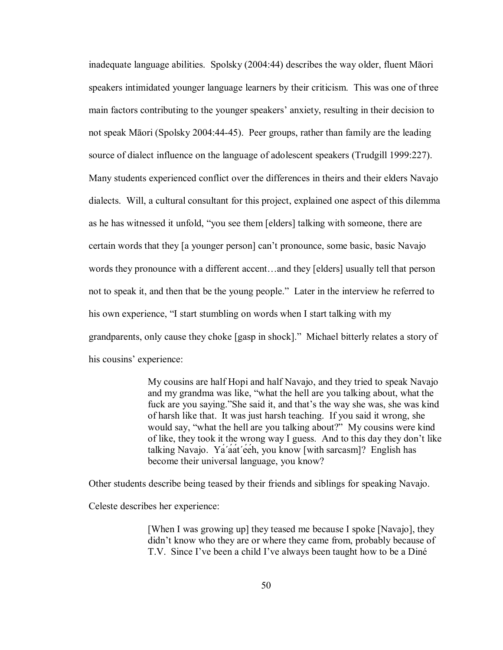inadequate language abilities. Spolsky (2004:44) describes the way older, fluent Māori speakers intimidated younger language learners by their criticism. This was one of three main factors contributing to the younger speakers' anxiety, resulting in their decision to not speak Māori (Spolsky 2004:44-45). Peer groups, rather than family are the leading source of dialect influence on the language of adolescent speakers (Trudgill 1999:227). Many students experienced conflict over the differences in theirs and their elders Navajo dialects. Will, a cultural consultant for this project, explained one aspect of this dilemma as he has witnessed it unfold, "you see them [elders] talking with someone, there are certain words that they [a younger person] canít pronounce, some basic, basic Navajo words they pronounce with a different accent...and they [elders] usually tell that person not to speak it, and then that be the young people." Later in the interview he referred to his own experience, "I start stumbling on words when I start talking with my grandparents, only cause they choke [gasp in shock]." Michael bitterly relates a story of his cousins' experience:

> My cousins are half Hopi and half Navajo, and they tried to speak Navajo and my grandma was like, "what the hell are you talking about, what the fuck are you saying."She said it, and that's the way she was, she was kind of harsh like that. It was just harsh teaching. If you said it wrong, she would say, "what the hell are you talking about?" My cousins were kind of like, they took it the wrong way I guess. And to this day they don't like talking Navajo. Yá΄áát΄ééh, you know [with sarcasm]? English has become their universal language, you know?

Other students describe being teased by their friends and siblings for speaking Navajo.

Celeste describes her experience:

[When I was growing up] they teased me because I spoke [Navajo], they didn't know who they are or where they came from, probably because of T.V. Since I've been a child I've always been taught how to be a Diné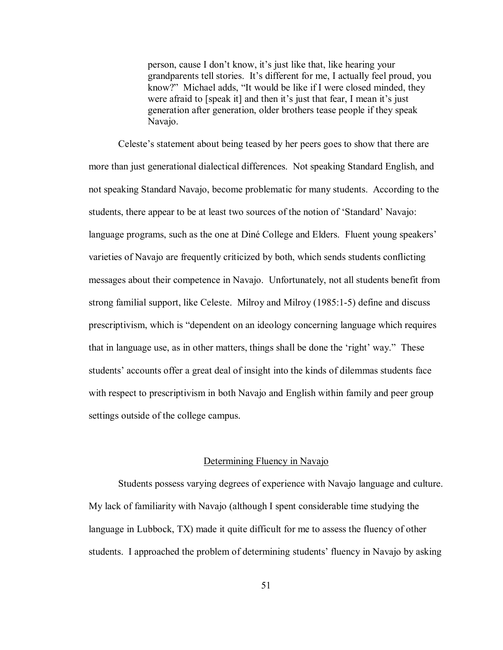person, cause I don't know, it's just like that, like hearing your grandparents tell stories. It's different for me, I actually feel proud, you know?" Michael adds, "It would be like if I were closed minded, they were afraid to [speak it] and then it's just that fear, I mean it's just generation after generation, older brothers tease people if they speak Navajo.

Celeste's statement about being teased by her peers goes to show that there are more than just generational dialectical differences. Not speaking Standard English, and not speaking Standard Navajo, become problematic for many students. According to the students, there appear to be at least two sources of the notion of 'Standard' Navajo: language programs, such as the one at Diné College and Elders. Fluent young speakers' varieties of Navajo are frequently criticized by both, which sends students conflicting messages about their competence in Navajo. Unfortunately, not all students benefit from strong familial support, like Celeste. Milroy and Milroy (1985:1-5) define and discuss prescriptivism, which is "dependent on an ideology concerning language which requires that in language use, as in other matters, things shall be done the 'right' way." These students' accounts offer a great deal of insight into the kinds of dilemmas students face with respect to prescriptivism in both Navajo and English within family and peer group settings outside of the college campus.

#### Determining Fluency in Navajo

Students possess varying degrees of experience with Navajo language and culture. My lack of familiarity with Navajo (although I spent considerable time studying the language in Lubbock, TX) made it quite difficult for me to assess the fluency of other students. I approached the problem of determining students' fluency in Navajo by asking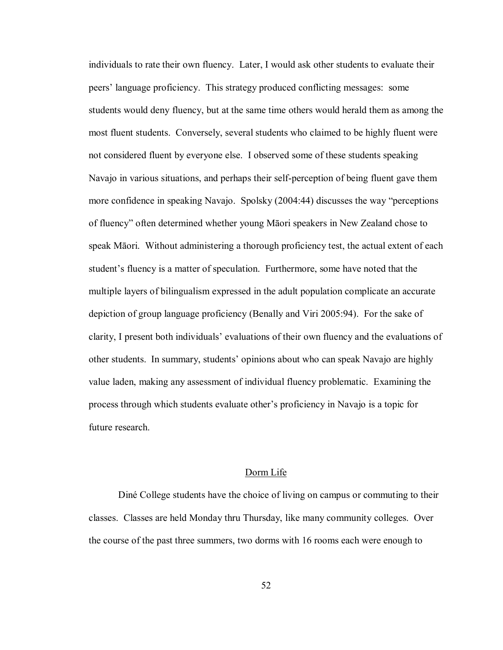individuals to rate their own fluency. Later, I would ask other students to evaluate their peers' language proficiency. This strategy produced conflicting messages: some students would deny fluency, but at the same time others would herald them as among the most fluent students. Conversely, several students who claimed to be highly fluent were not considered fluent by everyone else. I observed some of these students speaking Navajo in various situations, and perhaps their self-perception of being fluent gave them more confidence in speaking Navajo. Spolsky (2004:44) discusses the way "perceptions of fluencyî often determined whether young Māori speakers in New Zealand chose to speak Māori. Without administering a thorough proficiency test, the actual extent of each student's fluency is a matter of speculation. Furthermore, some have noted that the multiple layers of bilingualism expressed in the adult population complicate an accurate depiction of group language proficiency (Benally and Viri 2005:94). For the sake of clarity, I present both individuals' evaluations of their own fluency and the evaluations of other students. In summary, studentsí opinions about who can speak Navajo are highly value laden, making any assessment of individual fluency problematic. Examining the process through which students evaluate other's proficiency in Navajo is a topic for future research.

# Dorm Life

Diné College students have the choice of living on campus or commuting to their classes. Classes are held Monday thru Thursday, like many community colleges. Over the course of the past three summers, two dorms with 16 rooms each were enough to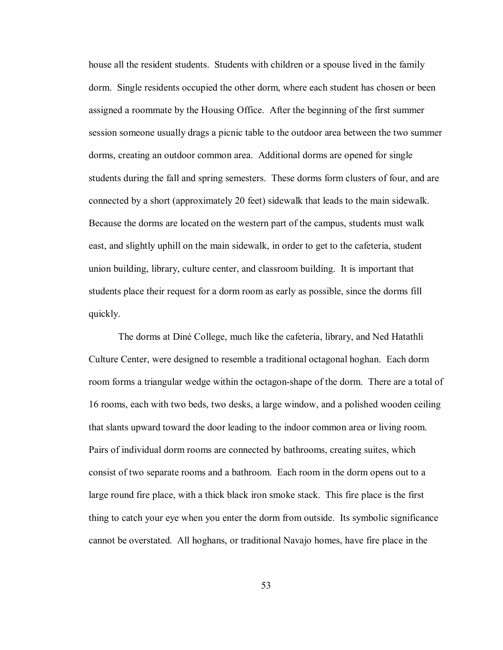house all the resident students. Students with children or a spouse lived in the family dorm. Single residents occupied the other dorm, where each student has chosen or been assigned a roommate by the Housing Office. After the beginning of the first summer session someone usually drags a picnic table to the outdoor area between the two summer dorms, creating an outdoor common area. Additional dorms are opened for single students during the fall and spring semesters. These dorms form clusters of four, and are connected by a short (approximately 20 feet) sidewalk that leads to the main sidewalk. Because the dorms are located on the western part of the campus, students must walk east, and slightly uphill on the main sidewalk, in order to get to the cafeteria, student union building, library, culture center, and classroom building. It is important that students place their request for a dorm room as early as possible, since the dorms fill quickly.

The dorms at Diné College, much like the cafeteria, library, and Ned Hatathli Culture Center, were designed to resemble a traditional octagonal hoghan. Each dorm room forms a triangular wedge within the octagon-shape of the dorm. There are a total of 16 rooms, each with two beds, two desks, a large window, and a polished wooden ceiling that slants upward toward the door leading to the indoor common area or living room. Pairs of individual dorm rooms are connected by bathrooms, creating suites, which consist of two separate rooms and a bathroom. Each room in the dorm opens out to a large round fire place, with a thick black iron smoke stack. This fire place is the first thing to catch your eye when you enter the dorm from outside. Its symbolic significance cannot be overstated. All hoghans, or traditional Navajo homes, have fire place in the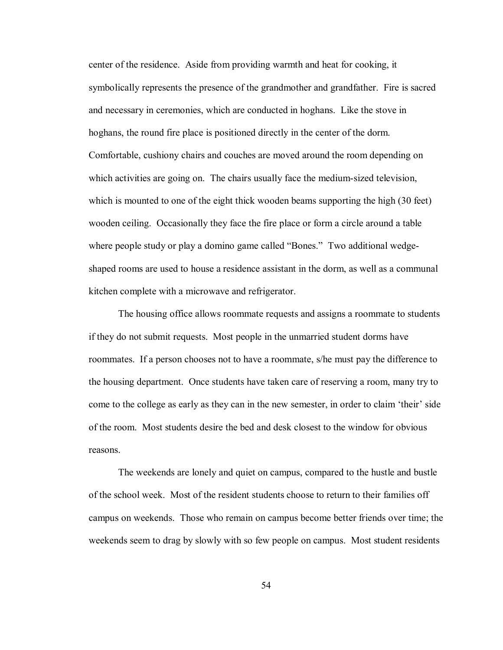center of the residence. Aside from providing warmth and heat for cooking, it symbolically represents the presence of the grandmother and grandfather. Fire is sacred and necessary in ceremonies, which are conducted in hoghans. Like the stove in hoghans, the round fire place is positioned directly in the center of the dorm. Comfortable, cushiony chairs and couches are moved around the room depending on which activities are going on. The chairs usually face the medium-sized television, which is mounted to one of the eight thick wooden beams supporting the high (30 feet) wooden ceiling. Occasionally they face the fire place or form a circle around a table where people study or play a domino game called "Bones." Two additional wedgeshaped rooms are used to house a residence assistant in the dorm, as well as a communal kitchen complete with a microwave and refrigerator.

The housing office allows roommate requests and assigns a roommate to students if they do not submit requests. Most people in the unmarried student dorms have roommates. If a person chooses not to have a roommate, s/he must pay the difference to the housing department. Once students have taken care of reserving a room, many try to come to the college as early as they can in the new semester, in order to claim 'their' side of the room. Most students desire the bed and desk closest to the window for obvious reasons.

The weekends are lonely and quiet on campus, compared to the hustle and bustle of the school week. Most of the resident students choose to return to their families off campus on weekends. Those who remain on campus become better friends over time; the weekends seem to drag by slowly with so few people on campus. Most student residents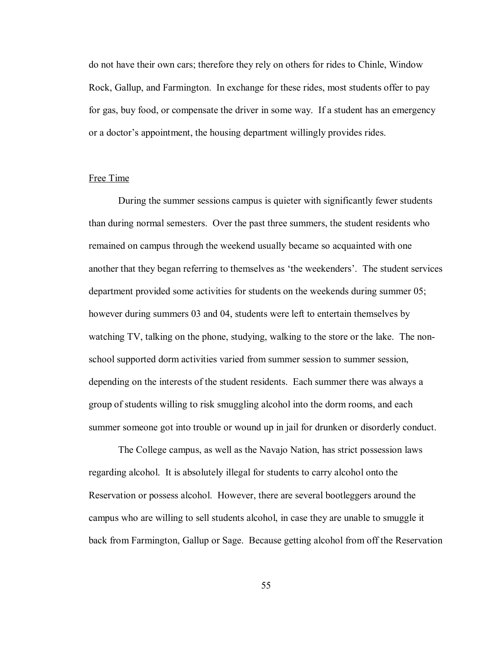do not have their own cars; therefore they rely on others for rides to Chinle, Window Rock, Gallup, and Farmington. In exchange for these rides, most students offer to pay for gas, buy food, or compensate the driver in some way. If a student has an emergency or a doctor's appointment, the housing department willingly provides rides.

## Free Time

During the summer sessions campus is quieter with significantly fewer students than during normal semesters. Over the past three summers, the student residents who remained on campus through the weekend usually became so acquainted with one another that they began referring to themselves as 'the weekenders'. The student services department provided some activities for students on the weekends during summer 05; however during summers 03 and 04, students were left to entertain themselves by watching TV, talking on the phone, studying, walking to the store or the lake. The nonschool supported dorm activities varied from summer session to summer session, depending on the interests of the student residents. Each summer there was always a group of students willing to risk smuggling alcohol into the dorm rooms, and each summer someone got into trouble or wound up in jail for drunken or disorderly conduct.

The College campus, as well as the Navajo Nation, has strict possession laws regarding alcohol. It is absolutely illegal for students to carry alcohol onto the Reservation or possess alcohol. However, there are several bootleggers around the campus who are willing to sell students alcohol, in case they are unable to smuggle it back from Farmington, Gallup or Sage. Because getting alcohol from off the Reservation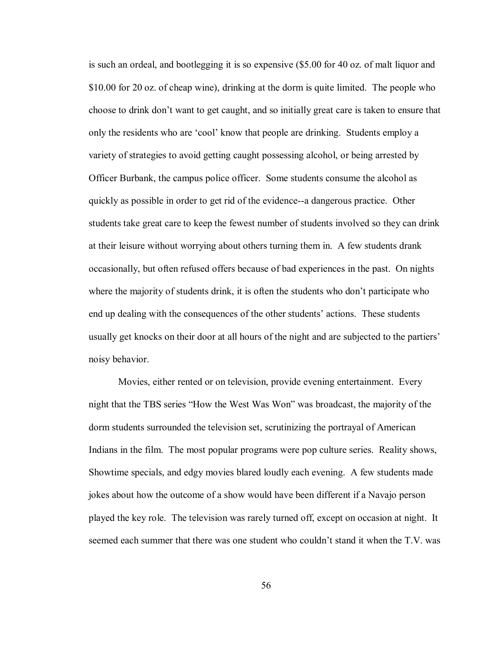is such an ordeal, and bootlegging it is so expensive (\$5.00 for 40 oz. of malt liquor and \$10.00 for 20 oz. of cheap wine), drinking at the dorm is quite limited. The people who choose to drink don't want to get caught, and so initially great care is taken to ensure that only the residents who are 'cool' know that people are drinking. Students employ a variety of strategies to avoid getting caught possessing alcohol, or being arrested by Officer Burbank, the campus police officer. Some students consume the alcohol as quickly as possible in order to get rid of the evidence--a dangerous practice. Other students take great care to keep the fewest number of students involved so they can drink at their leisure without worrying about others turning them in. A few students drank occasionally, but often refused offers because of bad experiences in the past. On nights where the majority of students drink, it is often the students who don't participate who end up dealing with the consequences of the other students' actions. These students usually get knocks on their door at all hours of the night and are subjected to the partiers' noisy behavior.

 Movies, either rented or on television, provide evening entertainment. Every night that the TBS series "How the West Was Won" was broadcast, the majority of the dorm students surrounded the television set, scrutinizing the portrayal of American Indians in the film. The most popular programs were pop culture series. Reality shows, Showtime specials, and edgy movies blared loudly each evening. A few students made jokes about how the outcome of a show would have been different if a Navajo person played the key role. The television was rarely turned off, except on occasion at night. It seemed each summer that there was one student who couldn't stand it when the T.V. was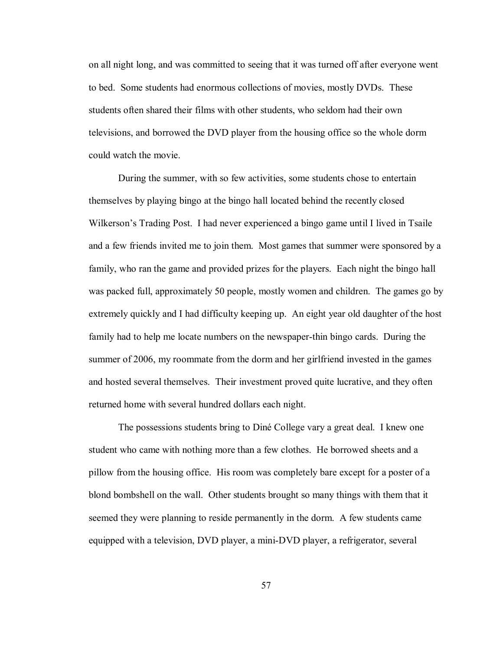on all night long, and was committed to seeing that it was turned off after everyone went to bed. Some students had enormous collections of movies, mostly DVDs. These students often shared their films with other students, who seldom had their own televisions, and borrowed the DVD player from the housing office so the whole dorm could watch the movie.

 During the summer, with so few activities, some students chose to entertain themselves by playing bingo at the bingo hall located behind the recently closed Wilkerson's Trading Post. I had never experienced a bingo game until I lived in Tsaile and a few friends invited me to join them. Most games that summer were sponsored by a family, who ran the game and provided prizes for the players. Each night the bingo hall was packed full, approximately 50 people, mostly women and children. The games go by extremely quickly and I had difficulty keeping up. An eight year old daughter of the host family had to help me locate numbers on the newspaper-thin bingo cards. During the summer of 2006, my roommate from the dorm and her girlfriend invested in the games and hosted several themselves. Their investment proved quite lucrative, and they often returned home with several hundred dollars each night.

The possessions students bring to Diné College vary a great deal. I knew one student who came with nothing more than a few clothes. He borrowed sheets and a pillow from the housing office. His room was completely bare except for a poster of a blond bombshell on the wall. Other students brought so many things with them that it seemed they were planning to reside permanently in the dorm. A few students came equipped with a television, DVD player, a mini-DVD player, a refrigerator, several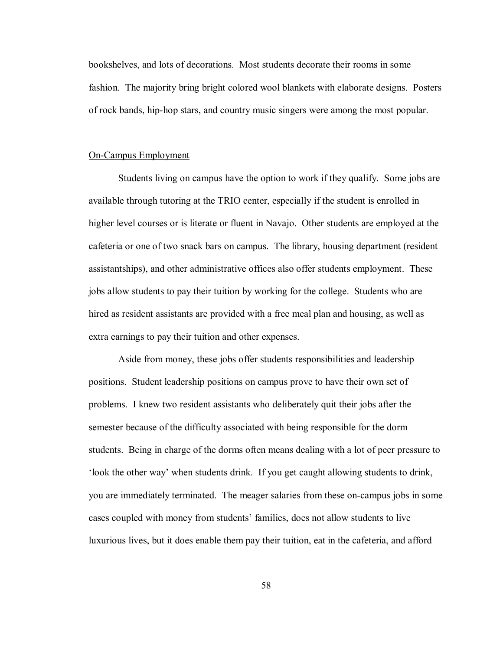bookshelves, and lots of decorations. Most students decorate their rooms in some fashion. The majority bring bright colored wool blankets with elaborate designs. Posters of rock bands, hip-hop stars, and country music singers were among the most popular.

#### On-Campus Employment

Students living on campus have the option to work if they qualify. Some jobs are available through tutoring at the TRIO center, especially if the student is enrolled in higher level courses or is literate or fluent in Navajo. Other students are employed at the cafeteria or one of two snack bars on campus. The library, housing department (resident assistantships), and other administrative offices also offer students employment. These jobs allow students to pay their tuition by working for the college. Students who are hired as resident assistants are provided with a free meal plan and housing, as well as extra earnings to pay their tuition and other expenses.

Aside from money, these jobs offer students responsibilities and leadership positions. Student leadership positions on campus prove to have their own set of problems. I knew two resident assistants who deliberately quit their jobs after the semester because of the difficulty associated with being responsible for the dorm students. Being in charge of the dorms often means dealing with a lot of peer pressure to the other way' when students drink. If you get caught allowing students to drink, you are immediately terminated. The meager salaries from these on-campus jobs in some cases coupled with money from studentsí families, does not allow students to live luxurious lives, but it does enable them pay their tuition, eat in the cafeteria, and afford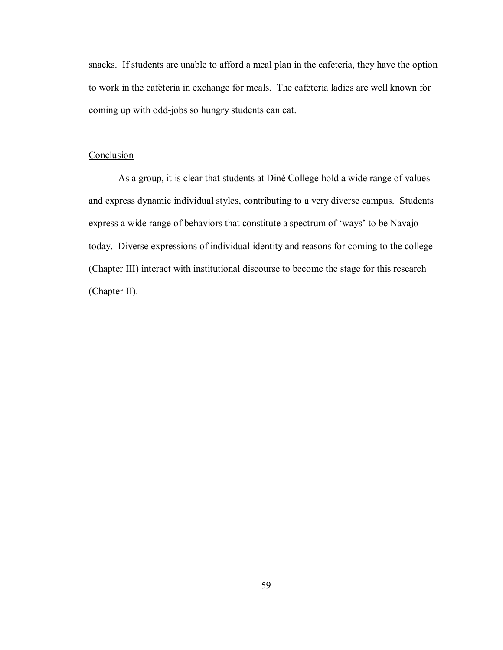snacks. If students are unable to afford a meal plan in the cafeteria, they have the option to work in the cafeteria in exchange for meals. The cafeteria ladies are well known for coming up with odd-jobs so hungry students can eat.

# **Conclusion**

As a group, it is clear that students at Diné College hold a wide range of values and express dynamic individual styles, contributing to a very diverse campus. Students express a wide range of behaviors that constitute a spectrum of 'ways' to be Navajo today. Diverse expressions of individual identity and reasons for coming to the college (Chapter III) interact with institutional discourse to become the stage for this research (Chapter II).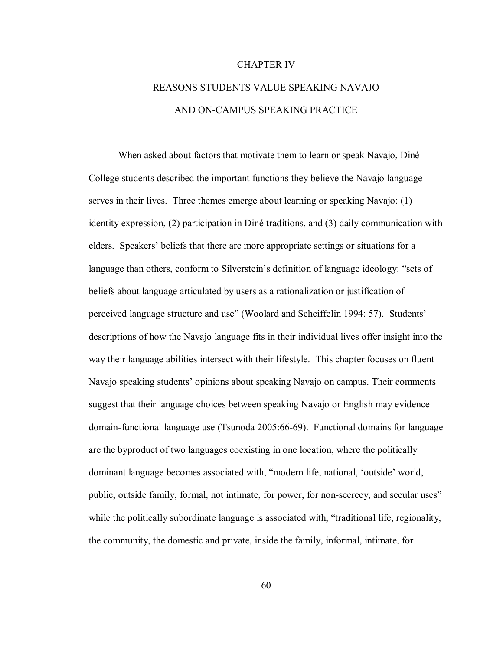#### CHAPTER IV

# REASONS STUDENTS VALUE SPEAKING NAVAJO AND ON-CAMPUS SPEAKING PRACTICE

When asked about factors that motivate them to learn or speak Navajo, Diné College students described the important functions they believe the Navajo language serves in their lives. Three themes emerge about learning or speaking Navajo: (1) identity expression, (2) participation in DinÈ traditions, and (3) daily communication with elders. Speakers' beliefs that there are more appropriate settings or situations for a language than others, conform to Silverstein's definition of language ideology: "sets of beliefs about language articulated by users as a rationalization or justification of perceived language structure and use" (Woolard and Scheiffelin 1994: 57). Students' descriptions of how the Navajo language fits in their individual lives offer insight into the way their language abilities intersect with their lifestyle. This chapter focuses on fluent Navajo speaking students' opinions about speaking Navajo on campus. Their comments suggest that their language choices between speaking Navajo or English may evidence domain-functional language use (Tsunoda 2005:66-69). Functional domains for language are the byproduct of two languages coexisting in one location, where the politically dominant language becomes associated with, "modern life, national, 'outside' world, public, outside family, formal, not intimate, for power, for non-secrecy, and secular uses" while the politically subordinate language is associated with, "traditional life, regionality, the community, the domestic and private, inside the family, informal, intimate, for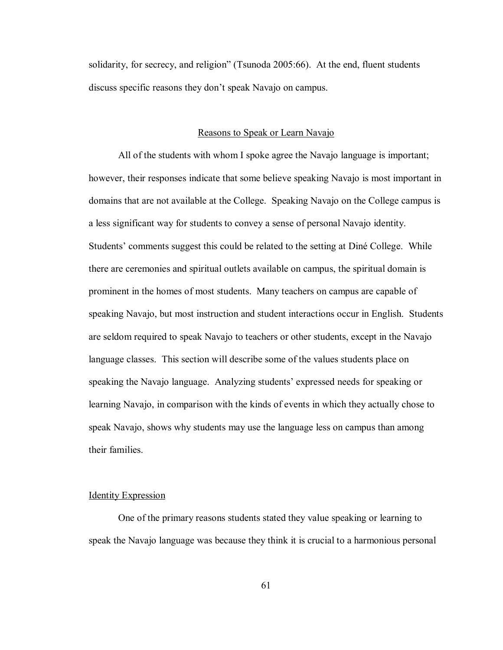solidarity, for secrecy, and religion" (Tsunoda  $2005:66$ ). At the end, fluent students discuss specific reasons they don't speak Navajo on campus.

## Reasons to Speak or Learn Navajo

 All of the students with whom I spoke agree the Navajo language is important; however, their responses indicate that some believe speaking Navajo is most important in domains that are not available at the College. Speaking Navajo on the College campus is a less significant way for students to convey a sense of personal Navajo identity. Students' comments suggest this could be related to the setting at Diné College. While there are ceremonies and spiritual outlets available on campus, the spiritual domain is prominent in the homes of most students. Many teachers on campus are capable of speaking Navajo, but most instruction and student interactions occur in English. Students are seldom required to speak Navajo to teachers or other students, except in the Navajo language classes. This section will describe some of the values students place on speaking the Navajo language. Analyzing students' expressed needs for speaking or learning Navajo, in comparison with the kinds of events in which they actually chose to speak Navajo, shows why students may use the language less on campus than among their families.

# Identity Expression

 One of the primary reasons students stated they value speaking or learning to speak the Navajo language was because they think it is crucial to a harmonious personal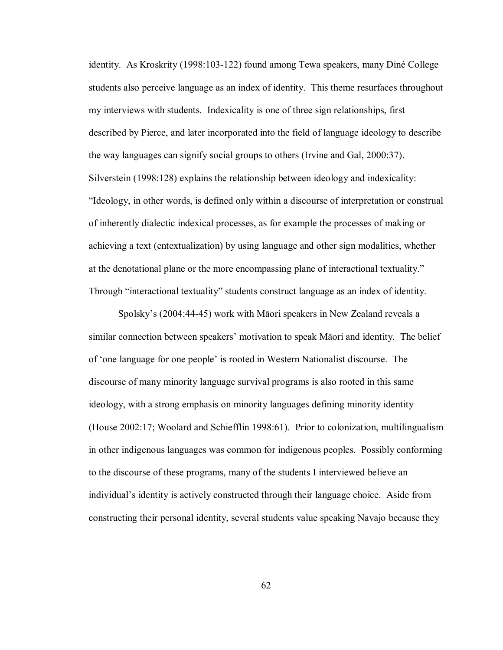identity. As Kroskrity (1998:103-122) found among Tewa speakers, many DinÈ College students also perceive language as an index of identity. This theme resurfaces throughout my interviews with students. Indexicality is one of three sign relationships, first described by Pierce, and later incorporated into the field of language ideology to describe the way languages can signify social groups to others (Irvine and Gal, 2000:37). Silverstein (1998:128) explains the relationship between ideology and indexicality: "Ideology, in other words, is defined only within a discourse of interpretation or construal of inherently dialectic indexical processes, as for example the processes of making or achieving a text (entextualization) by using language and other sign modalities, whether at the denotational plane or the more encompassing plane of interactional textuality." Through "interactional textuality" students construct language as an index of identity.

Spolsky's (2004:44-45) work with Māori speakers in New Zealand reveals a similar connection between speakers' motivation to speak Māori and identity. The belief of ëone language for one peopleí is rooted in Western Nationalist discourse. The discourse of many minority language survival programs is also rooted in this same ideology, with a strong emphasis on minority languages defining minority identity (House 2002:17; Woolard and Schiefflin 1998:61). Prior to colonization, multilingualism in other indigenous languages was common for indigenous peoples. Possibly conforming to the discourse of these programs, many of the students I interviewed believe an individual's identity is actively constructed through their language choice. Aside from constructing their personal identity, several students value speaking Navajo because they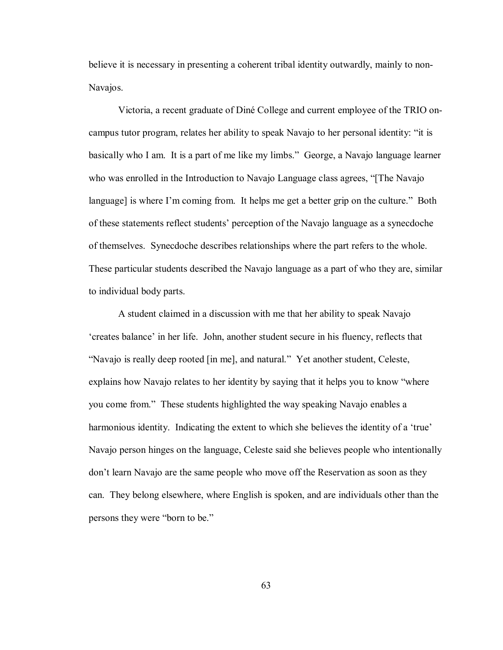believe it is necessary in presenting a coherent tribal identity outwardly, mainly to non-Navajos.

Victoria, a recent graduate of Diné College and current employee of the TRIO oncampus tutor program, relates her ability to speak Navajo to her personal identity: "it is basically who I am. It is a part of me like my limbs." George, a Navajo language learner who was enrolled in the Introduction to Navajo Language class agrees, "The Navajo language] is where I'm coming from. It helps me get a better grip on the culture." Both of these statements reflect studentsí perception of the Navajo language as a synecdoche of themselves. Synecdoche describes relationships where the part refers to the whole. These particular students described the Navajo language as a part of who they are, similar to individual body parts.

A student claimed in a discussion with me that her ability to speak Navajo 'creates balance' in her life. John, another student secure in his fluency, reflects that "Navajo is really deep rooted [in me], and natural." Yet another student, Celeste, explains how Navajo relates to her identity by saying that it helps you to know "where you come from." These students highlighted the way speaking Navajo enables a harmonious identity. Indicating the extent to which she believes the identity of a 'true' Navajo person hinges on the language, Celeste said she believes people who intentionally donít learn Navajo are the same people who move off the Reservation as soon as they can. They belong elsewhere, where English is spoken, and are individuals other than the persons they were "born to be."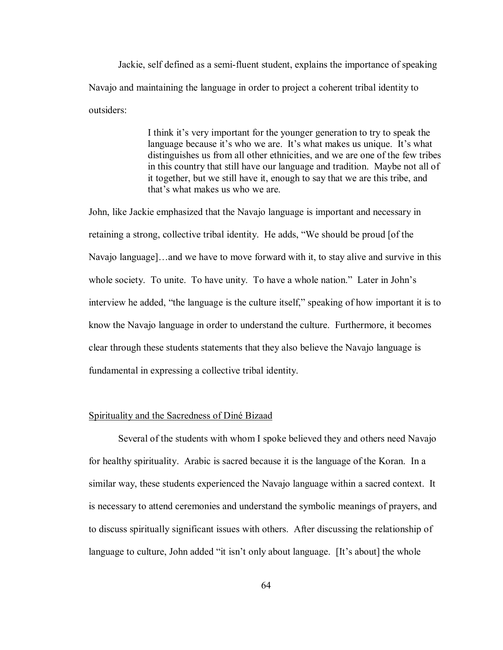Jackie, self defined as a semi-fluent student, explains the importance of speaking Navajo and maintaining the language in order to project a coherent tribal identity to outsiders:

> I think it's very important for the younger generation to try to speak the language because it's who we are. It's what makes us unique. It's what distinguishes us from all other ethnicities, and we are one of the few tribes in this country that still have our language and tradition. Maybe not all of it together, but we still have it, enough to say that we are this tribe, and that's what makes us who we are.

John, like Jackie emphasized that the Navajo language is important and necessary in retaining a strong, collective tribal identity. He adds, "We should be proud [of the Navajo language]...and we have to move forward with it, to stay alive and survive in this whole society. To unite. To have unity. To have a whole nation." Later in John's interview he added, "the language is the culture itself," speaking of how important it is to know the Navajo language in order to understand the culture. Furthermore, it becomes clear through these students statements that they also believe the Navajo language is fundamental in expressing a collective tribal identity.

## Spirituality and the Sacredness of DinÈ Bizaad

 Several of the students with whom I spoke believed they and others need Navajo for healthy spirituality. Arabic is sacred because it is the language of the Koran. In a similar way, these students experienced the Navajo language within a sacred context. It is necessary to attend ceremonies and understand the symbolic meanings of prayers, and to discuss spiritually significant issues with others. After discussing the relationship of language to culture, John added "it isn't only about language. [It's about] the whole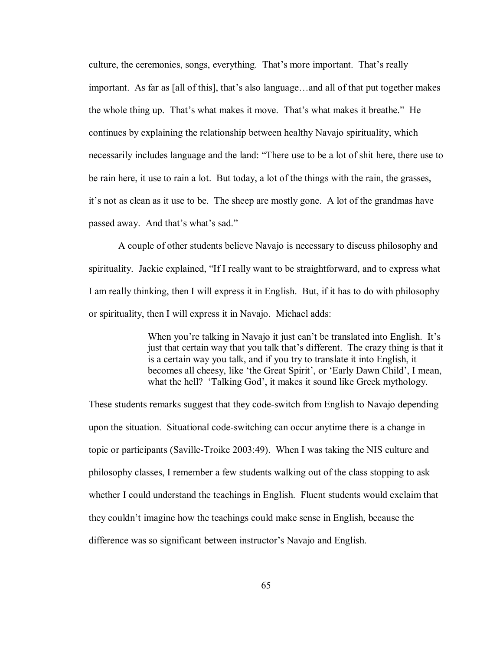culture, the ceremonies, songs, everything. That's more important. That's really important. As far as [all of this], that's also language...and all of that put together makes the whole thing up. That's what makes it move. That's what makes it breathe." He continues by explaining the relationship between healthy Navajo spirituality, which necessarily includes language and the land: "There use to be a lot of shit here, there use to be rain here, it use to rain a lot. But today, a lot of the things with the rain, the grasses, itís not as clean as it use to be. The sheep are mostly gone. A lot of the grandmas have passed away. And that's what's sad."

 A couple of other students believe Navajo is necessary to discuss philosophy and spirituality. Jackie explained, "If I really want to be straightforward, and to express what I am really thinking, then I will express it in English. But, if it has to do with philosophy or spirituality, then I will express it in Navajo. Michael adds:

> When you're talking in Navajo it just can't be translated into English. It's just that certain way that you talk that's different. The crazy thing is that it is a certain way you talk, and if you try to translate it into English, it becomes all cheesy, like 'the Great Spirit', or 'Early Dawn Child', I mean, what the hell? 'Talking God', it makes it sound like Greek mythology.

These students remarks suggest that they code-switch from English to Navajo depending upon the situation. Situational code-switching can occur anytime there is a change in topic or participants (Saville-Troike 2003:49). When I was taking the NIS culture and philosophy classes, I remember a few students walking out of the class stopping to ask whether I could understand the teachings in English. Fluent students would exclaim that they couldnít imagine how the teachings could make sense in English, because the difference was so significant between instructor's Navajo and English.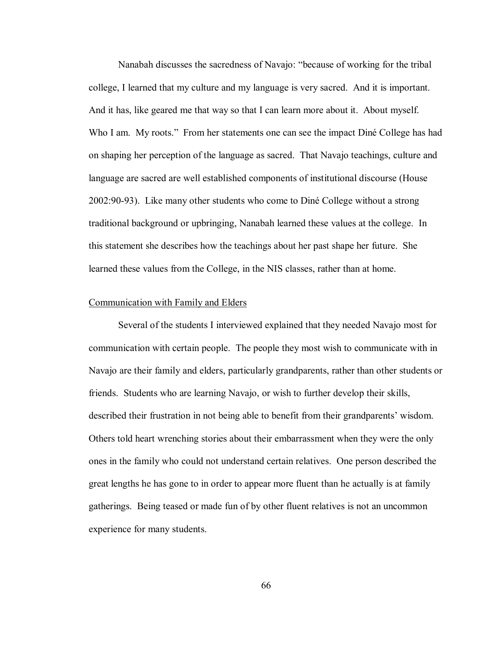Nanabah discusses the sacredness of Navajo: "because of working for the tribal college, I learned that my culture and my language is very sacred. And it is important. And it has, like geared me that way so that I can learn more about it. About myself. Who I am. My roots." From her statements one can see the impact Diné College has had on shaping her perception of the language as sacred. That Navajo teachings, culture and language are sacred are well established components of institutional discourse (House 2002:90-93). Like many other students who come to DinÈ College without a strong traditional background or upbringing, Nanabah learned these values at the college. In this statement she describes how the teachings about her past shape her future. She learned these values from the College, in the NIS classes, rather than at home.

# Communication with Family and Elders

 Several of the students I interviewed explained that they needed Navajo most for communication with certain people. The people they most wish to communicate with in Navajo are their family and elders, particularly grandparents, rather than other students or friends. Students who are learning Navajo, or wish to further develop their skills, described their frustration in not being able to benefit from their grandparents' wisdom. Others told heart wrenching stories about their embarrassment when they were the only ones in the family who could not understand certain relatives. One person described the great lengths he has gone to in order to appear more fluent than he actually is at family gatherings. Being teased or made fun of by other fluent relatives is not an uncommon experience for many students.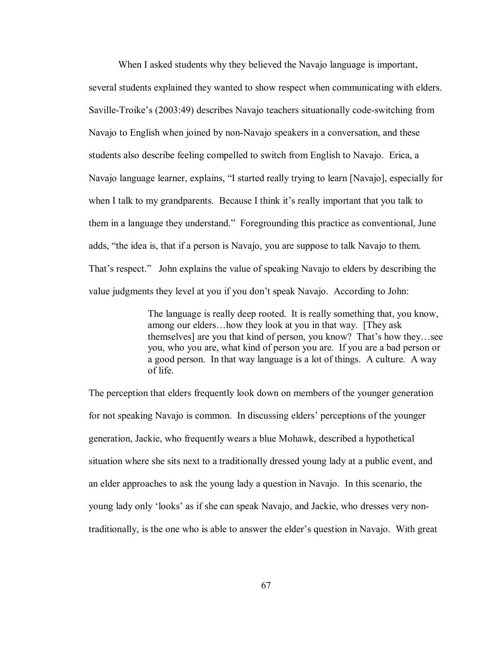When I asked students why they believed the Navajo language is important, several students explained they wanted to show respect when communicating with elders. Saville-Troike's (2003:49) describes Navajo teachers situationally code-switching from Navajo to English when joined by non-Navajo speakers in a conversation, and these students also describe feeling compelled to switch from English to Navajo. Erica, a Navajo language learner, explains, "I started really trying to learn [Navajo], especially for when I talk to my grandparents. Because I think it's really important that you talk to them in a language they understand." Foregrounding this practice as conventional, June adds, "the idea is, that if a person is Navajo, you are suppose to talk Navajo to them. That's respect." John explains the value of speaking Navajo to elders by describing the value judgments they level at you if you don't speak Navajo. According to John:

> The language is really deep rooted. It is really something that, you know, among our elders... how they look at you in that way. [They ask] themselves] are you that kind of person, you know? That's how they...see you, who you are, what kind of person you are. If you are a bad person or a good person. In that way language is a lot of things. A culture. A way of life.

The perception that elders frequently look down on members of the younger generation for not speaking Navajo is common. In discussing elders' perceptions of the younger generation, Jackie, who frequently wears a blue Mohawk, described a hypothetical situation where she sits next to a traditionally dressed young lady at a public event, and an elder approaches to ask the young lady a question in Navajo. In this scenario, the young lady only 'looks' as if she can speak Navajo, and Jackie, who dresses very nontraditionally, is the one who is able to answer the elder's question in Navajo. With great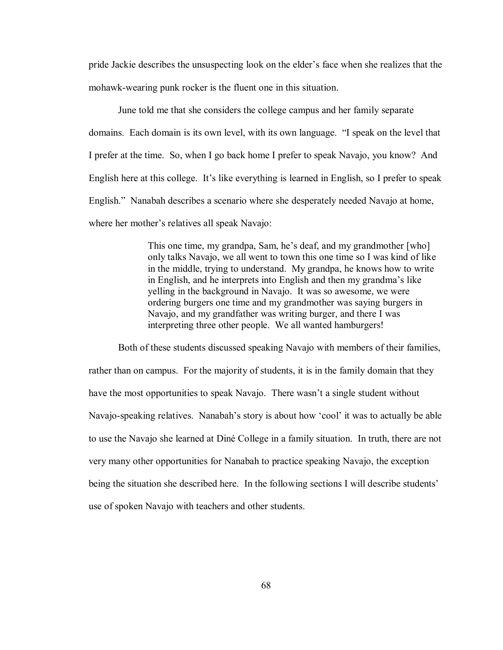pride Jackie describes the unsuspecting look on the elder's face when she realizes that the mohawk-wearing punk rocker is the fluent one in this situation.

June told me that she considers the college campus and her family separate domains. Each domain is its own level, with its own language. "I speak on the level that I prefer at the time. So, when I go back home I prefer to speak Navajo, you know? And English here at this college. It's like everything is learned in English, so I prefer to speak English." Nanabah describes a scenario where she desperately needed Navajo at home, where her mother's relatives all speak Navajo:

> This one time, my grandpa, Sam, he's deaf, and my grandmother [who] only talks Navajo, we all went to town this one time so I was kind of like in the middle, trying to understand. My grandpa, he knows how to write in English, and he interprets into English and then my grandma's like yelling in the background in Navajo. It was so awesome, we were ordering burgers one time and my grandmother was saying burgers in Navajo, and my grandfather was writing burger, and there I was interpreting three other people. We all wanted hamburgers!

Both of these students discussed speaking Navajo with members of their families, rather than on campus. For the majority of students, it is in the family domain that they have the most opportunities to speak Navajo. There wasn't a single student without Navajo-speaking relatives. Nanabah's story is about how 'cool' it was to actually be able to use the Navajo she learned at DinÈ College in a family situation. In truth, there are not very many other opportunities for Nanabah to practice speaking Navajo, the exception being the situation she described here. In the following sections I will describe students' use of spoken Navajo with teachers and other students.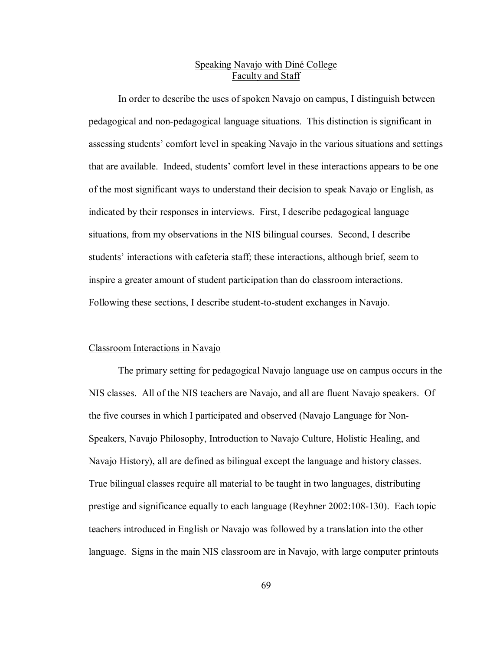# Speaking Navajo with Diné College Faculty and Staff

In order to describe the uses of spoken Navajo on campus, I distinguish between pedagogical and non-pedagogical language situations. This distinction is significant in assessing students' comfort level in speaking Navajo in the various situations and settings that are available. Indeed, studentsí comfort level in these interactions appears to be one of the most significant ways to understand their decision to speak Navajo or English, as indicated by their responses in interviews. First, I describe pedagogical language situations, from my observations in the NIS bilingual courses. Second, I describe students' interactions with cafeteria staff; these interactions, although brief, seem to inspire a greater amount of student participation than do classroom interactions. Following these sections, I describe student-to-student exchanges in Navajo.

## Classroom Interactions in Navajo

The primary setting for pedagogical Navajo language use on campus occurs in the NIS classes. All of the NIS teachers are Navajo, and all are fluent Navajo speakers. Of the five courses in which I participated and observed (Navajo Language for Non-Speakers, Navajo Philosophy, Introduction to Navajo Culture, Holistic Healing, and Navajo History), all are defined as bilingual except the language and history classes. True bilingual classes require all material to be taught in two languages, distributing prestige and significance equally to each language (Reyhner 2002:108-130). Each topic teachers introduced in English or Navajo was followed by a translation into the other language. Signs in the main NIS classroom are in Navajo, with large computer printouts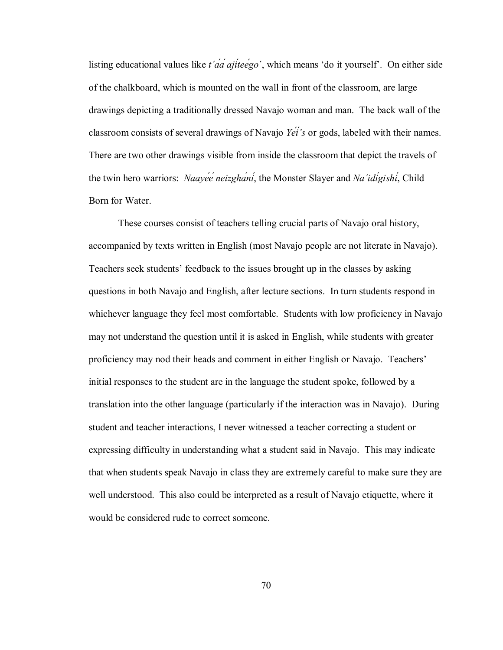listing educational values like  $t' \alpha' \alpha' \alpha'$  *ajiteego'*, which means 'do it yourself'. On either side of the chalkboard, which is mounted on the wall in front of the classroom, are large drawings depicting a traditionally dressed Navajo woman and man. The back wall of the classroom consists of several drawings of Navajo *Yéíís* or gods, labeled with their names. There are two other drawings visible from inside the classroom that depict the travels of the twin hero warriors: *Naayéé neizghání*, the Monster Slayer and *Na΄idígishí*, Child Born for Water.

These courses consist of teachers telling crucial parts of Navajo oral history, accompanied by texts written in English (most Navajo people are not literate in Navajo). Teachers seek studentsí feedback to the issues brought up in the classes by asking questions in both Navajo and English, after lecture sections. In turn students respond in whichever language they feel most comfortable. Students with low proficiency in Navajo may not understand the question until it is asked in English, while students with greater proficiency may nod their heads and comment in either English or Navajo. Teachers' initial responses to the student are in the language the student spoke, followed by a translation into the other language (particularly if the interaction was in Navajo). During student and teacher interactions, I never witnessed a teacher correcting a student or expressing difficulty in understanding what a student said in Navajo. This may indicate that when students speak Navajo in class they are extremely careful to make sure they are well understood. This also could be interpreted as a result of Navajo etiquette, where it would be considered rude to correct someone.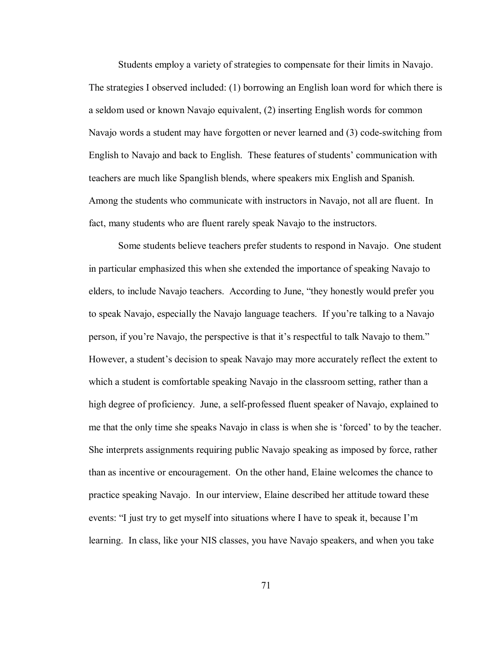Students employ a variety of strategies to compensate for their limits in Navajo. The strategies I observed included: (1) borrowing an English loan word for which there is a seldom used or known Navajo equivalent, (2) inserting English words for common Navajo words a student may have forgotten or never learned and (3) code-switching from English to Navajo and back to English. These features of students' communication with teachers are much like Spanglish blends, where speakers mix English and Spanish. Among the students who communicate with instructors in Navajo, not all are fluent. In fact, many students who are fluent rarely speak Navajo to the instructors.

Some students believe teachers prefer students to respond in Navajo. One student in particular emphasized this when she extended the importance of speaking Navajo to elders, to include Navajo teachers. According to June, "they honestly would prefer you to speak Navajo, especially the Navajo language teachers. If you're talking to a Navajo person, if you're Navajo, the perspective is that it's respectful to talk Navajo to them." However, a student's decision to speak Navajo may more accurately reflect the extent to which a student is comfortable speaking Navajo in the classroom setting, rather than a high degree of proficiency. June, a self-professed fluent speaker of Navajo, explained to me that the only time she speaks Navajo in class is when she is 'forced' to by the teacher. She interprets assignments requiring public Navajo speaking as imposed by force, rather than as incentive or encouragement. On the other hand, Elaine welcomes the chance to practice speaking Navajo. In our interview, Elaine described her attitude toward these events: "I just try to get myself into situations where I have to speak it, because I'm learning. In class, like your NIS classes, you have Navajo speakers, and when you take

71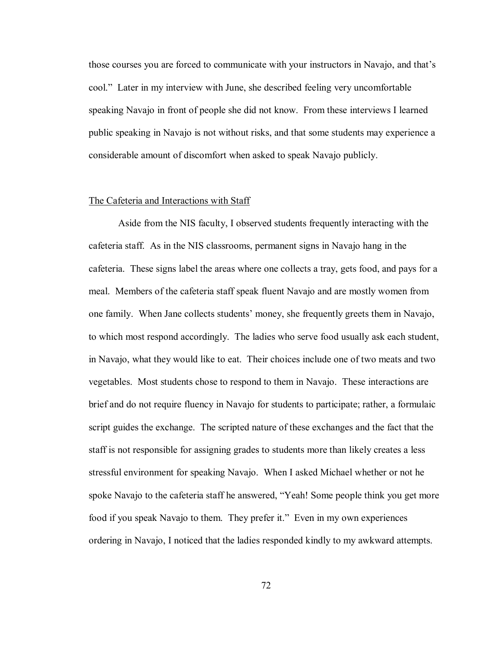those courses you are forced to communicate with your instructors in Navajo, and that's cool.î Later in my interview with June, she described feeling very uncomfortable speaking Navajo in front of people she did not know. From these interviews I learned public speaking in Navajo is not without risks, and that some students may experience a considerable amount of discomfort when asked to speak Navajo publicly.

## The Cafeteria and Interactions with Staff

 Aside from the NIS faculty, I observed students frequently interacting with the cafeteria staff. As in the NIS classrooms, permanent signs in Navajo hang in the cafeteria. These signs label the areas where one collects a tray, gets food, and pays for a meal. Members of the cafeteria staff speak fluent Navajo and are mostly women from one family. When Jane collects students' money, she frequently greets them in Navajo, to which most respond accordingly. The ladies who serve food usually ask each student, in Navajo, what they would like to eat. Their choices include one of two meats and two vegetables. Most students chose to respond to them in Navajo. These interactions are brief and do not require fluency in Navajo for students to participate; rather, a formulaic script guides the exchange. The scripted nature of these exchanges and the fact that the staff is not responsible for assigning grades to students more than likely creates a less stressful environment for speaking Navajo. When I asked Michael whether or not he spoke Navajo to the cafeteria staff he answered, "Yeah! Some people think you get more food if you speak Navajo to them. They prefer it." Even in my own experiences ordering in Navajo, I noticed that the ladies responded kindly to my awkward attempts.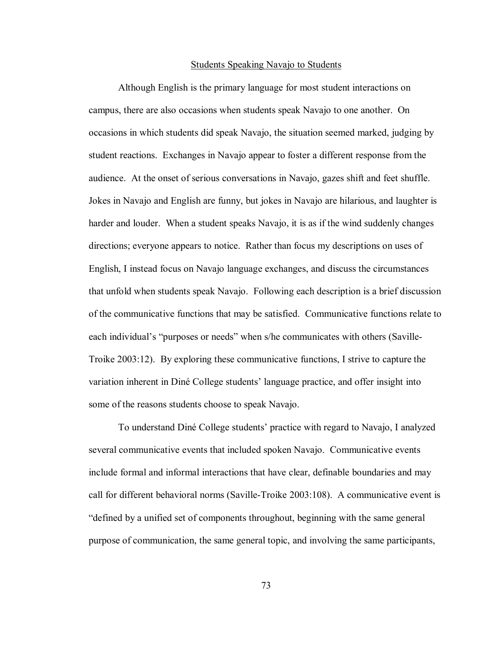#### Students Speaking Navajo to Students

 Although English is the primary language for most student interactions on campus, there are also occasions when students speak Navajo to one another. On occasions in which students did speak Navajo, the situation seemed marked, judging by student reactions. Exchanges in Navajo appear to foster a different response from the audience. At the onset of serious conversations in Navajo, gazes shift and feet shuffle. Jokes in Navajo and English are funny, but jokes in Navajo are hilarious, and laughter is harder and louder. When a student speaks Navajo, it is as if the wind suddenly changes directions; everyone appears to notice. Rather than focus my descriptions on uses of English, I instead focus on Navajo language exchanges, and discuss the circumstances that unfold when students speak Navajo. Following each description is a brief discussion of the communicative functions that may be satisfied. Communicative functions relate to each individual's "purposes or needs" when s/he communicates with others (Saville-Troike 2003:12). By exploring these communicative functions, I strive to capture the variation inherent in Diné College students' language practice, and offer insight into some of the reasons students choose to speak Navajo.

To understand DinÈ College studentsí practice with regard to Navajo, I analyzed several communicative events that included spoken Navajo. Communicative events include formal and informal interactions that have clear, definable boundaries and may call for different behavioral norms (Saville-Troike 2003:108). A communicative event is ìdefined by a unified set of components throughout, beginning with the same general purpose of communication, the same general topic, and involving the same participants,

73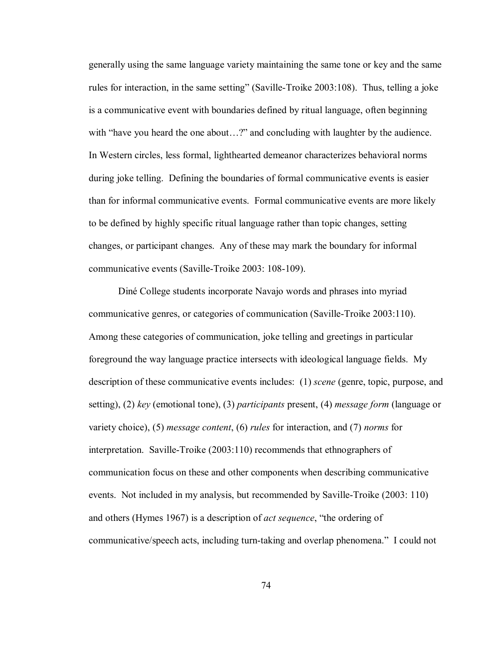generally using the same language variety maintaining the same tone or key and the same rules for interaction, in the same setting" (Saville-Troike 2003:108). Thus, telling a joke is a communicative event with boundaries defined by ritual language, often beginning with "have you heard the one about...?" and concluding with laughter by the audience. In Western circles, less formal, lighthearted demeanor characterizes behavioral norms during joke telling. Defining the boundaries of formal communicative events is easier than for informal communicative events. Formal communicative events are more likely to be defined by highly specific ritual language rather than topic changes, setting changes, or participant changes. Any of these may mark the boundary for informal communicative events (Saville-Troike 2003: 108-109).

DinÈ College students incorporate Navajo words and phrases into myriad communicative genres, or categories of communication (Saville-Troike 2003:110). Among these categories of communication, joke telling and greetings in particular foreground the way language practice intersects with ideological language fields. My description of these communicative events includes: (1) *scene* (genre, topic, purpose, and setting), (2) *key* (emotional tone), (3) *participants* present, (4) *message form* (language or variety choice), (5) *message content*, (6) *rules* for interaction, and (7) *norms* for interpretation. Saville-Troike (2003:110) recommends that ethnographers of communication focus on these and other components when describing communicative events. Not included in my analysis, but recommended by Saville-Troike (2003: 110) and others (Hymes 1967) is a description of *act sequence*, "the ordering of communicative/speech acts, including turn-taking and overlap phenomena." I could not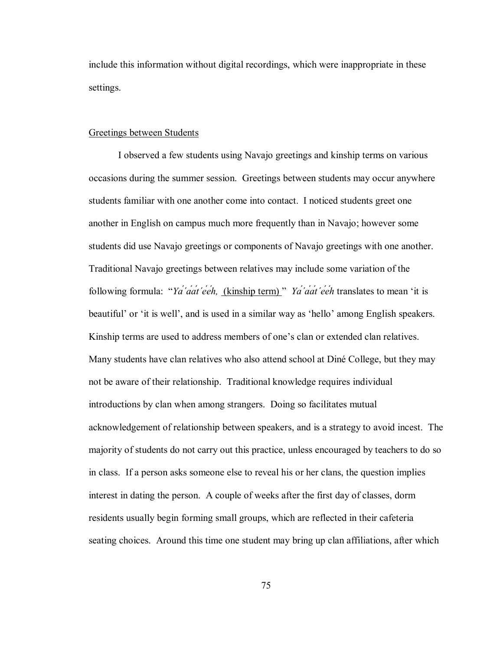include this information without digital recordings, which were inappropriate in these settings.

### Greetings between Students

 I observed a few students using Navajo greetings and kinship terms on various occasions during the summer session. Greetings between students may occur anywhere students familiar with one another come into contact. I noticed students greet one another in English on campus much more frequently than in Navajo; however some students did use Navajo greetings or components of Navajo greetings with one another. Traditional Navajo greetings between relatives may include some variation of the following formula: "Ya'aat'eeh, (kinship term)" Ya'aat'eeh translates to mean 'it is beautiful' or 'it is well', and is used in a similar way as 'hello' among English speakers. Kinship terms are used to address members of one's clan or extended clan relatives. Many students have clan relatives who also attend school at Diné College, but they may not be aware of their relationship. Traditional knowledge requires individual introductions by clan when among strangers. Doing so facilitates mutual acknowledgement of relationship between speakers, and is a strategy to avoid incest. The majority of students do not carry out this practice, unless encouraged by teachers to do so in class. If a person asks someone else to reveal his or her clans, the question implies interest in dating the person. A couple of weeks after the first day of classes, dorm residents usually begin forming small groups, which are reflected in their cafeteria seating choices. Around this time one student may bring up clan affiliations, after which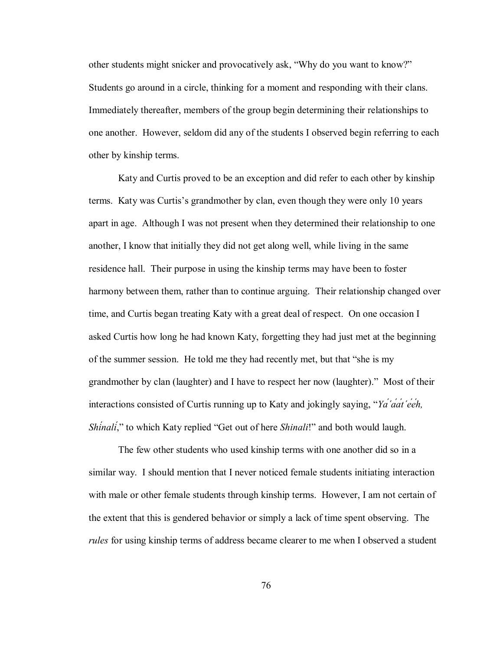other students might snicker and provocatively ask, "Why do you want to know?" Students go around in a circle, thinking for a moment and responding with their clans. Immediately thereafter, members of the group begin determining their relationships to one another. However, seldom did any of the students I observed begin referring to each other by kinship terms.

Katy and Curtis proved to be an exception and did refer to each other by kinship terms. Katy was Curtis's grandmother by clan, even though they were only 10 years apart in age. Although I was not present when they determined their relationship to one another, I know that initially they did not get along well, while living in the same residence hall. Their purpose in using the kinship terms may have been to foster harmony between them, rather than to continue arguing. Their relationship changed over time, and Curtis began treating Katy with a great deal of respect. On one occasion I asked Curtis how long he had known Katy, forgetting they had just met at the beginning of the summer session. He told me they had recently met, but that "she is my grandmother by clan (laughter) and I have to respect her now (laughter)." Most of their interactions consisted of Curtis running up to Katy and jokingly saying, "Ya<sup>'</sup>*dat'eeh*, *Shinali*<sup>\*</sup>,<sup>\*</sup> to which Katy replied "Get out of here *Shinali*!" and both would laugh.

The few other students who used kinship terms with one another did so in a similar way. I should mention that I never noticed female students initiating interaction with male or other female students through kinship terms. However, I am not certain of the extent that this is gendered behavior or simply a lack of time spent observing. The *rules* for using kinship terms of address became clearer to me when I observed a student

76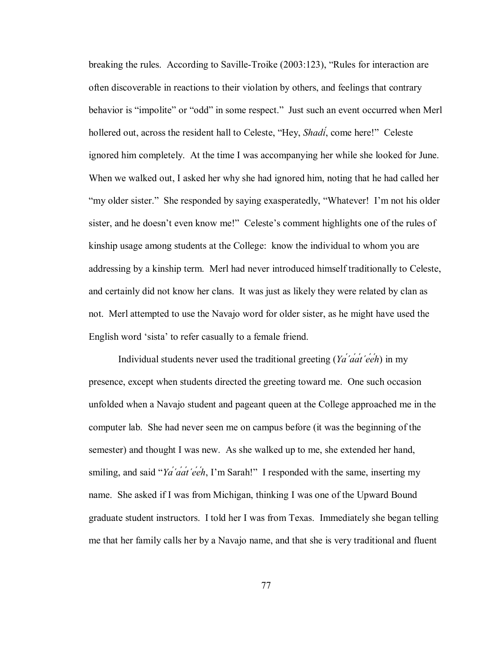breaking the rules. According to Saville-Troike  $(2003:123)$ , "Rules for interaction are often discoverable in reactions to their violation by others, and feelings that contrary behavior is "impolite" or "odd" in some respect." Just such an event occurred when Merl hollered out, across the resident hall to Celeste, "Hey, *Shadi*<sup>'</sup>, come here!" Celeste ignored him completely. At the time I was accompanying her while she looked for June. When we walked out, I asked her why she had ignored him, noting that he had called her "my older sister." She responded by saying exasperatedly, "Whatever! I'm not his older sister, and he doesn't even know me!" Celeste's comment highlights one of the rules of kinship usage among students at the College: know the individual to whom you are addressing by a kinship term. Merl had never introduced himself traditionally to Celeste, and certainly did not know her clans. It was just as likely they were related by clan as not. Merl attempted to use the Navajo word for older sister, as he might have used the English word 'sista' to refer casually to a female friend.

Individual students never used the traditional greeting (*Yá΄áát΄ééh*) in my presence, except when students directed the greeting toward me. One such occasion unfolded when a Navajo student and pageant queen at the College approached me in the computer lab. She had never seen me on campus before (it was the beginning of the semester) and thought I was new. As she walked up to me, she extended her hand, smiling, and said "*Ya<sup>'</sup>a'at'eeh*, I'm Sarah!" I responded with the same, inserting my name. She asked if I was from Michigan, thinking I was one of the Upward Bound graduate student instructors. I told her I was from Texas. Immediately she began telling me that her family calls her by a Navajo name, and that she is very traditional and fluent

77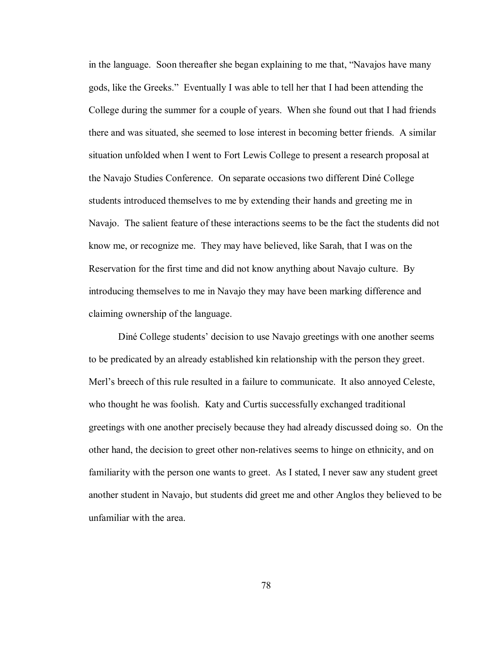in the language. Soon thereafter she began explaining to me that, "Navajos have many gods, like the Greeks." Eventually I was able to tell her that I had been attending the College during the summer for a couple of years. When she found out that I had friends there and was situated, she seemed to lose interest in becoming better friends. A similar situation unfolded when I went to Fort Lewis College to present a research proposal at the Navajo Studies Conference. On separate occasions two different DinÈ College students introduced themselves to me by extending their hands and greeting me in Navajo. The salient feature of these interactions seems to be the fact the students did not know me, or recognize me. They may have believed, like Sarah, that I was on the Reservation for the first time and did not know anything about Navajo culture. By introducing themselves to me in Navajo they may have been marking difference and claiming ownership of the language.

Diné College students' decision to use Navajo greetings with one another seems to be predicated by an already established kin relationship with the person they greet. Merl's breech of this rule resulted in a failure to communicate. It also annoyed Celeste, who thought he was foolish. Katy and Curtis successfully exchanged traditional greetings with one another precisely because they had already discussed doing so. On the other hand, the decision to greet other non-relatives seems to hinge on ethnicity, and on familiarity with the person one wants to greet. As I stated, I never saw any student greet another student in Navajo, but students did greet me and other Anglos they believed to be unfamiliar with the area.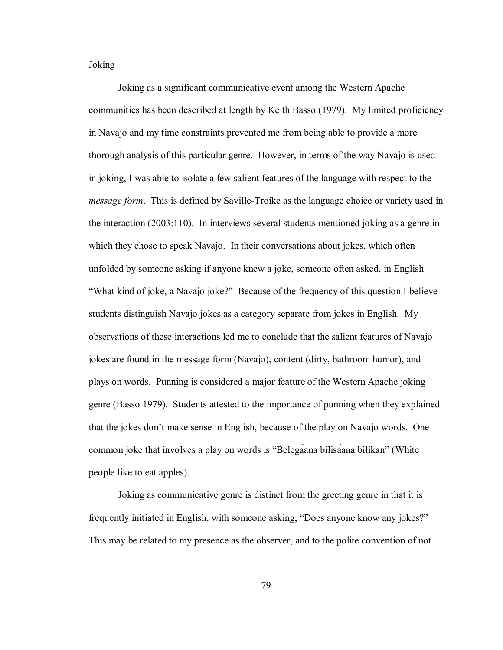## **Joking**

 Joking as a significant communicative event among the Western Apache communities has been described at length by Keith Basso (1979). My limited proficiency in Navajo and my time constraints prevented me from being able to provide a more thorough analysis of this particular genre. However, in terms of the way Navajo is used in joking, I was able to isolate a few salient features of the language with respect to the *message form*. This is defined by Saville-Troike as the language choice or variety used in the interaction (2003:110). In interviews several students mentioned joking as a genre in which they chose to speak Navajo. In their conversations about jokes, which often unfolded by someone asking if anyone knew a joke, someone often asked, in English ìWhat kind of joke, a Navajo joke?î Because of the frequency of this question I believe students distinguish Navajo jokes as a category separate from jokes in English. My observations of these interactions led me to conclude that the salient features of Navajo jokes are found in the message form (Navajo), content (dirty, bathroom humor), and plays on words. Punning is considered a major feature of the Western Apache joking genre (Basso 1979). Students attested to the importance of punning when they explained that the jokes donít make sense in English, because of the play on Navajo words. One common joke that involves a play on words is "Belegaana bilisaána biłikan" (White people like to eat apples).

Joking as communicative genre is distinct from the greeting genre in that it is frequently initiated in English, with someone asking, "Does anyone know any jokes?" This may be related to my presence as the observer, and to the polite convention of not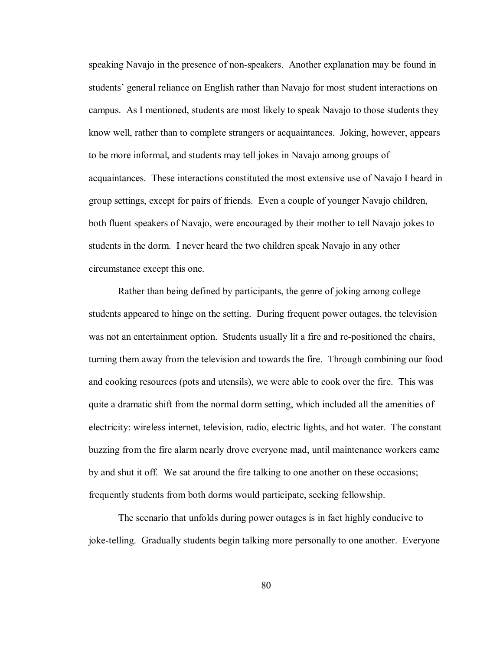speaking Navajo in the presence of non-speakers. Another explanation may be found in students' general reliance on English rather than Navajo for most student interactions on campus. As I mentioned, students are most likely to speak Navajo to those students they know well, rather than to complete strangers or acquaintances. Joking, however, appears to be more informal, and students may tell jokes in Navajo among groups of acquaintances. These interactions constituted the most extensive use of Navajo I heard in group settings, except for pairs of friends. Even a couple of younger Navajo children, both fluent speakers of Navajo, were encouraged by their mother to tell Navajo jokes to students in the dorm. I never heard the two children speak Navajo in any other circumstance except this one.

Rather than being defined by participants, the genre of joking among college students appeared to hinge on the setting. During frequent power outages, the television was not an entertainment option. Students usually lit a fire and re-positioned the chairs, turning them away from the television and towards the fire. Through combining our food and cooking resources (pots and utensils), we were able to cook over the fire. This was quite a dramatic shift from the normal dorm setting, which included all the amenities of electricity: wireless internet, television, radio, electric lights, and hot water. The constant buzzing from the fire alarm nearly drove everyone mad, until maintenance workers came by and shut it off. We sat around the fire talking to one another on these occasions; frequently students from both dorms would participate, seeking fellowship.

The scenario that unfolds during power outages is in fact highly conducive to joke-telling. Gradually students begin talking more personally to one another. Everyone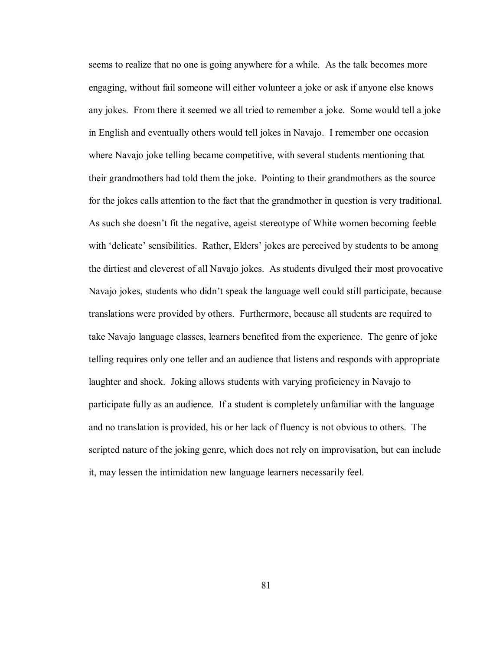seems to realize that no one is going anywhere for a while. As the talk becomes more engaging, without fail someone will either volunteer a joke or ask if anyone else knows any jokes. From there it seemed we all tried to remember a joke. Some would tell a joke in English and eventually others would tell jokes in Navajo. I remember one occasion where Navajo joke telling became competitive, with several students mentioning that their grandmothers had told them the joke. Pointing to their grandmothers as the source for the jokes calls attention to the fact that the grandmother in question is very traditional. As such she doesn't fit the negative, ageist stereotype of White women becoming feeble with 'delicate' sensibilities. Rather, Elders' jokes are perceived by students to be among the dirtiest and cleverest of all Navajo jokes. As students divulged their most provocative Navajo jokes, students who didn't speak the language well could still participate, because translations were provided by others. Furthermore, because all students are required to take Navajo language classes, learners benefited from the experience. The genre of joke telling requires only one teller and an audience that listens and responds with appropriate laughter and shock. Joking allows students with varying proficiency in Navajo to participate fully as an audience. If a student is completely unfamiliar with the language and no translation is provided, his or her lack of fluency is not obvious to others. The scripted nature of the joking genre, which does not rely on improvisation, but can include it, may lessen the intimidation new language learners necessarily feel.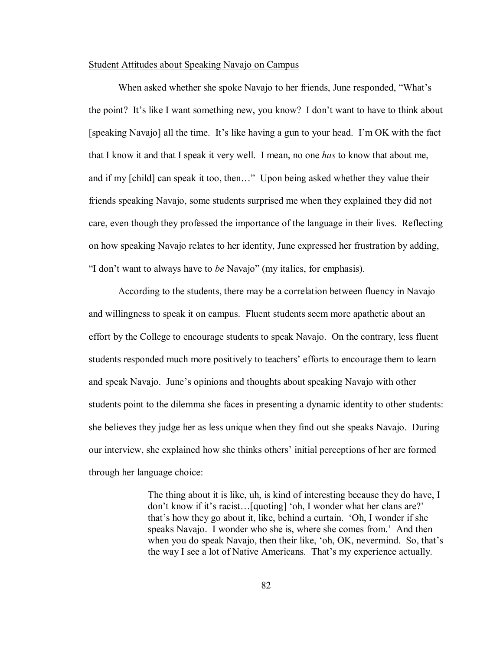## Student Attitudes about Speaking Navajo on Campus

When asked whether she spoke Navajo to her friends, June responded, "What's the point? It's like I want something new, you know? I don't want to have to think about [speaking Navajo] all the time. It's like having a gun to your head. I'm OK with the fact that I know it and that I speak it very well. I mean, no one *has* to know that about me, and if my [child] can speak it too, then..." Upon being asked whether they value their friends speaking Navajo, some students surprised me when they explained they did not care, even though they professed the importance of the language in their lives. Reflecting on how speaking Navajo relates to her identity, June expressed her frustration by adding, ìI donít want to always have to *be* Navajoî (my italics, for emphasis).

According to the students, there may be a correlation between fluency in Navajo and willingness to speak it on campus. Fluent students seem more apathetic about an effort by the College to encourage students to speak Navajo. On the contrary, less fluent students responded much more positively to teachers' efforts to encourage them to learn and speak Navajo. June's opinions and thoughts about speaking Navajo with other students point to the dilemma she faces in presenting a dynamic identity to other students: she believes they judge her as less unique when they find out she speaks Navajo. During our interview, she explained how she thinks others' initial perceptions of her are formed through her language choice:

> The thing about it is like, uh, is kind of interesting because they do have, I don't know if it's racist...[quoting] 'oh, I wonder what her clans are?' that's how they go about it, like, behind a curtain. 'Oh, I wonder if she speaks Navajo. I wonder who she is, where she comes from.' And then when you do speak Navajo, then their like, 'oh, OK, nevermind. So, that's the way I see a lot of Native Americans. That's my experience actually.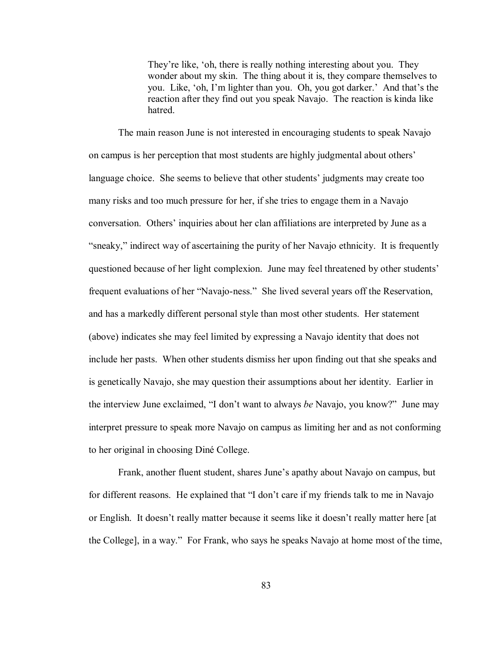They're like, 'oh, there is really nothing interesting about you. They wonder about my skin. The thing about it is, they compare themselves to you. Like, 'oh, I'm lighter than you. Oh, you got darker.' And that's the reaction after they find out you speak Navajo. The reaction is kinda like hatred.

The main reason June is not interested in encouraging students to speak Navajo on campus is her perception that most students are highly judgmental about others<sup>'</sup> language choice. She seems to believe that other students' judgments may create too many risks and too much pressure for her, if she tries to engage them in a Navajo conversation. Others' inquiries about her clan affiliations are interpreted by June as a "sneaky," indirect way of ascertaining the purity of her Navajo ethnicity. It is frequently questioned because of her light complexion. June may feel threatened by other students' frequent evaluations of her "Navajo-ness." She lived several years off the Reservation, and has a markedly different personal style than most other students. Her statement (above) indicates she may feel limited by expressing a Navajo identity that does not include her pasts. When other students dismiss her upon finding out that she speaks and is genetically Navajo, she may question their assumptions about her identity. Earlier in the interview June exclaimed, "I don't want to always *be* Navajo, you know?" June may interpret pressure to speak more Navajo on campus as limiting her and as not conforming to her original in choosing DinÈ College.

Frank, another fluent student, shares June's apathy about Navajo on campus, but for different reasons. He explained that "I don't care if my friends talk to me in Navajo or English. It doesn't really matter because it seems like it doesn't really matter here [at] the College], in a way." For Frank, who says he speaks Navajo at home most of the time,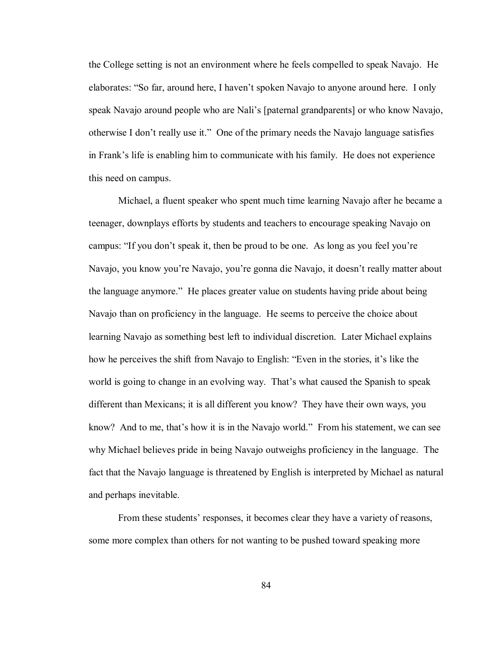the College setting is not an environment where he feels compelled to speak Navajo. He elaborates: "So far, around here, I haven't spoken Navajo to anyone around here. I only speak Navajo around people who are Nali's [paternal grandparents] or who know Navajo, otherwise I don't really use it." One of the primary needs the Navajo language satisfies in Frank's life is enabling him to communicate with his family. He does not experience this need on campus.

Michael, a fluent speaker who spent much time learning Navajo after he became a teenager, downplays efforts by students and teachers to encourage speaking Navajo on campus: "If you don't speak it, then be proud to be one. As long as you feel you're Navajo, you know you're Navajo, you're gonna die Navajo, it doesn't really matter about the language anymore." He places greater value on students having pride about being Navajo than on proficiency in the language. He seems to perceive the choice about learning Navajo as something best left to individual discretion. Later Michael explains how he perceives the shift from Navajo to English: "Even in the stories, it's like the world is going to change in an evolving way. That's what caused the Spanish to speak different than Mexicans; it is all different you know? They have their own ways, you know? And to me, that's how it is in the Navajo world." From his statement, we can see why Michael believes pride in being Navajo outweighs proficiency in the language. The fact that the Navajo language is threatened by English is interpreted by Michael as natural and perhaps inevitable.

From these students' responses, it becomes clear they have a variety of reasons, some more complex than others for not wanting to be pushed toward speaking more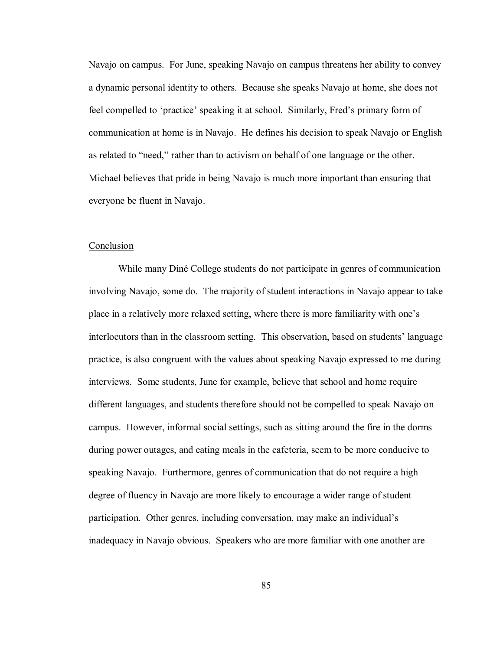Navajo on campus. For June, speaking Navajo on campus threatens her ability to convey a dynamic personal identity to others. Because she speaks Navajo at home, she does not feel compelled to 'practice' speaking it at school. Similarly, Fred's primary form of communication at home is in Navajo. He defines his decision to speak Navajo or English as related to "need," rather than to activism on behalf of one language or the other. Michael believes that pride in being Navajo is much more important than ensuring that everyone be fluent in Navajo.

### Conclusion

While many Diné College students do not participate in genres of communication involving Navajo, some do. The majority of student interactions in Navajo appear to take place in a relatively more relaxed setting, where there is more familiarity with one's interlocutors than in the classroom setting. This observation, based on students' language practice, is also congruent with the values about speaking Navajo expressed to me during interviews. Some students, June for example, believe that school and home require different languages, and students therefore should not be compelled to speak Navajo on campus. However, informal social settings, such as sitting around the fire in the dorms during power outages, and eating meals in the cafeteria, seem to be more conducive to speaking Navajo. Furthermore, genres of communication that do not require a high degree of fluency in Navajo are more likely to encourage a wider range of student participation. Other genres, including conversation, may make an individual's inadequacy in Navajo obvious. Speakers who are more familiar with one another are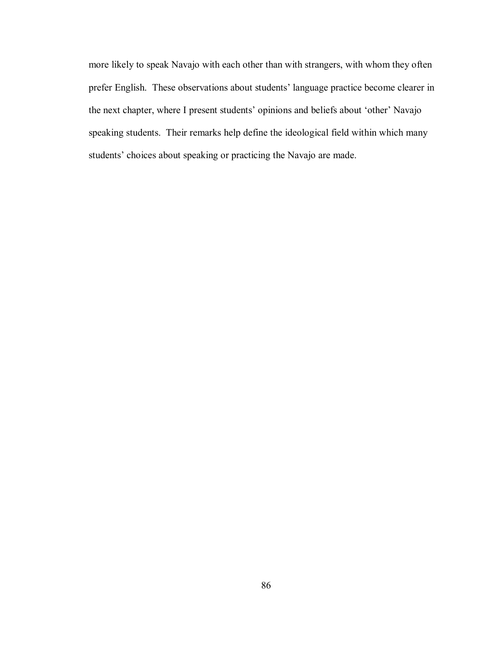more likely to speak Navajo with each other than with strangers, with whom they often prefer English. These observations about students' language practice become clearer in the next chapter, where I present students' opinions and beliefs about 'other' Navajo speaking students. Their remarks help define the ideological field within which many students' choices about speaking or practicing the Navajo are made.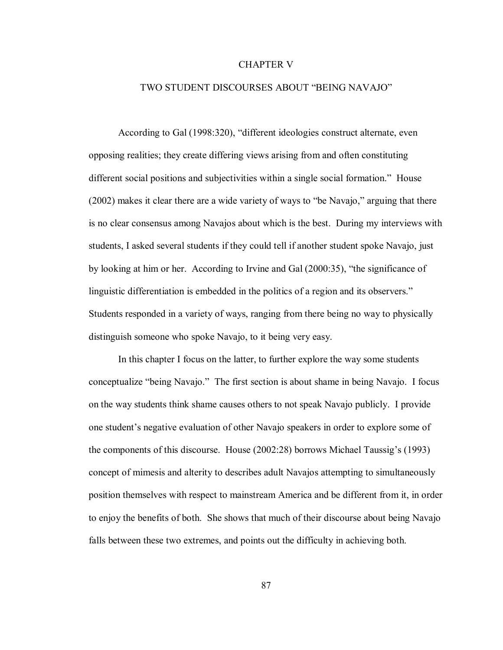## CHAPTER V

# TWO STUDENT DISCOURSES ABOUT "BEING NAVAJO"

According to Gal (1998:320), "different ideologies construct alternate, even opposing realities; they create differing views arising from and often constituting different social positions and subjectivities within a single social formation." House  $(2002)$  makes it clear there are a wide variety of ways to "be Navajo," arguing that there is no clear consensus among Navajos about which is the best. During my interviews with students, I asked several students if they could tell if another student spoke Navajo, just by looking at him or her. According to Irvine and Gal  $(2000:35)$ , "the significance of linguistic differentiation is embedded in the politics of a region and its observers." Students responded in a variety of ways, ranging from there being no way to physically distinguish someone who spoke Navajo, to it being very easy.

In this chapter I focus on the latter, to further explore the way some students conceptualize "being Navajo." The first section is about shame in being Navajo. I focus on the way students think shame causes others to not speak Navajo publicly. I provide one student's negative evaluation of other Navajo speakers in order to explore some of the components of this discourse. House (2002:28) borrows Michael Taussig's (1993) concept of mimesis and alterity to describes adult Navajos attempting to simultaneously position themselves with respect to mainstream America and be different from it, in order to enjoy the benefits of both. She shows that much of their discourse about being Navajo falls between these two extremes, and points out the difficulty in achieving both.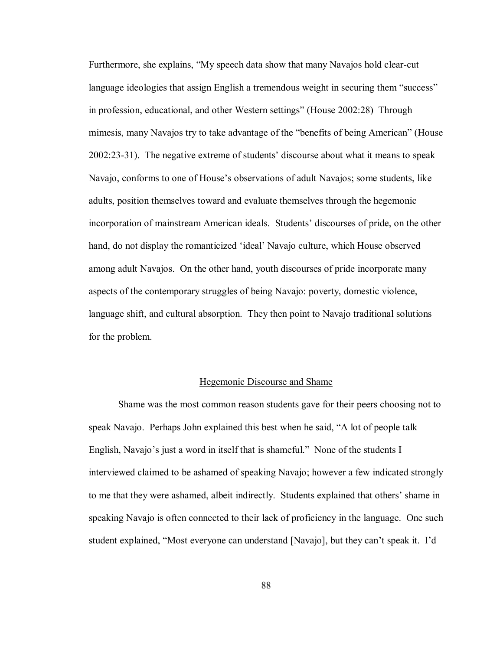Furthermore, she explains, "My speech data show that many Navajos hold clear-cut language ideologies that assign English a tremendous weight in securing them "success" in profession, educational, and other Western settings" (House 2002:28) Through mimesis, many Navajos try to take advantage of the "benefits of being American" (House  $2002:23-31$ . The negative extreme of students' discourse about what it means to speak Navajo, conforms to one of House's observations of adult Navajos; some students, like adults, position themselves toward and evaluate themselves through the hegemonic incorporation of mainstream American ideals. Students' discourses of pride, on the other hand, do not display the romanticized 'ideal' Navajo culture, which House observed among adult Navajos. On the other hand, youth discourses of pride incorporate many aspects of the contemporary struggles of being Navajo: poverty, domestic violence, language shift, and cultural absorption. They then point to Navajo traditional solutions for the problem.

### Hegemonic Discourse and Shame

Shame was the most common reason students gave for their peers choosing not to speak Navajo. Perhaps John explained this best when he said, "A lot of people talk English, Navajo's just a word in itself that is shameful." None of the students I interviewed claimed to be ashamed of speaking Navajo; however a few indicated strongly to me that they were ashamed, albeit indirectly. Students explained that others' shame in speaking Navajo is often connected to their lack of proficiency in the language. One such student explained, "Most everyone can understand [Navajo], but they can't speak it. I'd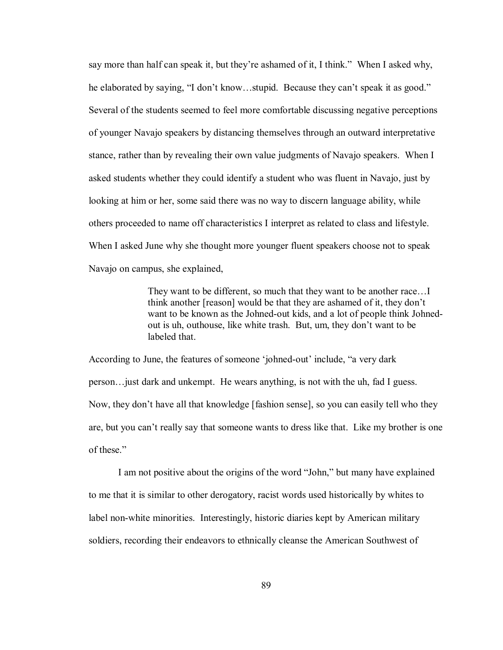say more than half can speak it, but they're ashamed of it, I think." When I asked why, he elaborated by saying, "I don't know...stupid. Because they can't speak it as good." Several of the students seemed to feel more comfortable discussing negative perceptions of younger Navajo speakers by distancing themselves through an outward interpretative stance, rather than by revealing their own value judgments of Navajo speakers. When I asked students whether they could identify a student who was fluent in Navajo, just by looking at him or her, some said there was no way to discern language ability, while others proceeded to name off characteristics I interpret as related to class and lifestyle. When I asked June why she thought more younger fluent speakers choose not to speak Navajo on campus, she explained,

> They want to be different, so much that they want to be another race... think another [reason] would be that they are ashamed of it, they don't want to be known as the Johned-out kids, and a lot of people think Johnedout is uh, outhouse, like white trash. But, um, they don't want to be labeled that.

According to June, the features of someone 'johned-out' include, "a very dark person $\ldots$  just dark and unkempt. He wears anything, is not with the uh, fad I guess. Now, they don't have all that knowledge [fashion sense], so you can easily tell who they are, but you can't really say that someone wants to dress like that. Like my brother is one of these."

I am not positive about the origins of the word "John," but many have explained to me that it is similar to other derogatory, racist words used historically by whites to label non-white minorities. Interestingly, historic diaries kept by American military soldiers, recording their endeavors to ethnically cleanse the American Southwest of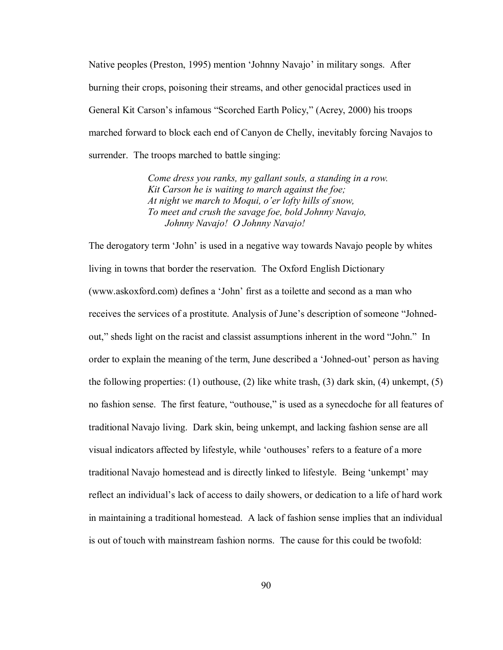Native peoples (Preston, 1995) mention 'Johnny Navajo' in military songs. After burning their crops, poisoning their streams, and other genocidal practices used in General Kit Carson's infamous "Scorched Earth Policy," (Acrey, 2000) his troops marched forward to block each end of Canyon de Chelly, inevitably forcing Navajos to surrender. The troops marched to battle singing:

> *Come dress you ranks, my gallant souls, a standing in a row. Kit Carson he is waiting to march against the foe; At night we march to Moqui, o'er lofty hills of snow, To meet and crush the savage foe, bold Johnny Navajo, Johnny Navajo! O Johnny Navajo!*

The derogatory term 'John' is used in a negative way towards Navajo people by whites living in towns that border the reservation. The Oxford English Dictionary (www.askoxford.com) defines a 'John' first as a toilette and second as a man who receives the services of a prostitute. Analysis of June's description of someone "Johnedout," sheds light on the racist and classist assumptions inherent in the word "John." In order to explain the meaning of the term, June described a 'Johned-out' person as having the following properties: (1) outhouse, (2) like white trash, (3) dark skin, (4) unkempt, (5) no fashion sense. The first feature, "outhouse," is used as a synecdoche for all features of traditional Navajo living. Dark skin, being unkempt, and lacking fashion sense are all visual indicators affected by lifestyle, while 'outhouses' refers to a feature of a more traditional Navajo homestead and is directly linked to lifestyle. Being 'unkempt' may reflect an individual's lack of access to daily showers, or dedication to a life of hard work in maintaining a traditional homestead. A lack of fashion sense implies that an individual is out of touch with mainstream fashion norms. The cause for this could be twofold: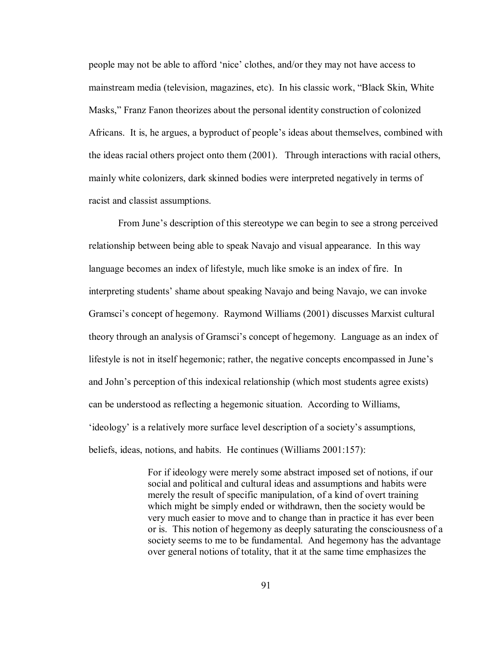people may not be able to afford 'nice' clothes, and/or they may not have access to mainstream media (television, magazines, etc). In his classic work, "Black Skin, White Masks," Franz Fanon theorizes about the personal identity construction of colonized Africans. It is, he argues, a byproduct of people's ideas about themselves, combined with the ideas racial others project onto them (2001). Through interactions with racial others, mainly white colonizers, dark skinned bodies were interpreted negatively in terms of racist and classist assumptions.

From June's description of this stereotype we can begin to see a strong perceived relationship between being able to speak Navajo and visual appearance. In this way language becomes an index of lifestyle, much like smoke is an index of fire. In interpreting students' shame about speaking Navajo and being Navajo, we can invoke Gramsciís concept of hegemony. Raymond Williams (2001) discusses Marxist cultural theory through an analysis of Gramsci's concept of hegemony. Language as an index of lifestyle is not in itself hegemonic; rather, the negative concepts encompassed in June's and John's perception of this indexical relationship (which most students agree exists) can be understood as reflecting a hegemonic situation. According to Williams, ëideologyí is a relatively more surface level description of a societyís assumptions, beliefs, ideas, notions, and habits. He continues (Williams 2001:157):

> For if ideology were merely some abstract imposed set of notions, if our social and political and cultural ideas and assumptions and habits were merely the result of specific manipulation, of a kind of overt training which might be simply ended or withdrawn, then the society would be very much easier to move and to change than in practice it has ever been or is. This notion of hegemony as deeply saturating the consciousness of a society seems to me to be fundamental. And hegemony has the advantage over general notions of totality, that it at the same time emphasizes the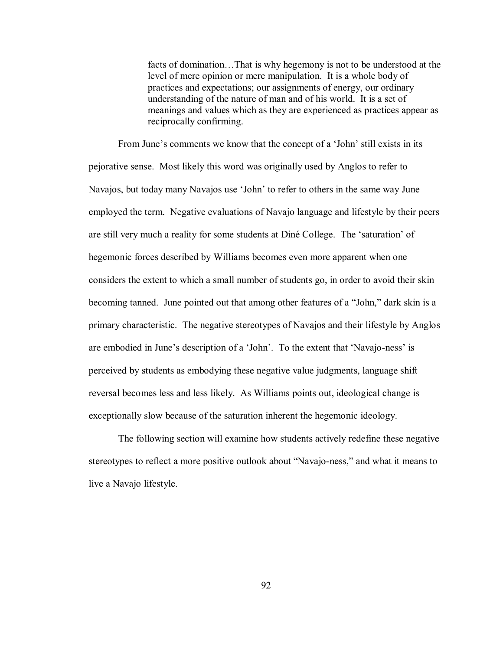facts of domination...That is why hegemony is not to be understood at the level of mere opinion or mere manipulation. It is a whole body of practices and expectations; our assignments of energy, our ordinary understanding of the nature of man and of his world. It is a set of meanings and values which as they are experienced as practices appear as reciprocally confirming.

From June's comments we know that the concept of a 'John' still exists in its pejorative sense. Most likely this word was originally used by Anglos to refer to Navajos, but today many Navajos use 'John' to refer to others in the same way June employed the term. Negative evaluations of Navajo language and lifestyle by their peers are still very much a reality for some students at Diné College. The 'saturation' of hegemonic forces described by Williams becomes even more apparent when one considers the extent to which a small number of students go, in order to avoid their skin becoming tanned. June pointed out that among other features of a "John," dark skin is a primary characteristic. The negative stereotypes of Navajos and their lifestyle by Anglos are embodied in June's description of a 'John'. To the extent that 'Navajo-ness' is perceived by students as embodying these negative value judgments, language shift reversal becomes less and less likely. As Williams points out, ideological change is exceptionally slow because of the saturation inherent the hegemonic ideology.

The following section will examine how students actively redefine these negative stereotypes to reflect a more positive outlook about "Navajo-ness," and what it means to live a Navajo lifestyle.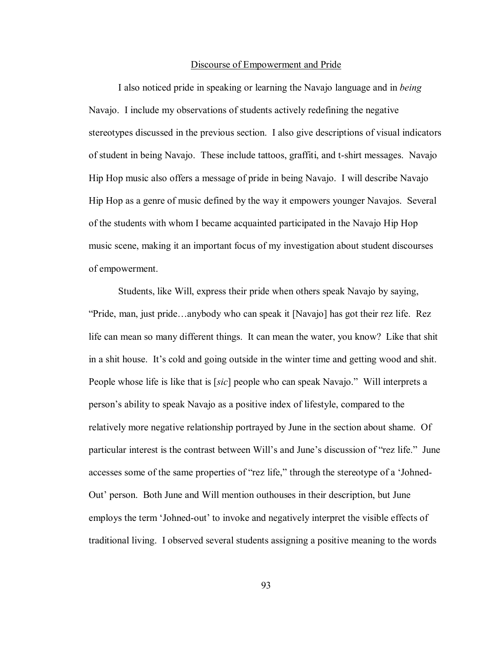### Discourse of Empowerment and Pride

 I also noticed pride in speaking or learning the Navajo language and in *being* Navajo. I include my observations of students actively redefining the negative stereotypes discussed in the previous section. I also give descriptions of visual indicators of student in being Navajo. These include tattoos, graffiti, and t-shirt messages. Navajo Hip Hop music also offers a message of pride in being Navajo. I will describe Navajo Hip Hop as a genre of music defined by the way it empowers younger Navajos. Several of the students with whom I became acquainted participated in the Navajo Hip Hop music scene, making it an important focus of my investigation about student discourses of empowerment.

Students, like Will, express their pride when others speak Navajo by saying,  $\lq$ Pride, man, just pride $\ldots$ anybody who can speak it [Navajo] has got their rez life. Rez life can mean so many different things. It can mean the water, you know? Like that shit in a shit house. It's cold and going outside in the winter time and getting wood and shit. People whose life is like that is [*sic*] people who can speak Navajo." Will interprets a personís ability to speak Navajo as a positive index of lifestyle, compared to the relatively more negative relationship portrayed by June in the section about shame. Of particular interest is the contrast between Will's and June's discussion of "rez life." June accesses some of the same properties of "rez life," through the stereotype of a 'Johned-Outí person. Both June and Will mention outhouses in their description, but June employs the term 'Johned-out' to invoke and negatively interpret the visible effects of traditional living. I observed several students assigning a positive meaning to the words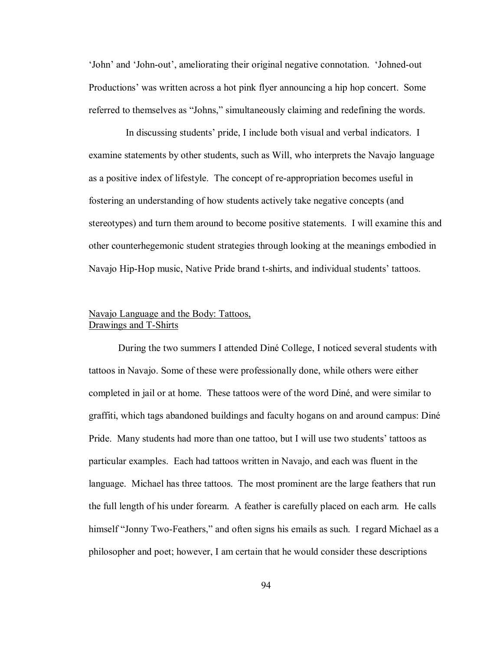ëJohní and ëJohn-outí, ameliorating their original negative connotation. ëJohned-out Productionsí was written across a hot pink flyer announcing a hip hop concert. Some referred to themselves as "Johns," simultaneously claiming and redefining the words.

In discussing students' pride, I include both visual and verbal indicators. I examine statements by other students, such as Will, who interprets the Navajo language as a positive index of lifestyle. The concept of re-appropriation becomes useful in fostering an understanding of how students actively take negative concepts (and stereotypes) and turn them around to become positive statements. I will examine this and other counterhegemonic student strategies through looking at the meanings embodied in Navajo Hip-Hop music, Native Pride brand t-shirts, and individual students' tattoos.

## Navajo Language and the Body: Tattoos, Drawings and T-Shirts

During the two summers I attended Diné College, I noticed several students with tattoos in Navajo. Some of these were professionally done, while others were either completed in jail or at home. These tattoos were of the word Diné, and were similar to graffiti, which tags abandoned buildings and faculty hogans on and around campus: DinÈ Pride. Many students had more than one tattoo, but I will use two students' tattoos as particular examples. Each had tattoos written in Navajo, and each was fluent in the language. Michael has three tattoos. The most prominent are the large feathers that run the full length of his under forearm. A feather is carefully placed on each arm. He calls himself "Jonny Two-Feathers," and often signs his emails as such. I regard Michael as a philosopher and poet; however, I am certain that he would consider these descriptions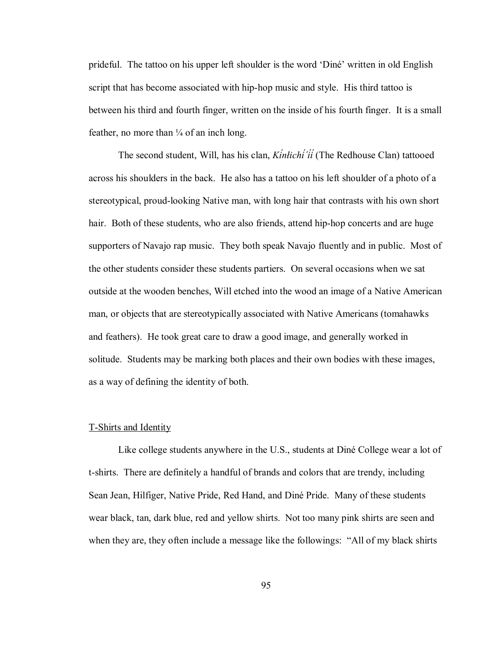prideful. The tattoo on his upper left shoulder is the word 'Diné' written in old English script that has become associated with hip-hop music and style. His third tattoo is between his third and fourth finger, written on the inside of his fourth finger. It is a small feather, no more than  $\frac{1}{4}$  of an inch long.

The second student, Will, has his clan, *Kínłichí΄íí* (The Redhouse Clan) tattooed across his shoulders in the back. He also has a tattoo on his left shoulder of a photo of a stereotypical, proud-looking Native man, with long hair that contrasts with his own short hair. Both of these students, who are also friends, attend hip-hop concerts and are huge supporters of Navajo rap music. They both speak Navajo fluently and in public. Most of the other students consider these students partiers. On several occasions when we sat outside at the wooden benches, Will etched into the wood an image of a Native American man, or objects that are stereotypically associated with Native Americans (tomahawks and feathers). He took great care to draw a good image, and generally worked in solitude. Students may be marking both places and their own bodies with these images, as a way of defining the identity of both.

#### T-Shirts and Identity

Like college students anywhere in the U.S., students at Diné College wear a lot of t-shirts. There are definitely a handful of brands and colors that are trendy, including Sean Jean, Hilfiger, Native Pride, Red Hand, and Diné Pride. Many of these students wear black, tan, dark blue, red and yellow shirts. Not too many pink shirts are seen and when they are, they often include a message like the followings: "All of my black shirts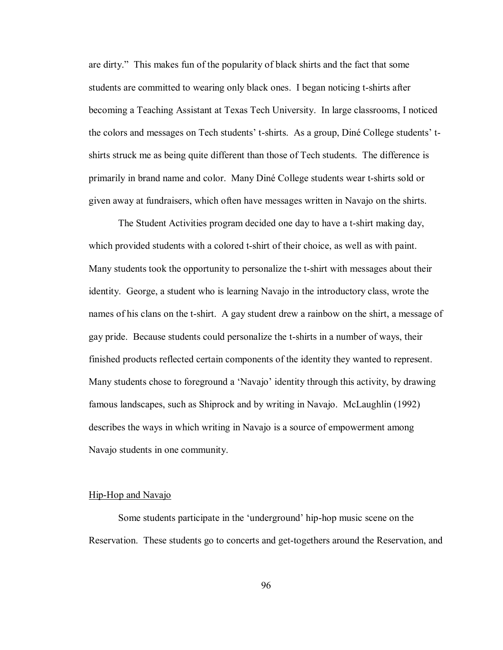are dirty." This makes fun of the popularity of black shirts and the fact that some students are committed to wearing only black ones. I began noticing t-shirts after becoming a Teaching Assistant at Texas Tech University. In large classrooms, I noticed the colors and messages on Tech students<sup>†</sup> t-shirts. As a group, Diné College students<sup>†</sup> tshirts struck me as being quite different than those of Tech students. The difference is primarily in brand name and color. Many DinÈ College students wear t-shirts sold or given away at fundraisers, which often have messages written in Navajo on the shirts.

 The Student Activities program decided one day to have a t-shirt making day, which provided students with a colored t-shirt of their choice, as well as with paint. Many students took the opportunity to personalize the t-shirt with messages about their identity. George, a student who is learning Navajo in the introductory class, wrote the names of his clans on the t-shirt. A gay student drew a rainbow on the shirt, a message of gay pride. Because students could personalize the t-shirts in a number of ways, their finished products reflected certain components of the identity they wanted to represent. Many students chose to foreground a 'Navajo' identity through this activity, by drawing famous landscapes, such as Shiprock and by writing in Navajo. McLaughlin (1992) describes the ways in which writing in Navajo is a source of empowerment among Navajo students in one community.

## Hip-Hop and Navajo

Some students participate in the 'underground' hip-hop music scene on the Reservation. These students go to concerts and get-togethers around the Reservation, and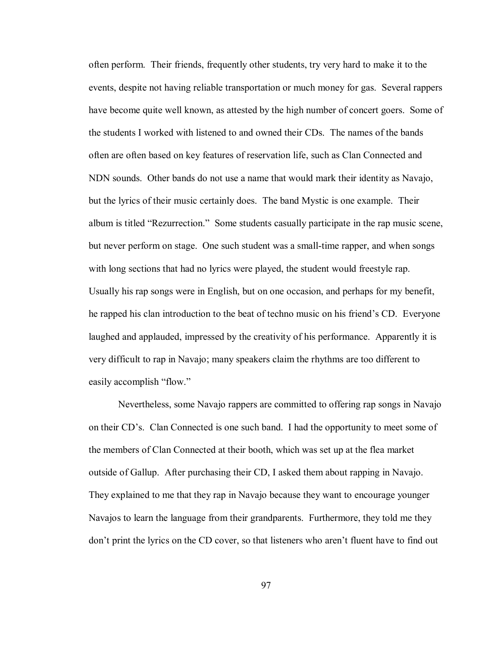often perform. Their friends, frequently other students, try very hard to make it to the events, despite not having reliable transportation or much money for gas. Several rappers have become quite well known, as attested by the high number of concert goers. Some of the students I worked with listened to and owned their CDs. The names of the bands often are often based on key features of reservation life, such as Clan Connected and NDN sounds. Other bands do not use a name that would mark their identity as Navajo, but the lyrics of their music certainly does. The band Mystic is one example. Their album is titled "Rezurrection." Some students casually participate in the rap music scene, but never perform on stage. One such student was a small-time rapper, and when songs with long sections that had no lyrics were played, the student would freestyle rap. Usually his rap songs were in English, but on one occasion, and perhaps for my benefit, he rapped his clan introduction to the beat of techno music on his friend's CD. Everyone laughed and applauded, impressed by the creativity of his performance. Apparently it is very difficult to rap in Navajo; many speakers claim the rhythms are too different to easily accomplish "flow."

Nevertheless, some Navajo rappers are committed to offering rap songs in Navajo on their CD's. Clan Connected is one such band. I had the opportunity to meet some of the members of Clan Connected at their booth, which was set up at the flea market outside of Gallup. After purchasing their CD, I asked them about rapping in Navajo. They explained to me that they rap in Navajo because they want to encourage younger Navajos to learn the language from their grandparents. Furthermore, they told me they don't print the lyrics on the CD cover, so that listeners who aren't fluent have to find out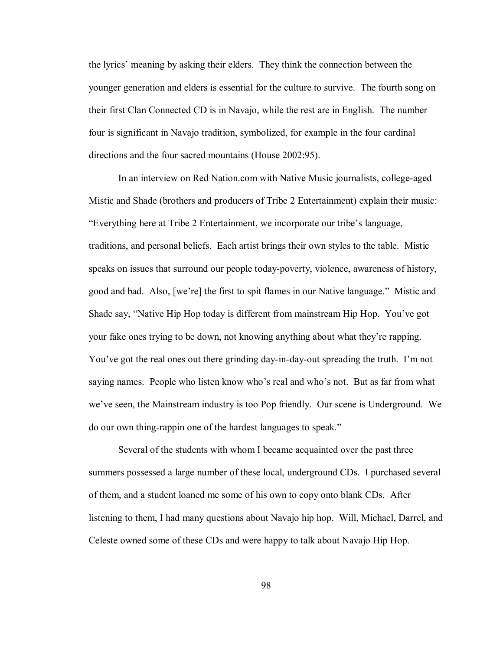the lyricsí meaning by asking their elders. They think the connection between the younger generation and elders is essential for the culture to survive. The fourth song on their first Clan Connected CD is in Navajo, while the rest are in English. The number four is significant in Navajo tradition, symbolized, for example in the four cardinal directions and the four sacred mountains (House 2002:95).

In an interview on Red Nation.com with Native Music journalists, college-aged Mistic and Shade (brothers and producers of Tribe 2 Entertainment) explain their music: ìEverything here at Tribe 2 Entertainment, we incorporate our tribeís language, traditions, and personal beliefs. Each artist brings their own styles to the table. Mistic speaks on issues that surround our people today-poverty, violence, awareness of history, good and bad. Also, [we're] the first to spit flames in our Native language." Mistic and Shade say, "Native Hip Hop today is different from mainstream Hip Hop. You've got your fake ones trying to be down, not knowing anything about what they're rapping. You've got the real ones out there grinding day-in-day-out spreading the truth. I'm not saying names. People who listen know who's real and who's not. But as far from what we've seen, the Mainstream industry is too Pop friendly. Our scene is Underground. We do our own thing-rappin one of the hardest languages to speak."

Several of the students with whom I became acquainted over the past three summers possessed a large number of these local, underground CDs. I purchased several of them, and a student loaned me some of his own to copy onto blank CDs. After listening to them, I had many questions about Navajo hip hop. Will, Michael, Darrel, and Celeste owned some of these CDs and were happy to talk about Navajo Hip Hop.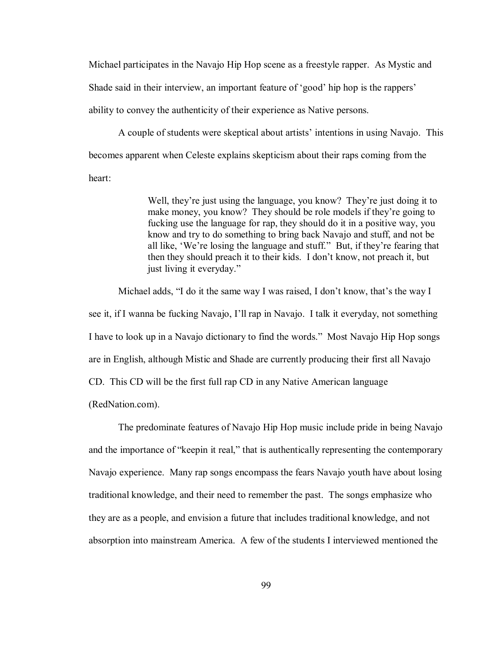Michael participates in the Navajo Hip Hop scene as a freestyle rapper. As Mystic and Shade said in their interview, an important feature of 'good' hip hop is the rappers' ability to convey the authenticity of their experience as Native persons.

A couple of students were skeptical about artists' intentions in using Navajo. This becomes apparent when Celeste explains skepticism about their raps coming from the heart:

> Well, they're just using the language, you know? They're just doing it to make money, you know? They should be role models if they're going to fucking use the language for rap, they should do it in a positive way, you know and try to do something to bring back Navajo and stuff, and not be all like, 'We're losing the language and stuff." But, if they're fearing that then they should preach it to their kids. I don't know, not preach it, but just living it everyday."

Michael adds, "I do it the same way I was raised, I don't know, that's the way I see it, if I wanna be fucking Navajo, I'll rap in Navajo. I talk it everyday, not something I have to look up in a Navajo dictionary to find the words." Most Navajo Hip Hop songs are in English, although Mistic and Shade are currently producing their first all Navajo CD. This CD will be the first full rap CD in any Native American language (RedNation.com).

 The predominate features of Navajo Hip Hop music include pride in being Navajo and the importance of "keepin it real," that is authentically representing the contemporary Navajo experience. Many rap songs encompass the fears Navajo youth have about losing traditional knowledge, and their need to remember the past. The songs emphasize who they are as a people, and envision a future that includes traditional knowledge, and not absorption into mainstream America. A few of the students I interviewed mentioned the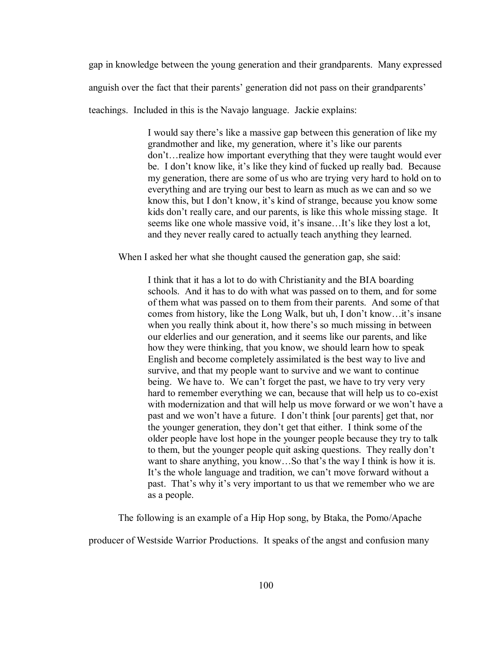gap in knowledge between the young generation and their grandparents. Many expressed

anguish over the fact that their parents' generation did not pass on their grandparents'

teachings. Included in this is the Navajo language. Jackie explains:

I would say there's like a massive gap between this generation of like my grandmother and like, my generation, where it's like our parents  $don't...$  realize how important everything that they were taught would ever be. I don't know like, it's like they kind of fucked up really bad. Because my generation, there are some of us who are trying very hard to hold on to everything and are trying our best to learn as much as we can and so we know this, but I don't know, it's kind of strange, because you know some kids don't really care, and our parents, is like this whole missing stage. It seems like one whole massive void, it's insane...It's like they lost a lot, and they never really cared to actually teach anything they learned.

When I asked her what she thought caused the generation gap, she said:

I think that it has a lot to do with Christianity and the BIA boarding schools. And it has to do with what was passed on to them, and for some of them what was passed on to them from their parents. And some of that comes from history, like the Long Walk, but uh, I don't know...it's insane when you really think about it, how there's so much missing in between our elderlies and our generation, and it seems like our parents, and like how they were thinking, that you know, we should learn how to speak English and become completely assimilated is the best way to live and survive, and that my people want to survive and we want to continue being. We have to. We can't forget the past, we have to try very very hard to remember everything we can, because that will help us to co-exist with modernization and that will help us move forward or we won't have a past and we won't have a future. I don't think [our parents] get that, nor the younger generation, they don't get that either. I think some of the older people have lost hope in the younger people because they try to talk to them, but the younger people quit asking questions. They really don't want to share anything, you know...So that's the way I think is how it is. It's the whole language and tradition, we can't move forward without a past. That's why it's very important to us that we remember who we are as a people.

The following is an example of a Hip Hop song, by Btaka, the Pomo/Apache

producer of Westside Warrior Productions. It speaks of the angst and confusion many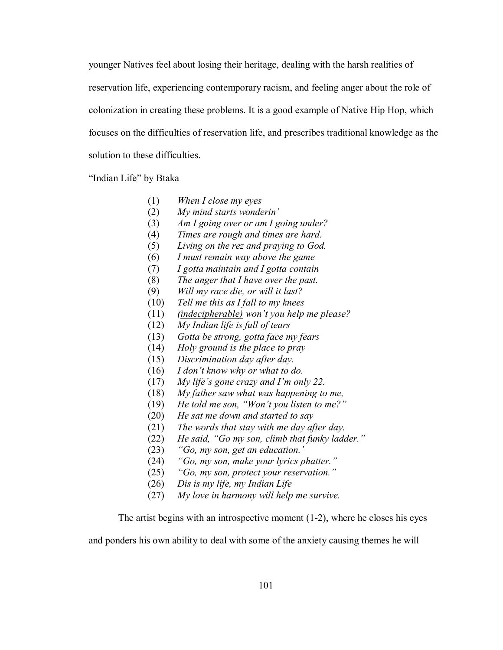younger Natives feel about losing their heritage, dealing with the harsh realities of reservation life, experiencing contemporary racism, and feeling anger about the role of colonization in creating these problems. It is a good example of Native Hip Hop, which focuses on the difficulties of reservation life, and prescribes traditional knowledge as the solution to these difficulties.

"Indian Life" by Btaka

- (1) *When I close my eyes*
- (2) *My mind starts wonderiní*
- (3) *Am I going over or am I going under?*
- (4) *Times are rough and times are hard.*
- (5) *Living on the rez and praying to God.*
- (6) *I must remain way above the game*
- (7) *I gotta maintain and I gotta contain*
- (8) *The anger that I have over the past.*
- (9) *Will my race die, or will it last?*
- (10) *Tell me this as I fall to my knees*
- (11) *(indecipherable) wonít you help me please?*
- (12) *My Indian life is full of tears*
- (13) *Gotta be strong, gotta face my fears*
- (14) *Holy ground is the place to pray*
- (15) *Discrimination day after day.*
- (16) *I donít know why or what to do.*
- (17) *My lifeís gone crazy and Iím only 22.*
- (18) *My father saw what was happening to me,*
- (19) He told me son, "Won't you listen to me?"
- (20) *He sat me down and started to say*
- (21) *The words that stay with me day after day.*
- (22) He said, "Go my son, climb that funky ladder."
- (23) *ìGo, my son, get an education.í*
- (24) *ìGo, my son, make your lyrics phatter.î*
- (25) *ìGo, my son, protect your reservation.î*
- (26) *Dis is my life, my Indian Life*
- (27) *My love in harmony will help me survive.*

The artist begins with an introspective moment  $(1-2)$ , where he closes his eyes

and ponders his own ability to deal with some of the anxiety causing themes he will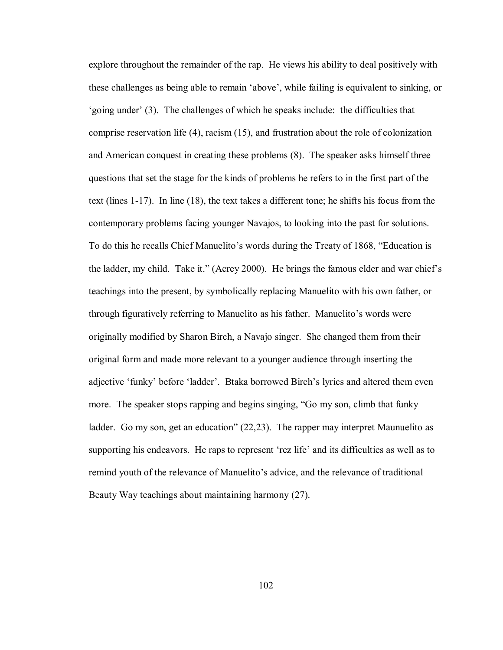explore throughout the remainder of the rap. He views his ability to deal positively with these challenges as being able to remain 'above', while failing is equivalent to sinking, or 'going under'  $(3)$ . The challenges of which he speaks include: the difficulties that comprise reservation life (4), racism (15), and frustration about the role of colonization and American conquest in creating these problems (8). The speaker asks himself three questions that set the stage for the kinds of problems he refers to in the first part of the text (lines 1-17). In line (18), the text takes a different tone; he shifts his focus from the contemporary problems facing younger Navajos, to looking into the past for solutions. To do this he recalls Chief Manuelito's words during the Treaty of 1868, "Education is the ladder, my child. Take it." (Acrey 2000). He brings the famous elder and war chief's teachings into the present, by symbolically replacing Manuelito with his own father, or through figuratively referring to Manuelito as his father. Manuelito's words were originally modified by Sharon Birch, a Navajo singer. She changed them from their original form and made more relevant to a younger audience through inserting the adjective 'funky' before 'ladder'. Btaka borrowed Birch's lyrics and altered them even more. The speaker stops rapping and begins singing, "Go my son, climb that funky ladder. Go my son, get an education"  $(22,23)$ . The rapper may interpret Maunuelito as supporting his endeavors. He raps to represent 'rez life' and its difficulties as well as to remind youth of the relevance of Manuelito's advice, and the relevance of traditional Beauty Way teachings about maintaining harmony (27).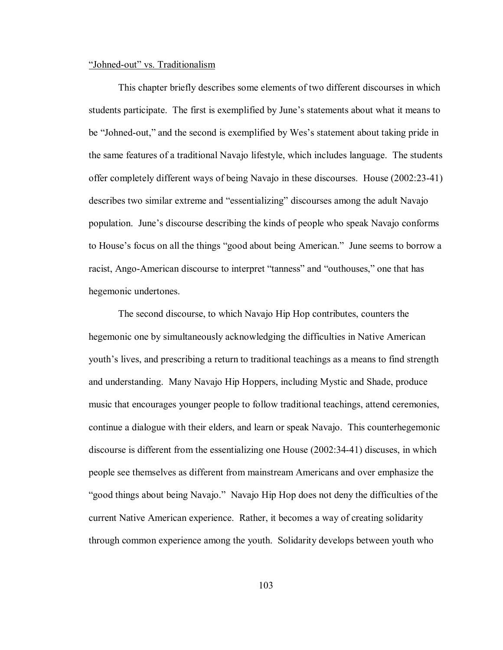### "Johned-out" vs. Traditionalism

 This chapter briefly describes some elements of two different discourses in which students participate. The first is exemplified by June's statements about what it means to be "Johned-out," and the second is exemplified by Wes's statement about taking pride in the same features of a traditional Navajo lifestyle, which includes language. The students offer completely different ways of being Navajo in these discourses. House (2002:23-41) describes two similar extreme and "essentializing" discourses among the adult Navajo population. June's discourse describing the kinds of people who speak Navajo conforms to House's focus on all the things "good about being American." June seems to borrow a racist, Ango-American discourse to interpret "tanness" and "outhouses," one that has hegemonic undertones.

The second discourse, to which Navajo Hip Hop contributes, counters the hegemonic one by simultaneously acknowledging the difficulties in Native American youth's lives, and prescribing a return to traditional teachings as a means to find strength and understanding. Many Navajo Hip Hoppers, including Mystic and Shade, produce music that encourages younger people to follow traditional teachings, attend ceremonies, continue a dialogue with their elders, and learn or speak Navajo. This counterhegemonic discourse is different from the essentializing one House (2002:34-41) discuses, in which people see themselves as different from mainstream Americans and over emphasize the ìgood things about being Navajo.î Navajo Hip Hop does not deny the difficulties of the current Native American experience. Rather, it becomes a way of creating solidarity through common experience among the youth. Solidarity develops between youth who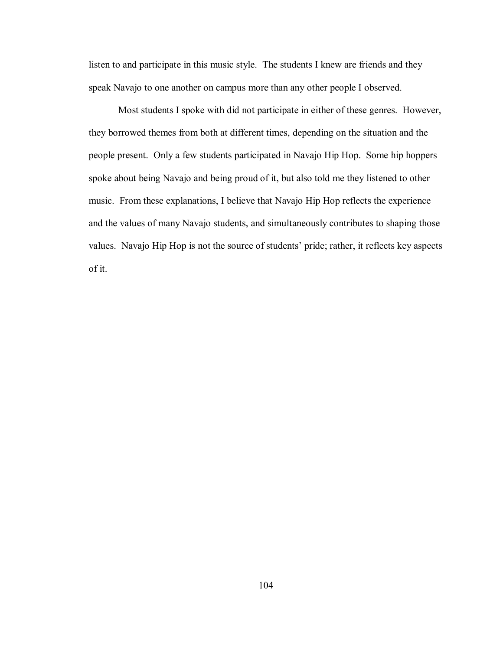listen to and participate in this music style. The students I knew are friends and they speak Navajo to one another on campus more than any other people I observed.

 Most students I spoke with did not participate in either of these genres. However, they borrowed themes from both at different times, depending on the situation and the people present. Only a few students participated in Navajo Hip Hop. Some hip hoppers spoke about being Navajo and being proud of it, but also told me they listened to other music. From these explanations, I believe that Navajo Hip Hop reflects the experience and the values of many Navajo students, and simultaneously contributes to shaping those values. Navajo Hip Hop is not the source of students' pride; rather, it reflects key aspects of it.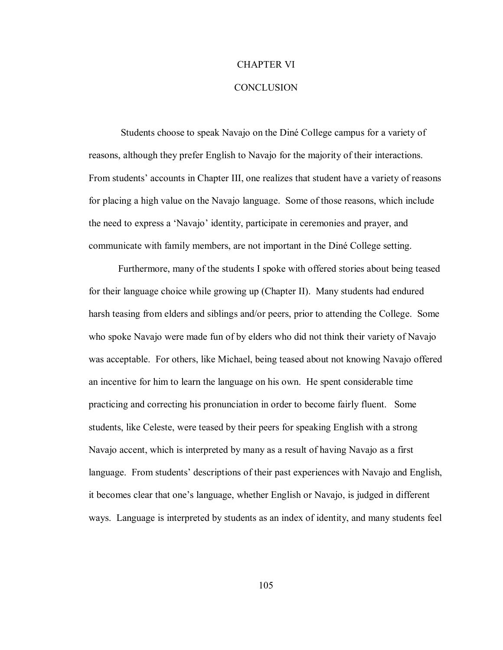## CHAPTER VI

## **CONCLUSION**

Students choose to speak Navajo on the Diné College campus for a variety of reasons, although they prefer English to Navajo for the majority of their interactions. From studentsí accounts in Chapter III, one realizes that student have a variety of reasons for placing a high value on the Navajo language. Some of those reasons, which include the need to express a 'Navajo' identity, participate in ceremonies and prayer, and communicate with family members, are not important in the DinÈ College setting.

Furthermore, many of the students I spoke with offered stories about being teased for their language choice while growing up (Chapter II). Many students had endured harsh teasing from elders and siblings and/or peers, prior to attending the College. Some who spoke Navajo were made fun of by elders who did not think their variety of Navajo was acceptable. For others, like Michael, being teased about not knowing Navajo offered an incentive for him to learn the language on his own. He spent considerable time practicing and correcting his pronunciation in order to become fairly fluent. Some students, like Celeste, were teased by their peers for speaking English with a strong Navajo accent, which is interpreted by many as a result of having Navajo as a first language. From students' descriptions of their past experiences with Navajo and English, it becomes clear that one's language, whether English or Navajo, is judged in different ways. Language is interpreted by students as an index of identity, and many students feel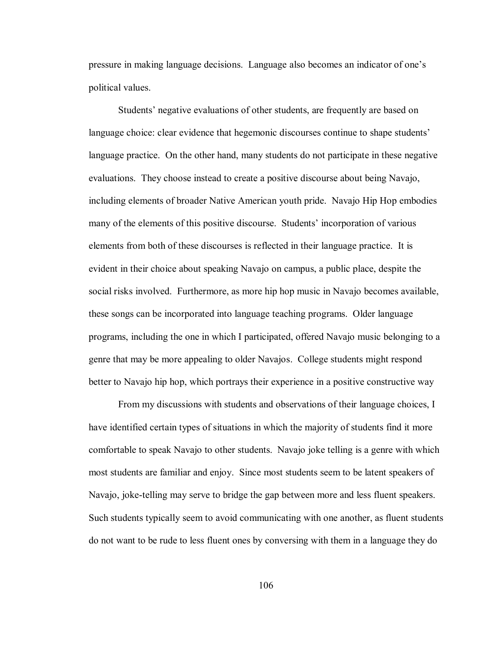pressure in making language decisions. Language also becomes an indicator of one's political values.

Students' negative evaluations of other students, are frequently are based on language choice: clear evidence that hegemonic discourses continue to shape students<sup>'</sup> language practice. On the other hand, many students do not participate in these negative evaluations. They choose instead to create a positive discourse about being Navajo, including elements of broader Native American youth pride. Navajo Hip Hop embodies many of the elements of this positive discourse. Students' incorporation of various elements from both of these discourses is reflected in their language practice. It is evident in their choice about speaking Navajo on campus, a public place, despite the social risks involved. Furthermore, as more hip hop music in Navajo becomes available, these songs can be incorporated into language teaching programs. Older language programs, including the one in which I participated, offered Navajo music belonging to a genre that may be more appealing to older Navajos. College students might respond better to Navajo hip hop, which portrays their experience in a positive constructive way

From my discussions with students and observations of their language choices, I have identified certain types of situations in which the majority of students find it more comfortable to speak Navajo to other students. Navajo joke telling is a genre with which most students are familiar and enjoy. Since most students seem to be latent speakers of Navajo, joke-telling may serve to bridge the gap between more and less fluent speakers. Such students typically seem to avoid communicating with one another, as fluent students do not want to be rude to less fluent ones by conversing with them in a language they do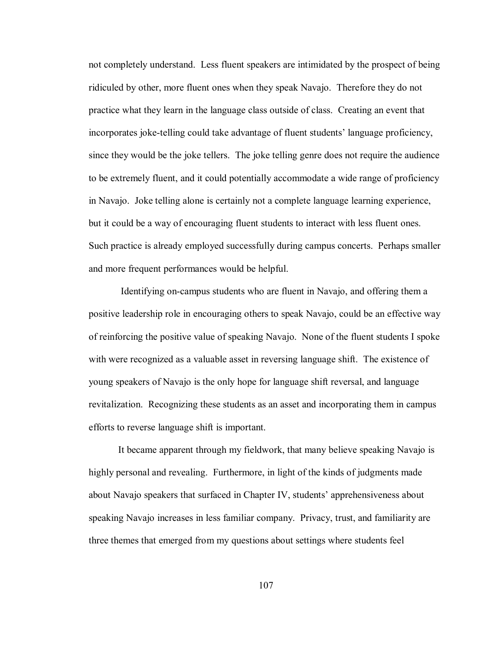not completely understand. Less fluent speakers are intimidated by the prospect of being ridiculed by other, more fluent ones when they speak Navajo. Therefore they do not practice what they learn in the language class outside of class. Creating an event that incorporates joke-telling could take advantage of fluent students' language proficiency, since they would be the joke tellers. The joke telling genre does not require the audience to be extremely fluent, and it could potentially accommodate a wide range of proficiency in Navajo. Joke telling alone is certainly not a complete language learning experience, but it could be a way of encouraging fluent students to interact with less fluent ones. Such practice is already employed successfully during campus concerts. Perhaps smaller and more frequent performances would be helpful.

 Identifying on-campus students who are fluent in Navajo, and offering them a positive leadership role in encouraging others to speak Navajo, could be an effective way of reinforcing the positive value of speaking Navajo. None of the fluent students I spoke with were recognized as a valuable asset in reversing language shift. The existence of young speakers of Navajo is the only hope for language shift reversal, and language revitalization. Recognizing these students as an asset and incorporating them in campus efforts to reverse language shift is important.

It became apparent through my fieldwork, that many believe speaking Navajo is highly personal and revealing. Furthermore, in light of the kinds of judgments made about Navajo speakers that surfaced in Chapter IV, students' apprehensiveness about speaking Navajo increases in less familiar company. Privacy, trust, and familiarity are three themes that emerged from my questions about settings where students feel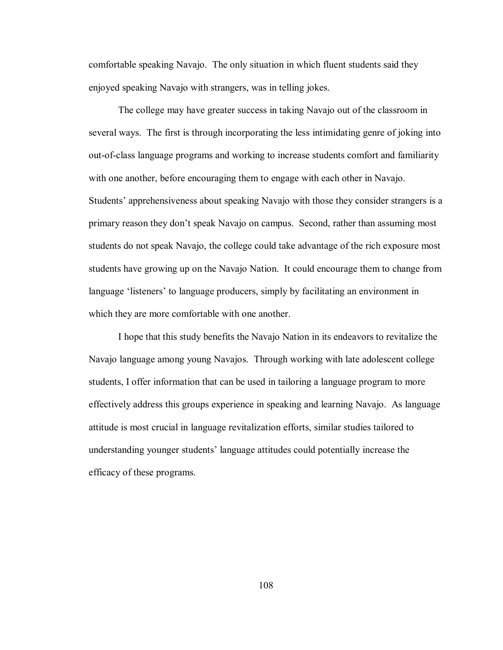comfortable speaking Navajo. The only situation in which fluent students said they enjoyed speaking Navajo with strangers, was in telling jokes.

The college may have greater success in taking Navajo out of the classroom in several ways. The first is through incorporating the less intimidating genre of joking into out-of-class language programs and working to increase students comfort and familiarity with one another, before encouraging them to engage with each other in Navajo. Students' apprehensiveness about speaking Navajo with those they consider strangers is a primary reason they don't speak Navajo on campus. Second, rather than assuming most students do not speak Navajo, the college could take advantage of the rich exposure most students have growing up on the Navajo Nation. It could encourage them to change from language 'listeners' to language producers, simply by facilitating an environment in which they are more comfortable with one another.

I hope that this study benefits the Navajo Nation in its endeavors to revitalize the Navajo language among young Navajos. Through working with late adolescent college students, I offer information that can be used in tailoring a language program to more effectively address this groups experience in speaking and learning Navajo. As language attitude is most crucial in language revitalization efforts, similar studies tailored to understanding younger students' language attitudes could potentially increase the efficacy of these programs.

108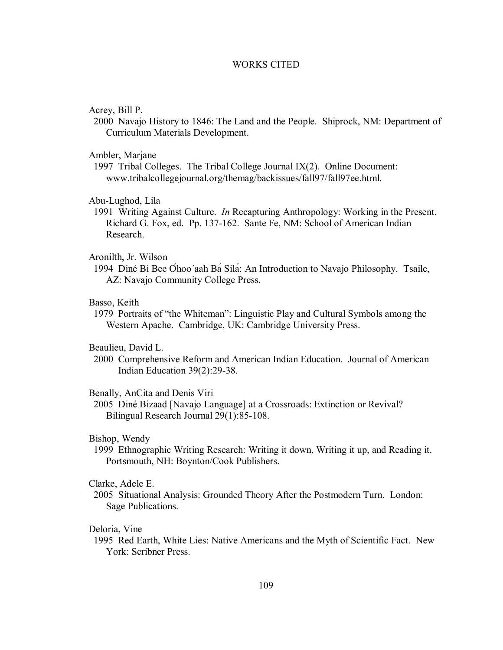# **WORKS CITED**

### Acrey, Bill P.

2000 Navajo History to 1846: The Land and the People. Shiprock, NM: Department of Curriculum Materials Development.

### Ambler, Marjane

1997 Tribal Colleges. The Tribal College Journal IX(2). Online Document: www.tribalcollegejournal.org/themag/backissues/fall97/fall97ee.html.

## Abu-Lughod, Lila

1991 Writing Against Culture. *In* Recapturing Anthropology: Working in the Present. Richard G. Fox, ed. Pp. 137-162. Sante Fe, NM: School of American Indian Research

## Aronilth, Jr. Wilson

1994 Diné Bi Bee Óhoo'aah Ba Sila: An Introduction to Navajo Philosophy. Tsaile, AZ: Navajo Community College Press.

# Basso, Keith

1979 Portraits of "the Whiteman": Linguistic Play and Cultural Symbols among the Western Apache. Cambridge, UK: Cambridge University Press.

## Beaulieu, David L.

2000 Comprehensive Reform and American Indian Education. Journal of American Indian Education 39(2):29-38.

### Benally, AnCita and Denis Viri

2005 Diné Bizaad [Navajo Language] at a Crossroads: Extinction or Revival? Bilingual Research Journal 29(1):85-108.

## Bishop, Wendy

1999 Ethnographic Writing Research: Writing it down, Writing it up, and Reading it. Portsmouth, NH: Boynton/Cook Publishers.

# Clarke, Adele E.

2005 Situational Analysis: Grounded Theory After the Postmodern Turn. London: Sage Publications.

### Deloria, Vine

1995 Red Earth, White Lies: Native Americans and the Myth of Scientific Fact. New York: Scribner Press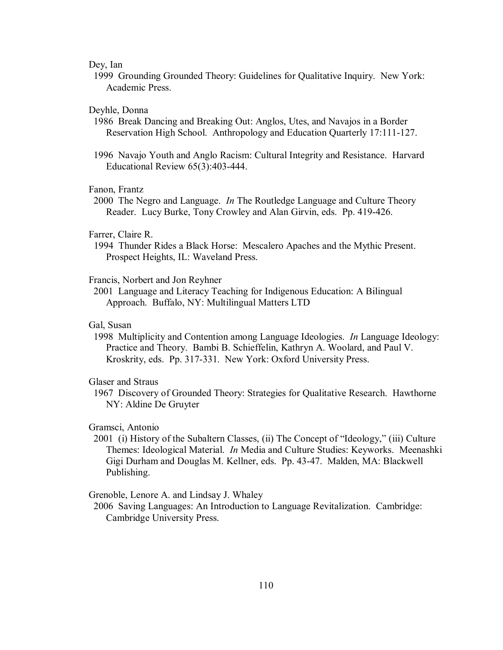## Dey, Ian

1999 Grounding Grounded Theory: Guidelines for Qualitative Inquiry. New York: Academic Press.

### Deyhle, Donna

1986 Break Dancing and Breaking Out: Anglos, Utes, and Navajos in a Border Reservation High School. Anthropology and Education Quarterly 17:111-127.

1996 Navajo Youth and Anglo Racism: Cultural Integrity and Resistance. Harvard Educational Review 65(3):403-444.

# Fanon, Frantz

2000 The Negro and Language. *In* The Routledge Language and Culture Theory Reader. Lucy Burke, Tony Crowley and Alan Girvin, eds. Pp. 419-426.

## Farrer, Claire R.

 1994 Thunder Rides a Black Horse: Mescalero Apaches and the Mythic Present. Prospect Heights, IL: Waveland Press.

## Francis, Norbert and Jon Reyhner

2001 Language and Literacy Teaching for Indigenous Education: A Bilingual Approach. Buffalo, NY: Multilingual Matters LTD

# Gal, Susan

1998 Multiplicity and Contention among Language Ideologies. *In* Language Ideology: Practice and Theory. Bambi B. Schieffelin, Kathryn A. Woolard, and Paul V. Kroskrity, eds. Pp. 317-331. New York: Oxford University Press.

### Glaser and Straus

1967 Discovery of Grounded Theory: Strategies for Qualitative Research. Hawthorne NY: Aldine De Gruyter

#### Gramsci, Antonio

 $2001$  (i) History of the Subaltern Classes, (ii) The Concept of "Ideology," (iii) Culture Themes: Ideological Material. *In* Media and Culture Studies: Keyworks. Meenashki Gigi Durham and Douglas M. Kellner, eds. Pp. 43-47. Malden, MA: Blackwell Publishing.

Grenoble, Lenore A. and Lindsay J. Whaley

2006 Saving Languages: An Introduction to Language Revitalization. Cambridge: Cambridge University Press.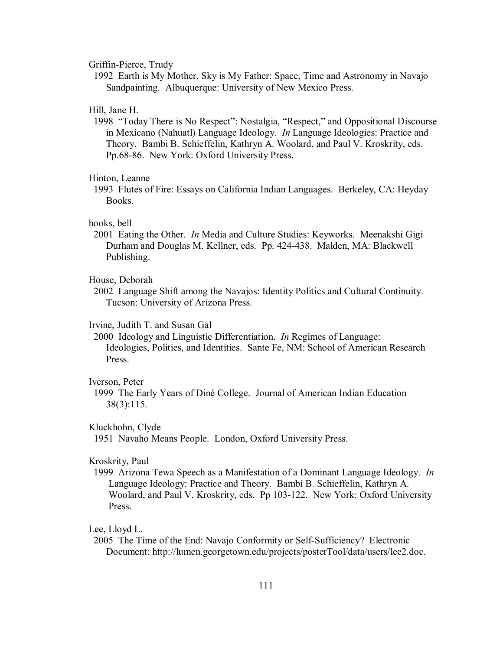## Griffin-Pierce, Trudy

1992 Earth is My Mother, Sky is My Father: Space, Time and Astronomy in Navajo Sandpainting. Albuquerque: University of New Mexico Press.

### Hill, Jane H.

1998 "Today There is No Respect": Nostalgia, "Respect," and Oppositional Discourse in Mexicano (Nahuatl) Language Ideology. *In* Language Ideologies: Practice and Theory. Bambi B. Schieffelin, Kathryn A. Woolard, and Paul V. Kroskrity, eds. Pp.68-86. New York: Oxford University Press.

### Hinton, Leanne

1993 Flutes of Fire: Essays on California Indian Languages. Berkeley, CA: Heyday Books.

#### hooks, bell

2001 Eating the Other. *In* Media and Culture Studies: Keyworks. Meenakshi Gigi Durham and Douglas M. Kellner, eds. Pp. 424-438. Malden, MA: Blackwell Publishing.

### House, Deborah

2002 Language Shift among the Navajos: Identity Politics and Cultural Continuity. Tucson: University of Arizona Press.

# Irvine, Judith T. and Susan Gal

2000 Ideology and Linguistic Differentiation. *In* Regimes of Language: Ideologies, Polities, and Identities. Sante Fe, NM: School of American Research Press.

### Iverson, Peter

1999 The Early Years of DinÈ College. Journal of American Indian Education 38(3):115.

#### Kluckhohn, Clyde

1951 Navaho Means People. London, Oxford University Press.

### Kroskrity, Paul

1999 Arizona Tewa Speech as a Manifestation of a Dominant Language Ideology. *In* Language Ideology: Practice and Theory. Bambi B. Schieffelin, Kathryn A. Woolard, and Paul V. Kroskrity, eds. Pp 103-122. New York: Oxford University Press.

### Lee, Lloyd L.

2005 The Time of the End: Navajo Conformity or Self-Sufficiency? Electronic Document: http://lumen.georgetown.edu/projects/posterTool/data/users/lee2.doc.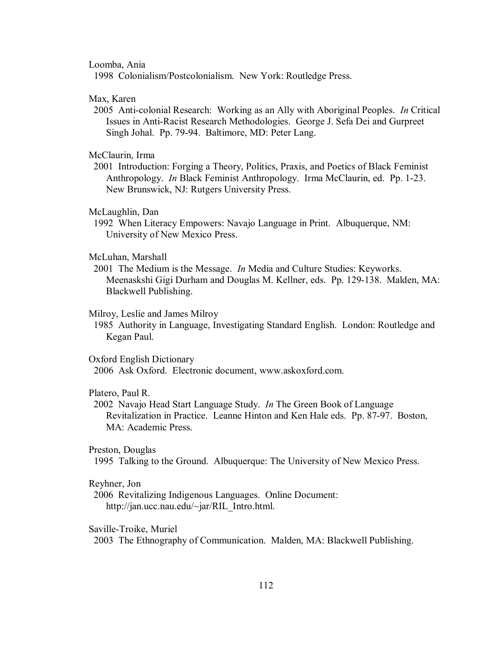Loomba, Ania

1998 Colonialism/Postcolonialism. New York: Routledge Press.

Max, Karen

2005 Anti-colonial Research: Working as an Ally with Aboriginal Peoples. *In* Critical Issues in Anti-Racist Research Methodologies. George J. Sefa Dei and Gurpreet Singh Johal. Pp. 79-94. Baltimore, MD: Peter Lang.

McClaurin, Irma

2001 Introduction: Forging a Theory, Politics, Praxis, and Poetics of Black Feminist Anthropology. *In* Black Feminist Anthropology. Irma McClaurin, ed. Pp. 1-23. New Brunswick, NJ: Rutgers University Press.

McLaughlin, Dan

1992 When Literacy Empowers: Navajo Language in Print. Albuquerque, NM: University of New Mexico Press.

McLuhan, Marshall

2001 The Medium is the Message. *In* Media and Culture Studies: Keyworks. Meenaskshi Gigi Durham and Douglas M. Kellner, eds. Pp. 129-138. Malden, MA: Blackwell Publishing.

#### Milroy, Leslie and James Milroy

1985 Authority in Language, Investigating Standard English. London: Routledge and Kegan Paul.

Oxford English Dictionary

2006 Ask Oxford. Electronic document, www.askoxford.com.

## Platero, Paul R.

2002 Navajo Head Start Language Study. *In* The Green Book of Language Revitalization in Practice. Leanne Hinton and Ken Hale eds. Pp. 87-97. Boston, MA: Academic Press.

Preston, Douglas

1995 Talking to the Ground. Albuquerque: The University of New Mexico Press.

### Reyhner, Jon

2006 Revitalizing Indigenous Languages. Online Document: http://jan.ucc.nau.edu/~jar/RIL\_Intro.html.

Saville-Troike, Muriel

2003 The Ethnography of Communication. Malden, MA: Blackwell Publishing.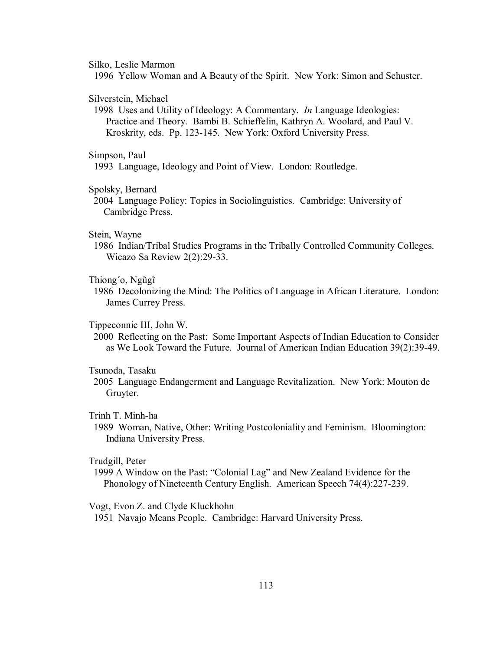Silko, Leslie Marmon

1996 Yellow Woman and A Beauty of the Spirit. New York: Simon and Schuster.

### Silverstein, Michael

1998 Uses and Utility of Ideology: A Commentary. *In* Language Ideologies: Practice and Theory. Bambi B. Schieffelin, Kathryn A. Woolard, and Paul V. Kroskrity, eds. Pp. 123-145. New York: Oxford University Press.

### Simpson, Paul

1993 Language, Ideology and Point of View. London: Routledge.

## Spolsky, Bernard

2004 Language Policy: Topics in Sociolinguistics. Cambridge: University of Cambridge Press.

# Stein, Wayne

1986 Indian/Tribal Studies Programs in the Tribally Controlled Community Colleges. Wicazo Sa Review 2(2):29-33.

## Thiong'o, Ngũgĩ

1986 Decolonizing the Mind: The Politics of Language in African Literature. London: James Currey Press.

# Tippeconnic III, John W.

2000 Reflecting on the Past: Some Important Aspects of Indian Education to Consider as We Look Toward the Future. Journal of American Indian Education 39(2):39-49.

## Tsunoda, Tasaku

2005 Language Endangerment and Language Revitalization. New York: Mouton de Gruyter.

# Trinh T. Minh-ha

1989 Woman, Native, Other: Writing Postcoloniality and Feminism. Bloomington: Indiana University Press.

# Trudgill, Peter

1999 A Window on the Past: "Colonial Lag" and New Zealand Evidence for the Phonology of Nineteenth Century English. American Speech 74(4):227-239.

Vogt, Evon Z. and Clyde Kluckhohn

1951 Navajo Means People. Cambridge: Harvard University Press.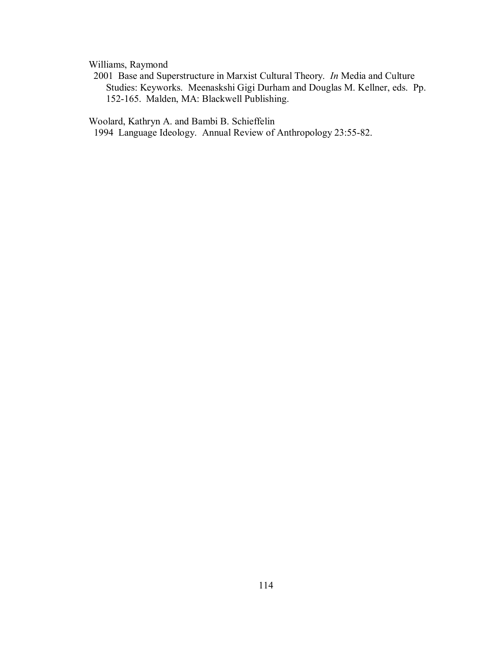Williams, Raymond

2001 Base and Superstructure in Marxist Cultural Theory. *In* Media and Culture Studies: Keyworks. Meenaskshi Gigi Durham and Douglas M. Kellner, eds. Pp. 152-165. Malden, MA: Blackwell Publishing.

Woolard, Kathryn A. and Bambi B. Schieffelin

1994 Language Ideology. Annual Review of Anthropology 23:55-82.